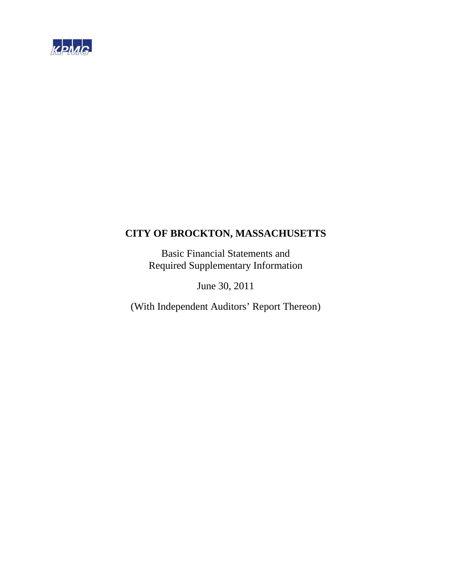

Basic Financial Statements and Required Supplementary Information

June 30, 2011

(With Independent Auditors' Report Thereon)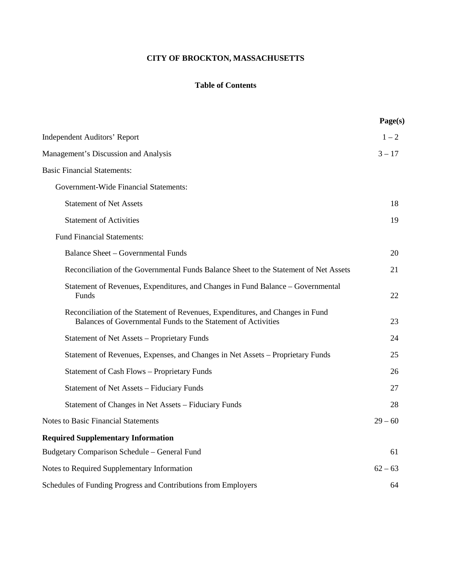### **Table of Contents**

|                                                                                                                                                 | Page(s)   |
|-------------------------------------------------------------------------------------------------------------------------------------------------|-----------|
| <b>Independent Auditors' Report</b>                                                                                                             | $1 - 2$   |
| Management's Discussion and Analysis                                                                                                            | $3 - 17$  |
| <b>Basic Financial Statements:</b>                                                                                                              |           |
| Government-Wide Financial Statements:                                                                                                           |           |
| <b>Statement of Net Assets</b>                                                                                                                  | 18        |
| <b>Statement of Activities</b>                                                                                                                  | 19        |
| <b>Fund Financial Statements:</b>                                                                                                               |           |
| <b>Balance Sheet - Governmental Funds</b>                                                                                                       | 20        |
| Reconciliation of the Governmental Funds Balance Sheet to the Statement of Net Assets                                                           | 21        |
| Statement of Revenues, Expenditures, and Changes in Fund Balance – Governmental<br>Funds                                                        | 22        |
| Reconciliation of the Statement of Revenues, Expenditures, and Changes in Fund<br>Balances of Governmental Funds to the Statement of Activities | 23        |
| Statement of Net Assets - Proprietary Funds                                                                                                     | 24        |
| Statement of Revenues, Expenses, and Changes in Net Assets - Proprietary Funds                                                                  | 25        |
| Statement of Cash Flows - Proprietary Funds                                                                                                     | 26        |
| <b>Statement of Net Assets - Fiduciary Funds</b>                                                                                                | 27        |
| Statement of Changes in Net Assets – Fiduciary Funds                                                                                            | 28        |
| <b>Notes to Basic Financial Statements</b>                                                                                                      | $29 - 60$ |
| <b>Required Supplementary Information</b>                                                                                                       |           |
| Budgetary Comparison Schedule - General Fund                                                                                                    | 61        |
| Notes to Required Supplementary Information                                                                                                     | $62 - 63$ |
| Schedules of Funding Progress and Contributions from Employers                                                                                  | 64        |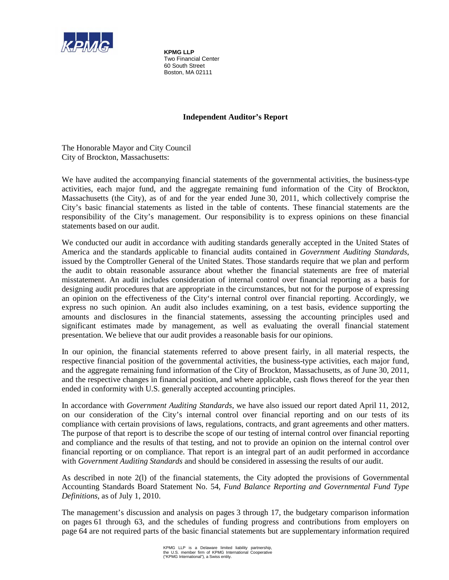

**KPMG LLP**  Two Financial Center 60 South Street Boston, MA 02111

### **Independent Auditor's Report**

The Honorable Mayor and City Council City of Brockton, Massachusetts:

We have audited the accompanying financial statements of the governmental activities, the business-type activities, each major fund, and the aggregate remaining fund information of the City of Brockton, Massachusetts (the City), as of and for the year ended June 30, 2011, which collectively comprise the City's basic financial statements as listed in the table of contents. These financial statements are the responsibility of the City's management. Our responsibility is to express opinions on these financial statements based on our audit.

We conducted our audit in accordance with auditing standards generally accepted in the United States of America and the standards applicable to financial audits contained in *Government Auditing Standards*, issued by the Comptroller General of the United States. Those standards require that we plan and perform the audit to obtain reasonable assurance about whether the financial statements are free of material misstatement. An audit includes consideration of internal control over financial reporting as a basis for designing audit procedures that are appropriate in the circumstances, but not for the purpose of expressing an opinion on the effectiveness of the City's internal control over financial reporting. Accordingly, we express no such opinion. An audit also includes examining, on a test basis, evidence supporting the amounts and disclosures in the financial statements, assessing the accounting principles used and significant estimates made by management, as well as evaluating the overall financial statement presentation. We believe that our audit provides a reasonable basis for our opinions.

In our opinion, the financial statements referred to above present fairly, in all material respects, the respective financial position of the governmental activities, the business-type activities, each major fund, and the aggregate remaining fund information of the City of Brockton, Massachusetts, as of June 30, 2011, and the respective changes in financial position, and where applicable, cash flows thereof for the year then ended in conformity with U.S. generally accepted accounting principles.

In accordance with *Government Auditing Standards*, we have also issued our report dated April 11, 2012, on our consideration of the City's internal control over financial reporting and on our tests of its compliance with certain provisions of laws, regulations, contracts, and grant agreements and other matters. The purpose of that report is to describe the scope of our testing of internal control over financial reporting and compliance and the results of that testing, and not to provide an opinion on the internal control over financial reporting or on compliance. That report is an integral part of an audit performed in accordance with *Government Auditing Standards* and should be considered in assessing the results of our audit.

As described in note 2(l) of the financial statements, the City adopted the provisions of Governmental Accounting Standards Board Statement No. 54, *Fund Balance Reporting and Governmental Fund Type Definitions*, as of July 1, 2010.

The management's discussion and analysis on pages 3 through 17, the budgetary comparison information on pages 61 through 63, and the schedules of funding progress and contributions from employers on page 64 are not required parts of the basic financial statements but are supplementary information required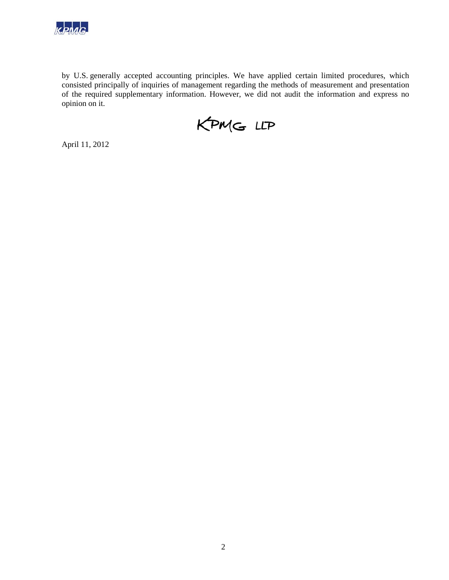

by U.S. generally accepted accounting principles. We have applied certain limited procedures, which consisted principally of inquiries of management regarding the methods of measurement and presentation of the required supplementary information. However, we did not audit the information and express no opinion on it.

KPMG LLP

April 11, 2012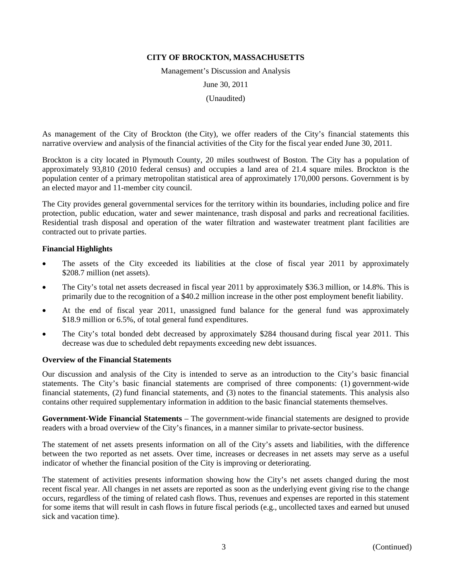Management's Discussion and Analysis

June 30, 2011

(Unaudited)

As management of the City of Brockton (the City), we offer readers of the City's financial statements this narrative overview and analysis of the financial activities of the City for the fiscal year ended June 30, 2011.

Brockton is a city located in Plymouth County, 20 miles southwest of Boston. The City has a population of approximately 93,810 (2010 federal census) and occupies a land area of 21.4 square miles. Brockton is the population center of a primary metropolitan statistical area of approximately 170,000 persons. Government is by an elected mayor and 11-member city council.

The City provides general governmental services for the territory within its boundaries, including police and fire protection, public education, water and sewer maintenance, trash disposal and parks and recreational facilities. Residential trash disposal and operation of the water filtration and wastewater treatment plant facilities are contracted out to private parties.

### **Financial Highlights**

- The assets of the City exceeded its liabilities at the close of fiscal year 2011 by approximately \$208.7 million (net assets).
- The City's total net assets decreased in fiscal year 2011 by approximately \$36.3 million, or 14.8%. This is primarily due to the recognition of a \$40.2 million increase in the other post employment benefit liability.
- At the end of fiscal year 2011, unassigned fund balance for the general fund was approximately \$18.9 million or 6.5%, of total general fund expenditures.
- The City's total bonded debt decreased by approximately \$284 thousand during fiscal year 2011. This decrease was due to scheduled debt repayments exceeding new debt issuances.

### **Overview of the Financial Statements**

Our discussion and analysis of the City is intended to serve as an introduction to the City's basic financial statements. The City's basic financial statements are comprised of three components: (1) government-wide financial statements, (2) fund financial statements, and (3) notes to the financial statements. This analysis also contains other required supplementary information in addition to the basic financial statements themselves.

**Government-Wide Financial Statements** – The government-wide financial statements are designed to provide readers with a broad overview of the City's finances, in a manner similar to private-sector business.

The statement of net assets presents information on all of the City's assets and liabilities, with the difference between the two reported as net assets. Over time, increases or decreases in net assets may serve as a useful indicator of whether the financial position of the City is improving or deteriorating.

The statement of activities presents information showing how the City's net assets changed during the most recent fiscal year. All changes in net assets are reported as soon as the underlying event giving rise to the change occurs, regardless of the timing of related cash flows. Thus, revenues and expenses are reported in this statement for some items that will result in cash flows in future fiscal periods (e.g., uncollected taxes and earned but unused sick and vacation time).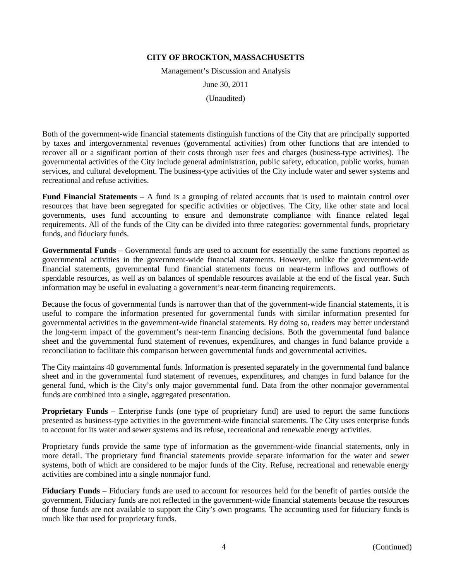Management's Discussion and Analysis

June 30, 2011

(Unaudited)

Both of the government-wide financial statements distinguish functions of the City that are principally supported by taxes and intergovernmental revenues (governmental activities) from other functions that are intended to recover all or a significant portion of their costs through user fees and charges (business-type activities). The governmental activities of the City include general administration, public safety, education, public works, human services, and cultural development. The business-type activities of the City include water and sewer systems and recreational and refuse activities.

**Fund Financial Statements** – A fund is a grouping of related accounts that is used to maintain control over resources that have been segregated for specific activities or objectives. The City, like other state and local governments, uses fund accounting to ensure and demonstrate compliance with finance related legal requirements. All of the funds of the City can be divided into three categories: governmental funds, proprietary funds, and fiduciary funds.

**Governmental Funds** – Governmental funds are used to account for essentially the same functions reported as governmental activities in the government-wide financial statements. However, unlike the government-wide financial statements, governmental fund financial statements focus on near-term inflows and outflows of spendable resources, as well as on balances of spendable resources available at the end of the fiscal year. Such information may be useful in evaluating a government's near-term financing requirements.

Because the focus of governmental funds is narrower than that of the government-wide financial statements, it is useful to compare the information presented for governmental funds with similar information presented for governmental activities in the government-wide financial statements. By doing so, readers may better understand the long-term impact of the government's near-term financing decisions. Both the governmental fund balance sheet and the governmental fund statement of revenues, expenditures, and changes in fund balance provide a reconciliation to facilitate this comparison between governmental funds and governmental activities.

The City maintains 40 governmental funds. Information is presented separately in the governmental fund balance sheet and in the governmental fund statement of revenues, expenditures, and changes in fund balance for the general fund, which is the City's only major governmental fund. Data from the other nonmajor governmental funds are combined into a single, aggregated presentation.

**Proprietary Funds** – Enterprise funds (one type of proprietary fund) are used to report the same functions presented as business-type activities in the government-wide financial statements. The City uses enterprise funds to account for its water and sewer systems and its refuse, recreational and renewable energy activities.

Proprietary funds provide the same type of information as the government-wide financial statements, only in more detail. The proprietary fund financial statements provide separate information for the water and sewer systems, both of which are considered to be major funds of the City. Refuse, recreational and renewable energy activities are combined into a single nonmajor fund.

**Fiduciary Funds** – Fiduciary funds are used to account for resources held for the benefit of parties outside the government. Fiduciary funds are not reflected in the government-wide financial statements because the resources of those funds are not available to support the City's own programs. The accounting used for fiduciary funds is much like that used for proprietary funds.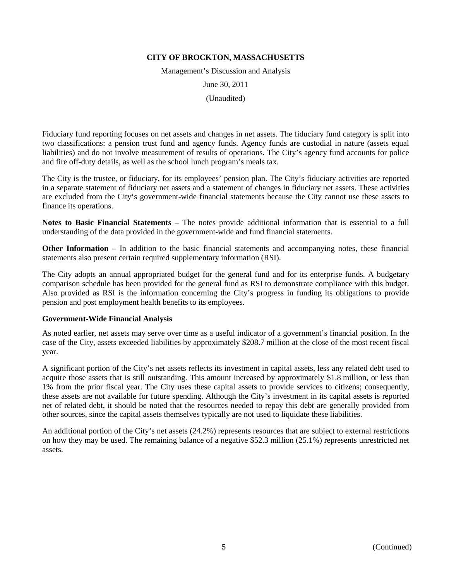Management's Discussion and Analysis

June 30, 2011

(Unaudited)

Fiduciary fund reporting focuses on net assets and changes in net assets. The fiduciary fund category is split into two classifications: a pension trust fund and agency funds. Agency funds are custodial in nature (assets equal liabilities) and do not involve measurement of results of operations. The City's agency fund accounts for police and fire off-duty details, as well as the school lunch program's meals tax.

The City is the trustee, or fiduciary, for its employees' pension plan. The City's fiduciary activities are reported in a separate statement of fiduciary net assets and a statement of changes in fiduciary net assets. These activities are excluded from the City's government-wide financial statements because the City cannot use these assets to finance its operations.

**Notes to Basic Financial Statements** – The notes provide additional information that is essential to a full understanding of the data provided in the government-wide and fund financial statements.

**Other Information** – In addition to the basic financial statements and accompanying notes, these financial statements also present certain required supplementary information (RSI).

The City adopts an annual appropriated budget for the general fund and for its enterprise funds. A budgetary comparison schedule has been provided for the general fund as RSI to demonstrate compliance with this budget. Also provided as RSI is the information concerning the City's progress in funding its obligations to provide pension and post employment health benefits to its employees.

### **Government-Wide Financial Analysis**

As noted earlier, net assets may serve over time as a useful indicator of a government's financial position. In the case of the City, assets exceeded liabilities by approximately \$208.7 million at the close of the most recent fiscal year.

A significant portion of the City's net assets reflects its investment in capital assets, less any related debt used to acquire those assets that is still outstanding. This amount increased by approximately \$1.8 million, or less than 1% from the prior fiscal year. The City uses these capital assets to provide services to citizens; consequently, these assets are not available for future spending. Although the City's investment in its capital assets is reported net of related debt, it should be noted that the resources needed to repay this debt are generally provided from other sources, since the capital assets themselves typically are not used to liquidate these liabilities.

An additional portion of the City's net assets (24.2%) represents resources that are subject to external restrictions on how they may be used. The remaining balance of a negative \$52.3 million (25.1%) represents unrestricted net assets.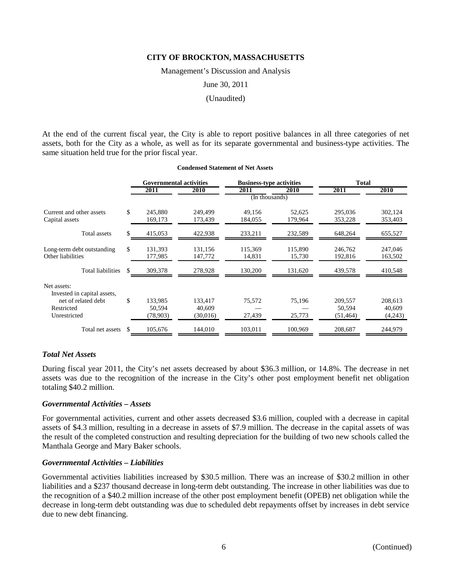Management's Discussion and Analysis

June 30, 2011

#### (Unaudited)

At the end of the current fiscal year, the City is able to report positive balances in all three categories of net assets, both for the City as a whole, as well as for its separate governmental and business-type activities. The same situation held true for the prior fiscal year.

|                                                    | <b>Governmental activities</b> |          | <b>Business-type activities</b> |         | <b>Total</b> |         |  |
|----------------------------------------------------|--------------------------------|----------|---------------------------------|---------|--------------|---------|--|
|                                                    | 2011                           | 2010     | 2011                            | 2010    | 2011         | 2010    |  |
|                                                    |                                |          | (In thousands)                  |         |              |         |  |
| Current and other assets                           | \$<br>245,880                  | 249,499  | 49,156                          | 52,625  | 295,036      | 302,124 |  |
| Capital assets                                     | 169,173                        | 173,439  | 184,055                         | 179,964 | 353,228      | 353,403 |  |
| Total assets                                       | 415,053                        | 422,938  | 233,211                         | 232,589 | 648,264      | 655,527 |  |
| Long-term debt outstanding                         | \$<br>131,393                  | 131,156  | 115,369                         | 115,890 | 246,762      | 247,046 |  |
| Other liabilities                                  | 177,985                        | 147,772  | 14,831                          | 15,730  | 192,816      | 163,502 |  |
| <b>Total liabilities</b>                           | 309,378                        | 278,928  | 130,200                         | 131,620 | 439,578      | 410,548 |  |
| Net assets:                                        |                                |          |                                 |         |              |         |  |
| Invested in capital assets,<br>net of related debt | \$<br>133,985                  | 133,417  | 75,572                          | 75,196  | 209,557      | 208,613 |  |
| Restricted                                         | 50,594                         | 40,609   |                                 |         | 50,594       | 40,609  |  |
| Unrestricted                                       | (78, 903)                      | (30,016) | 27,439                          | 25,773  | (51, 464)    | (4,243) |  |
| Total net assets                                   | \$<br>105,676                  | 144,010  | 103.011                         | 100.969 | 208,687      | 244.979 |  |

#### **Condensed Statement of Net Assets**

### *Total Net Assets*

During fiscal year 2011, the City's net assets decreased by about \$36.3 million, or 14.8%. The decrease in net assets was due to the recognition of the increase in the City's other post employment benefit net obligation totaling \$40.2 million.

### *Governmental Activities – Assets*

For governmental activities, current and other assets decreased \$3.6 million, coupled with a decrease in capital assets of \$4.3 million, resulting in a decrease in assets of \$7.9 million. The decrease in the capital assets of was the result of the completed construction and resulting depreciation for the building of two new schools called the Manthala George and Mary Baker schools.

### *Governmental Activities – Liabilities*

Governmental activities liabilities increased by \$30.5 million. There was an increase of \$30.2 million in other liabilities and a \$237 thousand decrease in long-term debt outstanding. The increase in other liabilities was due to the recognition of a \$40.2 million increase of the other post employment benefit (OPEB) net obligation while the decrease in long-term debt outstanding was due to scheduled debt repayments offset by increases in debt service due to new debt financing.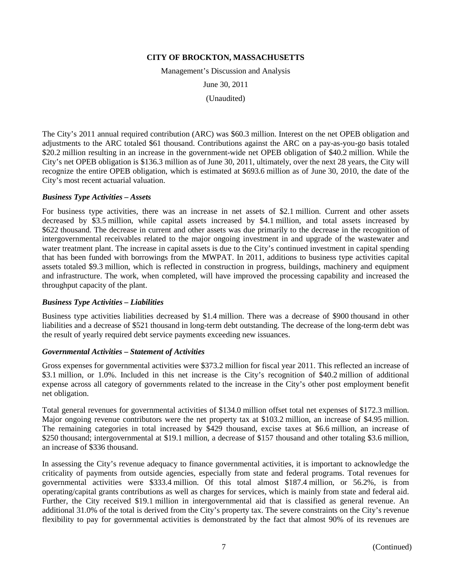Management's Discussion and Analysis

June 30, 2011

(Unaudited)

The City's 2011 annual required contribution (ARC) was \$60.3 million. Interest on the net OPEB obligation and adjustments to the ARC totaled \$61 thousand. Contributions against the ARC on a pay-as-you-go basis totaled \$20.2 million resulting in an increase in the government-wide net OPEB obligation of \$40.2 million. While the City's net OPEB obligation is \$136.3 million as of June 30, 2011, ultimately, over the next 28 years, the City will recognize the entire OPEB obligation, which is estimated at \$693.6 million as of June 30, 2010, the date of the City's most recent actuarial valuation.

### *Business Type Activities – Assets*

For business type activities, there was an increase in net assets of \$2.1 million. Current and other assets decreased by \$3.5 million, while capital assets increased by \$4.1 million, and total assets increased by \$622 thousand. The decrease in current and other assets was due primarily to the decrease in the recognition of intergovernmental receivables related to the major ongoing investment in and upgrade of the wastewater and water treatment plant. The increase in capital assets is due to the City's continued investment in capital spending that has been funded with borrowings from the MWPAT. In 2011, additions to business type activities capital assets totaled \$9.3 million, which is reflected in construction in progress, buildings, machinery and equipment and infrastructure. The work, when completed, will have improved the processing capability and increased the throughput capacity of the plant.

### *Business Type Activities – Liabilities*

Business type activities liabilities decreased by \$1.4 million. There was a decrease of \$900 thousand in other liabilities and a decrease of \$521 thousand in long-term debt outstanding. The decrease of the long-term debt was the result of yearly required debt service payments exceeding new issuances.

### *Governmental Activities – Statement of Activities*

Gross expenses for governmental activities were \$373.2 million for fiscal year 2011. This reflected an increase of \$3.1 million, or 1.0%. Included in this net increase is the City's recognition of \$40.2 million of additional expense across all category of governments related to the increase in the City's other post employment benefit net obligation.

Total general revenues for governmental activities of \$134.0 million offset total net expenses of \$172.3 million. Major ongoing revenue contributors were the net property tax at \$103.2 million, an increase of \$4.95 million. The remaining categories in total increased by \$429 thousand, excise taxes at \$6.6 million, an increase of \$250 thousand; intergovernmental at \$19.1 million, a decrease of \$157 thousand and other totaling \$3.6 million, an increase of \$336 thousand.

In assessing the City's revenue adequacy to finance governmental activities, it is important to acknowledge the criticality of payments from outside agencies, especially from state and federal programs. Total revenues for governmental activities were \$333.4 million. Of this total almost \$187.4 million, or 56.2%, is from operating/capital grants contributions as well as charges for services, which is mainly from state and federal aid. Further, the City received \$19.1 million in intergovernmental aid that is classified as general revenue. An additional 31.0% of the total is derived from the City's property tax. The severe constraints on the City's revenue flexibility to pay for governmental activities is demonstrated by the fact that almost 90% of its revenues are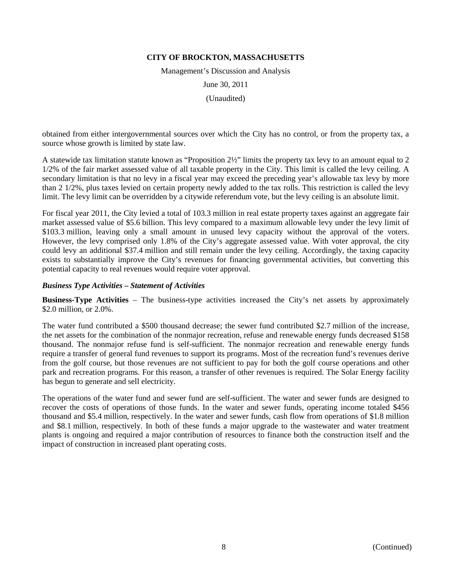Management's Discussion and Analysis

June 30, 2011

(Unaudited)

obtained from either intergovernmental sources over which the City has no control, or from the property tax, a source whose growth is limited by state law.

A statewide tax limitation statute known as "Proposition 2½" limits the property tax levy to an amount equal to 2 1/2% of the fair market assessed value of all taxable property in the City. This limit is called the levy ceiling. A secondary limitation is that no levy in a fiscal year may exceed the preceding year's allowable tax levy by more than 2 1/2%, plus taxes levied on certain property newly added to the tax rolls. This restriction is called the levy limit. The levy limit can be overridden by a citywide referendum vote, but the levy ceiling is an absolute limit.

For fiscal year 2011, the City levied a total of 103.3 million in real estate property taxes against an aggregate fair market assessed value of \$5.6 billion. This levy compared to a maximum allowable levy under the levy limit of \$103.3 million, leaving only a small amount in unused levy capacity without the approval of the voters. However, the levy comprised only 1.8% of the City's aggregate assessed value. With voter approval, the city could levy an additional \$37.4 million and still remain under the levy ceiling. Accordingly, the taxing capacity exists to substantially improve the City's revenues for financing governmental activities, but converting this potential capacity to real revenues would require voter approval.

### *Business Type Activities – Statement of Activities*

**Business-Type Activities** – The business-type activities increased the City's net assets by approximately \$2.0 million, or 2.0%.

The water fund contributed a \$500 thousand decrease; the sewer fund contributed \$2.7 million of the increase, the net assets for the combination of the nonmajor recreation, refuse and renewable energy funds decreased \$158 thousand. The nonmajor refuse fund is self-sufficient. The nonmajor recreation and renewable energy funds require a transfer of general fund revenues to support its programs. Most of the recreation fund's revenues derive from the golf course, but those revenues are not sufficient to pay for both the golf course operations and other park and recreation programs. For this reason, a transfer of other revenues is required. The Solar Energy facility has begun to generate and sell electricity.

The operations of the water fund and sewer fund are self-sufficient. The water and sewer funds are designed to recover the costs of operations of those funds. In the water and sewer funds, operating income totaled \$456 thousand and \$5.4 million, respectively. In the water and sewer funds, cash flow from operations of \$1.8 million and \$8.1 million, respectively. In both of these funds a major upgrade to the wastewater and water treatment plants is ongoing and required a major contribution of resources to finance both the construction itself and the impact of construction in increased plant operating costs.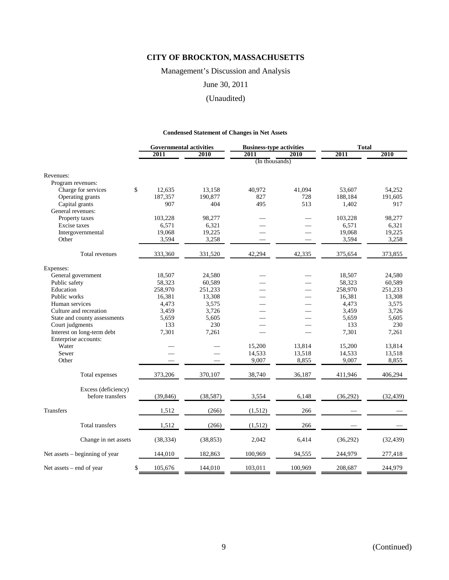Management's Discussion and Analysis

### June 30, 2011

### (Unaudited)

### **Condensed Statement of Changes in Net Assets**

|                                         |           | <b>Governmental activities</b><br><b>Business-type activities</b> |                |         | <b>Total</b> |           |
|-----------------------------------------|-----------|-------------------------------------------------------------------|----------------|---------|--------------|-----------|
|                                         | 2011      | 2010                                                              | 2011           | 2010    | 2011         | 2010      |
|                                         |           |                                                                   | (In thousands) |         |              |           |
| Revenues:                               |           |                                                                   |                |         |              |           |
| Program revenues:                       |           |                                                                   |                |         |              |           |
| \$<br>Charge for services               | 12,635    | 13,158                                                            | 40,972         | 41,094  | 53,607       | 54,252    |
| Operating grants                        | 187,357   | 190,877                                                           | 827            | 728     | 188,184      | 191,605   |
| Capital grants                          | 907       | 404                                                               | 495            | 513     | 1,402        | 917       |
| General revenues:                       |           |                                                                   |                |         |              |           |
| Property taxes                          | 103,228   | 98,277                                                            |                |         | 103,228      | 98,277    |
| Excise taxes                            | 6,571     | 6,321                                                             |                |         | 6,571        | 6,321     |
| Intergovernmental                       | 19,068    | 19,225                                                            |                |         | 19,068       | 19,225    |
| Other                                   | 3,594     | 3,258                                                             |                |         | 3,594        | 3,258     |
| Total revenues                          | 333,360   | 331,520                                                           | 42,294         | 42,335  | 375,654      | 373,855   |
| Expenses:                               |           |                                                                   |                |         |              |           |
| General government                      | 18,507    | 24,580                                                            |                |         | 18,507       | 24,580    |
| Public safety                           | 58,323    | 60,589                                                            |                |         | 58,323       | 60,589    |
| Education                               | 258,970   | 251,233                                                           |                |         | 258,970      | 251,233   |
| Public works                            | 16,381    | 13,308                                                            |                |         | 16,381       | 13,308    |
| Human services                          | 4,473     | 3,575                                                             |                |         | 4,473        | 3,575     |
| Culture and recreation                  | 3,459     | 3,726                                                             |                |         | 3,459        | 3,726     |
| State and county assessments            | 5,659     | 5,605                                                             |                |         | 5,659        | 5,605     |
| Court judgments                         | 133       | 230                                                               |                |         | 133          | 230       |
| Interest on long-term debt              | 7,301     | 7,261                                                             |                |         | 7,301        | 7,261     |
| Enterprise accounts:                    |           |                                                                   |                |         |              |           |
| Water                                   |           |                                                                   | 15,200         | 13,814  | 15,200       | 13,814    |
| Sewer                                   |           |                                                                   | 14,533         | 13,518  | 14,533       | 13,518    |
| Other                                   |           |                                                                   | 9,007          | 8,855   | 9,007        | 8,855     |
| Total expenses                          | 373,206   | 370,107                                                           | 38,740         | 36,187  | 411,946      | 406,294   |
|                                         |           |                                                                   |                |         |              |           |
| Excess (deficiency)<br>before transfers | (39, 846) | (38, 587)                                                         | 3,554          | 6,148   | (36,292)     | (32, 439) |
| Transfers                               | 1,512     | (266)                                                             | (1,512)        | 266     |              |           |
| Total transfers                         | 1,512     | (266)                                                             | (1,512)        | 266     |              |           |
| Change in net assets                    | (38, 334) | (38, 853)                                                         | 2,042          | 6,414   | (36,292)     | (32, 439) |
| Net assets - beginning of year          | 144,010   | 182,863                                                           | 100,969        | 94,555  | 244,979      | 277,418   |
| \$<br>Net assets – end of year          | 105,676   | 144,010                                                           | 103,011        | 100,969 | 208,687      | 244,979   |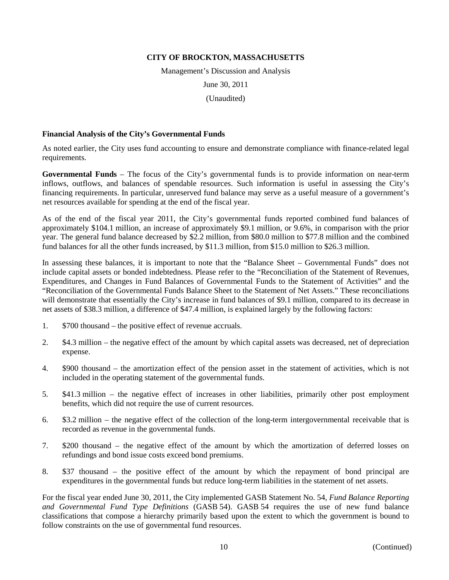Management's Discussion and Analysis

June 30, 2011

(Unaudited)

#### **Financial Analysis of the City's Governmental Funds**

As noted earlier, the City uses fund accounting to ensure and demonstrate compliance with finance-related legal requirements.

**Governmental Funds** – The focus of the City's governmental funds is to provide information on near-term inflows, outflows, and balances of spendable resources. Such information is useful in assessing the City's financing requirements. In particular, unreserved fund balance may serve as a useful measure of a government's net resources available for spending at the end of the fiscal year.

As of the end of the fiscal year 2011, the City's governmental funds reported combined fund balances of approximately \$104.1 million, an increase of approximately \$9.1 million, or 9.6%, in comparison with the prior year. The general fund balance decreased by \$2.2 million, from \$80.0 million to \$77.8 million and the combined fund balances for all the other funds increased, by \$11.3 million, from \$15.0 million to \$26.3 million.

In assessing these balances, it is important to note that the "Balance Sheet – Governmental Funds" does not include capital assets or bonded indebtedness. Please refer to the "Reconciliation of the Statement of Revenues, Expenditures, and Changes in Fund Balances of Governmental Funds to the Statement of Activities" and the "Reconciliation of the Governmental Funds Balance Sheet to the Statement of Net Assets." These reconciliations will demonstrate that essentially the City's increase in fund balances of \$9.1 million, compared to its decrease in net assets of \$38.3 million, a difference of \$47.4 million, is explained largely by the following factors:

- 1. \$700 thousand the positive effect of revenue accruals.
- 2. \$4.3 million the negative effect of the amount by which capital assets was decreased, net of depreciation expense.
- 4. \$900 thousand the amortization effect of the pension asset in the statement of activities, which is not included in the operating statement of the governmental funds.
- 5. \$41.3 million the negative effect of increases in other liabilities, primarily other post employment benefits, which did not require the use of current resources.
- 6. \$3.2 million the negative effect of the collection of the long-term intergovernmental receivable that is recorded as revenue in the governmental funds.
- 7. \$200 thousand the negative effect of the amount by which the amortization of deferred losses on refundings and bond issue costs exceed bond premiums.
- 8. \$37 thousand the positive effect of the amount by which the repayment of bond principal are expenditures in the governmental funds but reduce long-term liabilities in the statement of net assets.

For the fiscal year ended June 30, 2011, the City implemented GASB Statement No. 54, *Fund Balance Reporting and Governmental Fund Type Definitions* (GASB 54). GASB 54 requires the use of new fund balance classifications that compose a hierarchy primarily based upon the extent to which the government is bound to follow constraints on the use of governmental fund resources.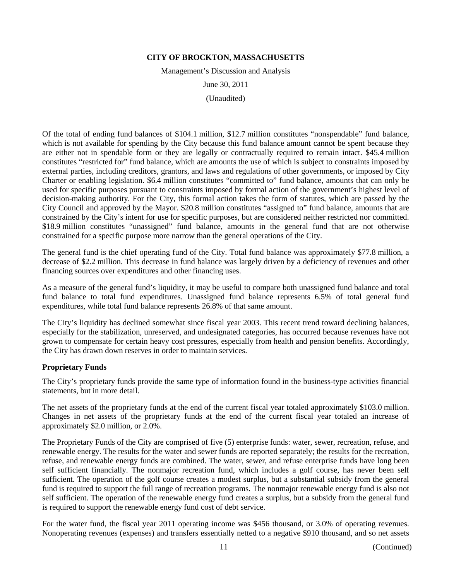Management's Discussion and Analysis

June 30, 2011

(Unaudited)

Of the total of ending fund balances of \$104.1 million, \$12.7 million constitutes "nonspendable" fund balance, which is not available for spending by the City because this fund balance amount cannot be spent because they are either not in spendable form or they are legally or contractually required to remain intact. \$45.4 million constitutes "restricted for" fund balance, which are amounts the use of which is subject to constraints imposed by external parties, including creditors, grantors, and laws and regulations of other governments, or imposed by City Charter or enabling legislation. \$6.4 million constitutes "committed to" fund balance, amounts that can only be used for specific purposes pursuant to constraints imposed by formal action of the government's highest level of decision-making authority. For the City, this formal action takes the form of statutes, which are passed by the City Council and approved by the Mayor. \$20.8 million constitutes "assigned to" fund balance, amounts that are constrained by the City's intent for use for specific purposes, but are considered neither restricted nor committed. \$18.9 million constitutes "unassigned" fund balance, amounts in the general fund that are not otherwise constrained for a specific purpose more narrow than the general operations of the City.

The general fund is the chief operating fund of the City. Total fund balance was approximately \$77.8 million, a decrease of \$2.2 million. This decrease in fund balance was largely driven by a deficiency of revenues and other financing sources over expenditures and other financing uses.

As a measure of the general fund's liquidity, it may be useful to compare both unassigned fund balance and total fund balance to total fund expenditures. Unassigned fund balance represents 6.5% of total general fund expenditures, while total fund balance represents 26.8% of that same amount.

The City's liquidity has declined somewhat since fiscal year 2003. This recent trend toward declining balances, especially for the stabilization, unreserved, and undesignated categories, has occurred because revenues have not grown to compensate for certain heavy cost pressures, especially from health and pension benefits. Accordingly, the City has drawn down reserves in order to maintain services.

### **Proprietary Funds**

The City's proprietary funds provide the same type of information found in the business-type activities financial statements, but in more detail.

The net assets of the proprietary funds at the end of the current fiscal year totaled approximately \$103.0 million. Changes in net assets of the proprietary funds at the end of the current fiscal year totaled an increase of approximately \$2.0 million, or 2.0%.

The Proprietary Funds of the City are comprised of five (5) enterprise funds: water, sewer, recreation, refuse, and renewable energy. The results for the water and sewer funds are reported separately; the results for the recreation, refuse, and renewable energy funds are combined. The water, sewer, and refuse enterprise funds have long been self sufficient financially. The nonmajor recreation fund, which includes a golf course, has never been self sufficient. The operation of the golf course creates a modest surplus, but a substantial subsidy from the general fund is required to support the full range of recreation programs. The nonmajor renewable energy fund is also not self sufficient. The operation of the renewable energy fund creates a surplus, but a subsidy from the general fund is required to support the renewable energy fund cost of debt service.

For the water fund, the fiscal year 2011 operating income was \$456 thousand, or 3.0% of operating revenues. Nonoperating revenues (expenses) and transfers essentially netted to a negative \$910 thousand, and so net assets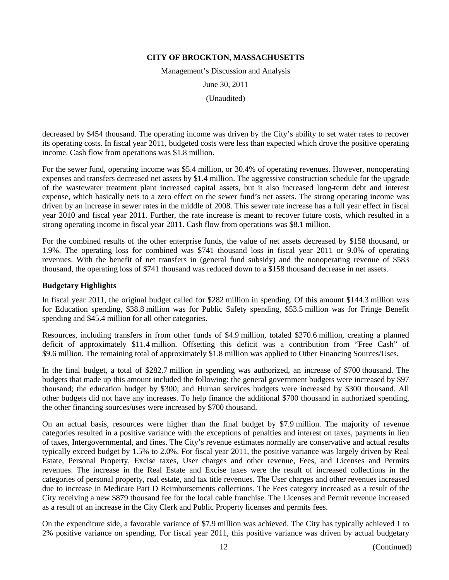Management's Discussion and Analysis

June 30, 2011

(Unaudited)

decreased by \$454 thousand. The operating income was driven by the City's ability to set water rates to recover its operating costs. In fiscal year 2011, budgeted costs were less than expected which drove the positive operating income. Cash flow from operations was \$1.8 million.

For the sewer fund, operating income was \$5.4 million, or 30.4% of operating revenues. However, nonoperating expenses and transfers decreased net assets by \$1.4 million. The aggressive construction schedule for the upgrade of the wastewater treatment plant increased capital assets, but it also increased long-term debt and interest expense, which basically nets to a zero effect on the sewer fund's net assets. The strong operating income was driven by an increase in sewer rates in the middle of 2008. This sewer rate increase has a full year effect in fiscal year 2010 and fiscal year 2011. Further, the rate increase is meant to recover future costs, which resulted in a strong operating income in fiscal year 2011. Cash flow from operations was \$8.1 million.

For the combined results of the other enterprise funds, the value of net assets decreased by \$158 thousand, or 1.9%. The operating loss for combined was \$741 thousand loss in fiscal year 2011 or 9.0% of operating revenues. With the benefit of net transfers in (general fund subsidy) and the nonoperating revenue of \$583 thousand, the operating loss of \$741 thousand was reduced down to a \$158 thousand decrease in net assets.

### **Budgetary Highlights**

In fiscal year 2011, the original budget called for \$282 million in spending. Of this amount \$144.3 million was for Education spending, \$38.8 million was for Public Safety spending, \$53.5 million was for Fringe Benefit spending and \$45.4 million for all other categories.

Resources, including transfers in from other funds of \$4.9 million, totaled \$270.6 million, creating a planned deficit of approximately \$11.4 million. Offsetting this deficit was a contribution from "Free Cash" of \$9.6 million. The remaining total of approximately \$1.8 million was applied to Other Financing Sources/Uses.

In the final budget, a total of \$282.7 million in spending was authorized, an increase of \$700 thousand. The budgets that made up this amount included the following: the general government budgets were increased by \$97 thousand; the education budget by \$300; and Human services budgets were increased by \$300 thousand. All other budgets did not have any increases. To help finance the additional \$700 thousand in authorized spending, the other financing sources/uses were increased by \$700 thousand.

On an actual basis, resources were higher than the final budget by \$7.9 million. The majority of revenue categories resulted in a positive variance with the exceptions of penalties and interest on taxes, payments in lieu of taxes, Intergovernmental, and fines. The City's revenue estimates normally are conservative and actual results typically exceed budget by 1.5% to 2.0%. For fiscal year 2011, the positive variance was largely driven by Real Estate, Personal Property, Excise taxes, User charges and other revenue, Fees, and Licenses and Permits revenues. The increase in the Real Estate and Excise taxes were the result of increased collections in the categories of personal property, real estate, and tax title revenues. The User charges and other revenues increased due to increase in Medicare Part D Reimbursements collections. The Fees category increased as a result of the City receiving a new \$879 thousand fee for the local cable franchise. The Licenses and Permit revenue increased as a result of an increase in the City Clerk and Public Property licenses and permits fees.

On the expenditure side, a favorable variance of \$7.9 million was achieved. The City has typically achieved 1 to 2% positive variance on spending. For fiscal year 2011, this positive variance was driven by actual budgetary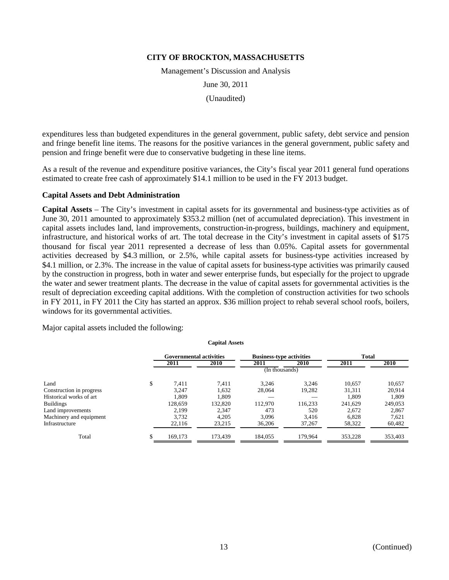Management's Discussion and Analysis

June 30, 2011

(Unaudited)

expenditures less than budgeted expenditures in the general government, public safety, debt service and pension and fringe benefit line items. The reasons for the positive variances in the general government, public safety and pension and fringe benefit were due to conservative budgeting in these line items.

As a result of the revenue and expenditure positive variances, the City's fiscal year 2011 general fund operations estimated to create free cash of approximately \$14.1 million to be used in the FY 2013 budget.

### **Capital Assets and Debt Administration**

**Capital Assets** – The City's investment in capital assets for its governmental and business-type activities as of June 30, 2011 amounted to approximately \$353.2 million (net of accumulated depreciation). This investment in capital assets includes land, land improvements, construction-in-progress, buildings, machinery and equipment, infrastructure, and historical works of art. The total decrease in the City's investment in capital assets of \$175 thousand for fiscal year 2011 represented a decrease of less than 0.05%. Capital assets for governmental activities decreased by \$4.3 million, or 2.5%, while capital assets for business-type activities increased by \$4.1 million, or 2.3%. The increase in the value of capital assets for business-type activities was primarily caused by the construction in progress, both in water and sewer enterprise funds, but especially for the project to upgrade the water and sewer treatment plants. The decrease in the value of capital assets for governmental activities is the result of depreciation exceeding capital additions. With the completion of construction activities for two schools in FY 2011, in FY 2011 the City has started an approx. \$36 million project to rehab several school roofs, boilers, windows for its governmental activities.

Major capital assets included the following:

|                          |    | <b>Governmental activities</b> |             | <b>Business-type activities</b> |         | <b>Total</b> |         |
|--------------------------|----|--------------------------------|-------------|---------------------------------|---------|--------------|---------|
|                          |    | 2011                           | <b>2010</b> | 2011                            | 2010    | 2011         | 2010    |
|                          |    |                                |             | (In thousands)                  |         |              |         |
| Land                     | Jэ | 7.411                          | 7.411       | 3.246                           | 3.246   | 10.657       | 10,657  |
| Construction in progress |    | 3.247                          | 1,632       | 28,064                          | 19,282  | 31,311       | 20,914  |
| Historical works of art  |    | 1.809                          | 1.809       |                                 |         | 1.809        | 1.809   |
| <b>Buildings</b>         |    | 128,659                        | 132.820     | 112,970                         | 116.233 | 241.629      | 249,053 |
| Land improvements        |    | 2.199                          | 2,347       | 473                             | 520     | 2,672        | 2,867   |
| Machinery and equipment  |    | 3.732                          | 4.205       | 3.096                           | 3.416   | 6.828        | 7,621   |
| Infrastructure           |    | 22.116                         | 23,215      | 36,206                          | 37,267  | 58,322       | 60,482  |
| Total                    |    | 169,173                        | 173,439     | 184,055                         | 179,964 | 353,228      | 353,403 |

**Capital Assets**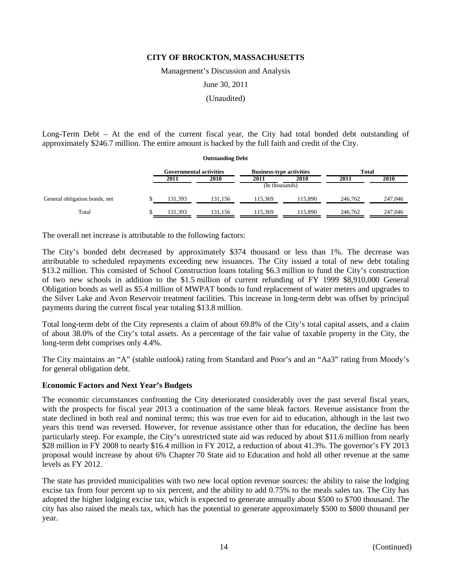Management's Discussion and Analysis

June 30, 2011

(Unaudited)

Long-Term Debt – At the end of the current fiscal year, the City had total bonded debt outstanding of approximately \$246.7 million. The entire amount is backed by the full faith and credit of the City.

| <b>Outstanding Debt</b>       |  |                                |         |                                 |         |              |         |  |
|-------------------------------|--|--------------------------------|---------|---------------------------------|---------|--------------|---------|--|
|                               |  | <b>Governmental activities</b> |         | <b>Business-type activities</b> |         | <b>Total</b> |         |  |
|                               |  | 2011                           | 2010    | 2011                            | 2010    | 2011         | 2010    |  |
|                               |  |                                |         | (In thousands)                  |         |              |         |  |
| General obligation bonds, net |  | 131,393                        | 131.156 | 115,369                         | 115.890 | 246,762      | 247,046 |  |
| Total                         |  | 131,393                        | 131,156 | 115,369                         | 115,890 | 246,762      | 247,046 |  |

The overall net increase is attributable to the following factors:

The City's bonded debt decreased by approximately \$374 thousand or less than 1%. The decrease was attributable to scheduled repayments exceeding new issuances. The City issued a total of new debt totaling \$13.2 million. This consisted of School Construction loans totaling \$6.3 million to fund the City's construction of two new schools in addition to the \$1.5 million of current refunding of FY 1999 \$8,910,000 General Obligation bonds as well as \$5.4 million of MWPAT bonds to fund replacement of water meters and upgrades to the Silver Lake and Avon Reservoir treatment facilities. This increase in long-term debt was offset by principal payments during the current fiscal year totaling \$13.8 million.

Total long-term debt of the City represents a claim of about 69.8% of the City's total capital assets, and a claim of about 38.0% of the City's total assets. As a percentage of the fair value of taxable property in the City, the long-term debt comprises only 4.4%.

The City maintains an "A" (stable outlook) rating from Standard and Poor's and an "Aa3" rating from Moody's for general obligation debt.

### **Economic Factors and Next Year's Budgets**

The economic circumstances confronting the City deteriorated considerably over the past several fiscal years, with the prospects for fiscal year 2013 a continuation of the same bleak factors. Revenue assistance from the state declined in both real and nominal terms; this was true even for aid to education, although in the last two years this trend was reversed. However, for revenue assistance other than for education, the decline has been particularly steep. For example, the City's unrestricted state aid was reduced by about \$11.6 million from nearly \$28 million in FY 2008 to nearly \$16.4 million in FY 2012, a reduction of about 41.3%. The governor's FY 2013 proposal would increase by about 6% Chapter 70 State aid to Education and hold all other revenue at the same levels as FY 2012.

The state has provided municipalities with two new local option revenue sources: the ability to raise the lodging excise tax from four percent up to six percent, and the ability to add 0.75% to the meals sales tax. The City has adopted the higher lodging excise tax, which is expected to generate annually about \$500 to \$700 thousand. The city has also raised the meals tax, which has the potential to generate approximately \$500 to \$800 thousand per year.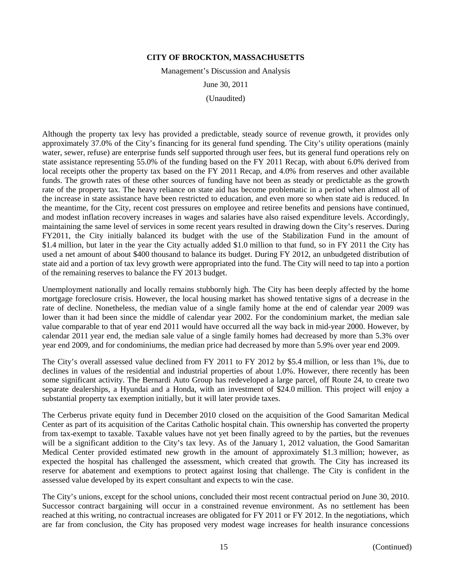Management's Discussion and Analysis

June 30, 2011

(Unaudited)

Although the property tax levy has provided a predictable, steady source of revenue growth, it provides only approximately 37.0% of the City's financing for its general fund spending. The City's utility operations (mainly water, sewer, refuse) are enterprise funds self supported through user fees, but its general fund operations rely on state assistance representing 55.0% of the funding based on the FY 2011 Recap, with about 6.0% derived from local receipts other the property tax based on the FY 2011 Recap, and 4.0% from reserves and other available funds. The growth rates of these other sources of funding have not been as steady or predictable as the growth rate of the property tax. The heavy reliance on state aid has become problematic in a period when almost all of the increase in state assistance have been restricted to education, and even more so when state aid is reduced. In the meantime, for the City, recent cost pressures on employee and retiree benefits and pensions have continued, and modest inflation recovery increases in wages and salaries have also raised expenditure levels. Accordingly, maintaining the same level of services in some recent years resulted in drawing down the City's reserves. During FY2011, the City initially balanced its budget with the use of the Stabilization Fund in the amount of \$1.4 million, but later in the year the City actually added \$1.0 million to that fund, so in FY 2011 the City has used a net amount of about \$400 thousand to balance its budget. During FY 2012, an unbudgeted distribution of state aid and a portion of tax levy growth were appropriated into the fund. The City will need to tap into a portion of the remaining reserves to balance the FY 2013 budget.

Unemployment nationally and locally remains stubbornly high. The City has been deeply affected by the home mortgage foreclosure crisis. However, the local housing market has showed tentative signs of a decrease in the rate of decline. Nonetheless, the median value of a single family home at the end of calendar year 2009 was lower than it had been since the middle of calendar year 2002. For the condominium market, the median sale value comparable to that of year end 2011 would have occurred all the way back in mid-year 2000. However, by calendar 2011 year end, the median sale value of a single family homes had decreased by more than 5.3% over year end 2009, and for condominiums, the median price had decreased by more than 5.9% over year end 2009.

The City's overall assessed value declined from FY 2011 to FY 2012 by \$5.4 million, or less than 1%, due to declines in values of the residential and industrial properties of about 1.0%. However, there recently has been some significant activity. The Bernardi Auto Group has redeveloped a large parcel, off Route 24, to create two separate dealerships, a Hyundai and a Honda, with an investment of \$24.0 million. This project will enjoy a substantial property tax exemption initially, but it will later provide taxes.

The Cerberus private equity fund in December 2010 closed on the acquisition of the Good Samaritan Medical Center as part of its acquisition of the Caritas Catholic hospital chain. This ownership has converted the property from tax-exempt to taxable. Taxable values have not yet been finally agreed to by the parties, but the revenues will be a significant addition to the City's tax levy. As of the January 1, 2012 valuation, the Good Samaritan Medical Center provided estimated new growth in the amount of approximately \$1.3 million; however, as expected the hospital has challenged the assessment, which created that growth. The City has increased its reserve for abatement and exemptions to protect against losing that challenge. The City is confident in the assessed value developed by its expert consultant and expects to win the case.

The City's unions, except for the school unions, concluded their most recent contractual period on June 30, 2010. Successor contract bargaining will occur in a constrained revenue environment. As no settlement has been reached at this writing, no contractual increases are obligated for FY 2011 or FY 2012. In the negotiations, which are far from conclusion, the City has proposed very modest wage increases for health insurance concessions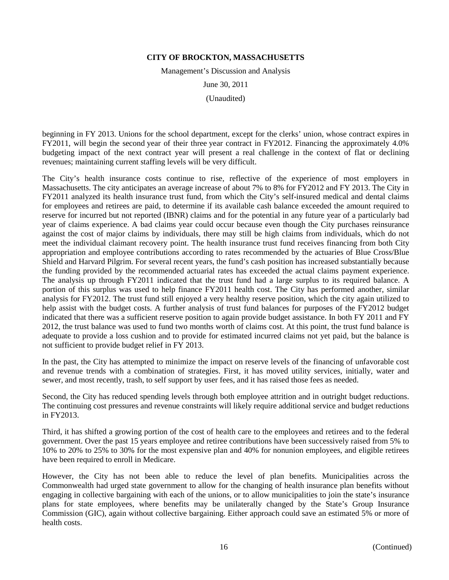Management's Discussion and Analysis

June 30, 2011

(Unaudited)

beginning in FY 2013. Unions for the school department, except for the clerks' union, whose contract expires in FY2011, will begin the second year of their three year contract in FY2012. Financing the approximately 4.0% budgeting impact of the next contract year will present a real challenge in the context of flat or declining revenues; maintaining current staffing levels will be very difficult.

The City's health insurance costs continue to rise, reflective of the experience of most employers in Massachusetts. The city anticipates an average increase of about 7% to 8% for FY2012 and FY 2013. The City in FY2011 analyzed its health insurance trust fund, from which the City's self-insured medical and dental claims for employees and retirees are paid, to determine if its available cash balance exceeded the amount required to reserve for incurred but not reported (IBNR) claims and for the potential in any future year of a particularly bad year of claims experience. A bad claims year could occur because even though the City purchases reinsurance against the cost of major claims by individuals, there may still be high claims from individuals, which do not meet the individual claimant recovery point. The health insurance trust fund receives financing from both City appropriation and employee contributions according to rates recommended by the actuaries of Blue Cross/Blue Shield and Harvard Pilgrim. For several recent years, the fund's cash position has increased substantially because the funding provided by the recommended actuarial rates has exceeded the actual claims payment experience. The analysis up through FY2011 indicated that the trust fund had a large surplus to its required balance. A portion of this surplus was used to help finance FY2011 health cost. The City has performed another, similar analysis for FY2012. The trust fund still enjoyed a very healthy reserve position, which the city again utilized to help assist with the budget costs. A further analysis of trust fund balances for purposes of the FY2012 budget indicated that there was a sufficient reserve position to again provide budget assistance. In both FY 2011 and FY 2012, the trust balance was used to fund two months worth of claims cost. At this point, the trust fund balance is adequate to provide a loss cushion and to provide for estimated incurred claims not yet paid, but the balance is not sufficient to provide budget relief in FY 2013.

In the past, the City has attempted to minimize the impact on reserve levels of the financing of unfavorable cost and revenue trends with a combination of strategies. First, it has moved utility services, initially, water and sewer, and most recently, trash, to self support by user fees, and it has raised those fees as needed.

Second, the City has reduced spending levels through both employee attrition and in outright budget reductions. The continuing cost pressures and revenue constraints will likely require additional service and budget reductions in FY2013.

Third, it has shifted a growing portion of the cost of health care to the employees and retirees and to the federal government. Over the past 15 years employee and retiree contributions have been successively raised from 5% to 10% to 20% to 25% to 30% for the most expensive plan and 40% for nonunion employees, and eligible retirees have been required to enroll in Medicare.

However, the City has not been able to reduce the level of plan benefits. Municipalities across the Commonwealth had urged state government to allow for the changing of health insurance plan benefits without engaging in collective bargaining with each of the unions, or to allow municipalities to join the state's insurance plans for state employees, where benefits may be unilaterally changed by the State's Group Insurance Commission (GIC), again without collective bargaining. Either approach could save an estimated 5% or more of health costs.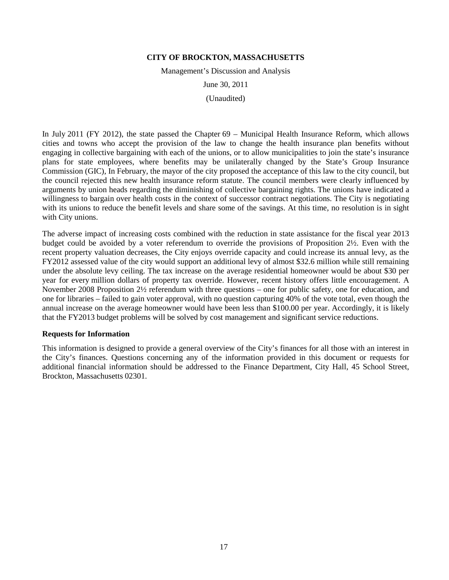Management's Discussion and Analysis

June 30, 2011

(Unaudited)

In July 2011 (FY 2012), the state passed the Chapter 69 – Municipal Health Insurance Reform, which allows cities and towns who accept the provision of the law to change the health insurance plan benefits without engaging in collective bargaining with each of the unions, or to allow municipalities to join the state's insurance plans for state employees, where benefits may be unilaterally changed by the State's Group Insurance Commission (GIC), In February, the mayor of the city proposed the acceptance of this law to the city council, but the council rejected this new health insurance reform statute. The council members were clearly influenced by arguments by union heads regarding the diminishing of collective bargaining rights. The unions have indicated a willingness to bargain over health costs in the context of successor contract negotiations. The City is negotiating with its unions to reduce the benefit levels and share some of the savings. At this time, no resolution is in sight with City unions.

The adverse impact of increasing costs combined with the reduction in state assistance for the fiscal year 2013 budget could be avoided by a voter referendum to override the provisions of Proposition 2½. Even with the recent property valuation decreases, the City enjoys override capacity and could increase its annual levy, as the FY2012 assessed value of the city would support an additional levy of almost \$32.6 million while still remaining under the absolute levy ceiling. The tax increase on the average residential homeowner would be about \$30 per year for every million dollars of property tax override. However, recent history offers little encouragement. A November 2008 Proposition 2½ referendum with three questions – one for public safety, one for education, and one for libraries – failed to gain voter approval, with no question capturing 40% of the vote total, even though the annual increase on the average homeowner would have been less than \$100.00 per year. Accordingly, it is likely that the FY2013 budget problems will be solved by cost management and significant service reductions.

### **Requests for Information**

This information is designed to provide a general overview of the City's finances for all those with an interest in the City's finances. Questions concerning any of the information provided in this document or requests for additional financial information should be addressed to the Finance Department, City Hall, 45 School Street, Brockton, Massachusetts 02301.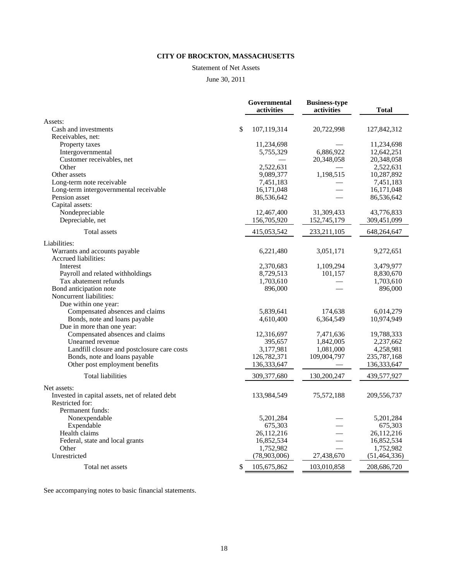### Statement of Net Assets

### June 30, 2011

|                                                       |               | Governmental<br>activities | <b>Business-type</b><br>activities | <b>Total</b>   |
|-------------------------------------------------------|---------------|----------------------------|------------------------------------|----------------|
| Assets:                                               |               |                            |                                    |                |
| Cash and investments                                  | $\mathcal{S}$ | 107,119,314                | 20,722,998                         | 127,842,312    |
| Receivables, net:                                     |               |                            |                                    |                |
| Property taxes                                        |               | 11,234,698                 |                                    | 11,234,698     |
| Intergovernmental                                     |               | 5,755,329                  | 6,886,922                          | 12,642,251     |
| Customer receivables, net                             |               |                            | 20,348,058                         | 20,348,058     |
| Other                                                 |               | 2,522,631                  |                                    | 2,522,631      |
| Other assets                                          |               | 9,089,377                  | 1,198,515                          | 10,287,892     |
| Long-term note receivable                             |               | 7,451,183                  |                                    | 7,451,183      |
| Long-term intergovernmental receivable                |               | 16, 171, 048               |                                    | 16,171,048     |
| Pension asset                                         |               | 86,536,642                 |                                    | 86,536,642     |
| Capital assets:                                       |               |                            |                                    |                |
| Nondepreciable                                        |               | 12,467,400                 | 31,309,433                         | 43,776,833     |
| Depreciable, net                                      |               | 156,705,920                | 152,745,179                        | 309,451,099    |
| Total assets                                          |               | 415,053,542                | 233, 211, 105                      | 648,264,647    |
| Liabilities:                                          |               |                            |                                    |                |
| Warrants and accounts payable<br>Accrued liabilities: |               | 6,221,480                  | 3,051,171                          | 9,272,651      |
| Interest                                              |               | 2,370,683                  | 1,109,294                          | 3,479,977      |
| Payroll and related withholdings                      |               | 8,729,513                  | 101,157                            | 8,830,670      |
| Tax abatement refunds                                 |               | 1,703,610                  |                                    | 1,703,610      |
| Bond anticipation note                                |               | 896,000                    |                                    | 896,000        |
| Noncurrent liabilities:                               |               |                            |                                    |                |
| Due within one year:                                  |               |                            |                                    |                |
| Compensated absences and claims                       |               | 5,839,641                  | 174,638                            | 6,014,279      |
| Bonds, note and loans payable                         |               | 4,610,400                  | 6,364,549                          | 10,974,949     |
| Due in more than one year:                            |               |                            |                                    |                |
| Compensated absences and claims                       |               | 12,316,697                 | 7,471,636                          | 19,788,333     |
| Unearned revenue                                      |               | 395,657                    | 1,842,005                          | 2,237,662      |
| Landfill closure and postclosure care costs           |               | 3,177,981                  | 1,081,000                          | 4,258,981      |
| Bonds, note and loans payable                         |               | 126,782,371                | 109,004,797                        | 235,787,168    |
| Other post employment benefits                        |               | 136,333,647                |                                    | 136,333,647    |
| <b>Total liabilities</b>                              |               | 309,377,680                | 130,200,247                        | 439,577,927    |
| Net assets:                                           |               |                            |                                    |                |
| Invested in capital assets, net of related debt       |               | 133,984,549                | 75,572,188                         | 209,556,737    |
| Restricted for:                                       |               |                            |                                    |                |
| Permanent funds:                                      |               |                            |                                    |                |
| Nonexpendable                                         |               | 5,201,284                  |                                    | 5,201,284      |
| Expendable                                            |               | 675,303                    |                                    | 675,303        |
| Health claims                                         |               | 26,112,216                 |                                    | 26, 112, 216   |
| Federal, state and local grants                       |               | 16,852,534                 |                                    | 16,852,534     |
| Other                                                 |               | 1,752,982                  |                                    | 1,752,982      |
| Unrestricted                                          |               | (78,903,006)               | 27,438,670                         | (51, 464, 336) |
| Total net assets                                      | \$            | 105.675.862                | 103,010,858                        | 208.686.720    |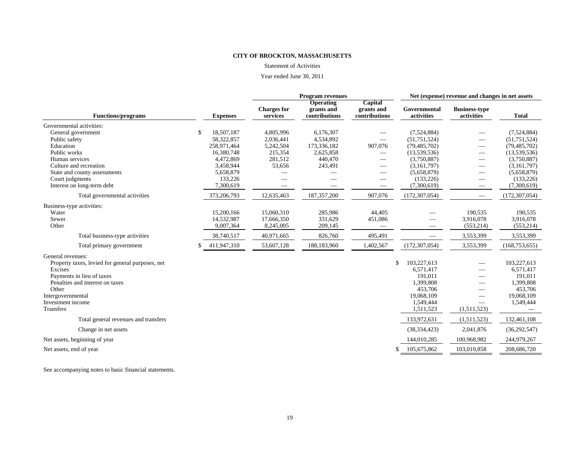#### Statement of Activities

#### Year ended June 30, 2011

|                                                                                                                                                                                                                  |     |                                                                                                         | <b>Program revenues</b>                                                         |                                                                          |                                                      | Net (expense) revenue and changes in net assets                                                                            |                                                                                                 |                                                                                                                            |  |
|------------------------------------------------------------------------------------------------------------------------------------------------------------------------------------------------------------------|-----|---------------------------------------------------------------------------------------------------------|---------------------------------------------------------------------------------|--------------------------------------------------------------------------|------------------------------------------------------|----------------------------------------------------------------------------------------------------------------------------|-------------------------------------------------------------------------------------------------|----------------------------------------------------------------------------------------------------------------------------|--|
| <b>Functions/programs</b>                                                                                                                                                                                        |     | <b>Expenses</b>                                                                                         | <b>Charges for</b><br>services                                                  | <b>Operating</b><br>grants and<br>contributions                          | Capital<br>grants and<br>contributions               | Governmental<br>activities                                                                                                 | <b>Business-type</b><br>activities                                                              | <b>Total</b>                                                                                                               |  |
| Governmental activities:<br>General government<br>Public safety<br>Education<br>Public works<br>Human services<br>Culture and recreation<br>State and county assessments<br>Court judgments                      | \$. | 18,507,187<br>58,322,857<br>258,971,464<br>16,380,748<br>4,472,869<br>3,458,944<br>5,658,879<br>133,226 | 4,805,996<br>2,036,441<br>5,242,504<br>215,354<br>281,512<br>53,656             | 6,176,307<br>4,534,892<br>173,336,182<br>2,625,858<br>440,470<br>243,491 | 907,076<br>$\overline{\phantom{0}}$                  | (7,524,884)<br>(51, 751, 524)<br>(79, 485, 702)<br>(13,539,536)<br>(3,750,887)<br>(3,161,797)<br>(5,658,879)<br>(133, 226) | -<br>--                                                                                         | (7,524,884)<br>(51, 751, 524)<br>(79, 485, 702)<br>(13,539,536)<br>(3,750,887)<br>(3,161,797)<br>(5,658,879)<br>(133, 226) |  |
| Interest on long-term debt                                                                                                                                                                                       |     | 7.300.619                                                                                               |                                                                                 |                                                                          |                                                      | (7,300,619)                                                                                                                | $\hspace{0.1mm}-\hspace{0.1mm}$                                                                 | (7,300,619)                                                                                                                |  |
| Total governmental activities<br>Business-type activities:<br>Water<br>Sewer<br>Other<br>Total business-type activities<br>Total primary government                                                              |     | 373,206,793<br>15,200,166<br>14,532,987<br>9,007,364<br>38,740,517<br>411,947,310                       | 12,635,463<br>15,060,310<br>17,666,350<br>8,245,005<br>40,971,665<br>53,607,128 | 187, 357, 200<br>285,986<br>331,629<br>209,145<br>826,760<br>188,183,960 | 907,076<br>44,405<br>451,086<br>495,491<br>1,402,567 | (172, 307, 054)<br>(172, 307, 054)                                                                                         | $\hspace{0.1mm}-\hspace{0.1mm}$<br>190,535<br>3,916,078<br>(553, 214)<br>3,553,399<br>3,553,399 | (172, 307, 054)<br>190,535<br>3,916,078<br>(553, 214)<br>3,553,399<br>(168, 753, 655)                                      |  |
| General revenues:<br>Property taxes, levied for general purposes, net<br>Excises<br>Payments in lieu of taxes<br>Penalties and interest on taxes<br>Other<br>Intergovernmental<br>Investment income<br>Transfers |     |                                                                                                         |                                                                                 |                                                                          |                                                      | \$<br>103,227,613<br>6,571,417<br>191,011<br>1,399,808<br>453,706<br>19,068,109<br>1,549,444<br>1,511,523                  | $\overline{\phantom{0}}$<br>(1,511,523)                                                         | 103,227,613<br>6,571,417<br>191,011<br>1,399,808<br>453,706<br>19,068,109<br>1,549,444                                     |  |
| Total general revenues and transfers                                                                                                                                                                             |     |                                                                                                         |                                                                                 |                                                                          |                                                      | 133,972,631                                                                                                                | (1,511,523)                                                                                     | 132,461,108                                                                                                                |  |
| Change in net assets                                                                                                                                                                                             |     |                                                                                                         |                                                                                 |                                                                          |                                                      | (38, 334, 423)                                                                                                             | 2,041,876                                                                                       | (36, 292, 547)                                                                                                             |  |
| Net assets, beginning of year                                                                                                                                                                                    |     |                                                                                                         |                                                                                 |                                                                          |                                                      | 144,010,285                                                                                                                | 100,968,982                                                                                     | 244,979,267                                                                                                                |  |
| Net assets, end of year                                                                                                                                                                                          |     |                                                                                                         |                                                                                 |                                                                          |                                                      | 105,675,862<br>\$                                                                                                          | 103,010,858                                                                                     | 208,686,720                                                                                                                |  |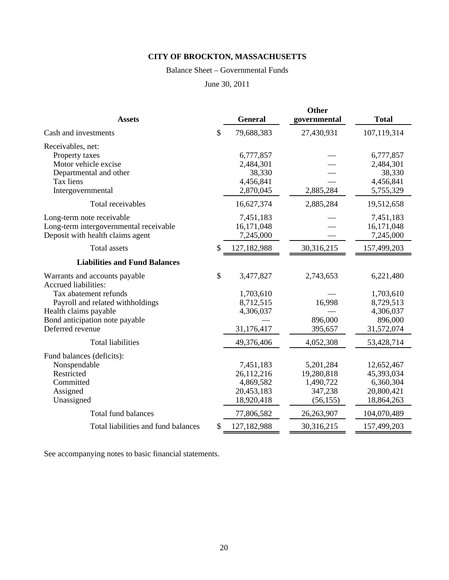### Balance Sheet – Governmental Funds

June 30, 2011

| <b>Assets</b>                                                                                                                            | <b>General</b>                                                   | <b>Other</b><br>governmental                                 | <b>Total</b>                                                      |
|------------------------------------------------------------------------------------------------------------------------------------------|------------------------------------------------------------------|--------------------------------------------------------------|-------------------------------------------------------------------|
| Cash and investments                                                                                                                     | \$<br>79,688,383                                                 | 27,430,931                                                   | 107,119,314                                                       |
| Receivables, net:<br>Property taxes<br>Motor vehicle excise<br>Departmental and other<br>Tax liens<br>Intergovernmental                  | 6,777,857<br>2,484,301<br>38,330<br>4,456,841<br>2,870,045       | 2,885,284                                                    | 6,777,857<br>2,484,301<br>38,330<br>4,456,841<br>5,755,329        |
| Total receivables                                                                                                                        | 16,627,374                                                       | 2,885,284                                                    | 19,512,658                                                        |
| Long-term note receivable<br>Long-term intergovernmental receivable<br>Deposit with health claims agent                                  | 7,451,183<br>16,171,048<br>7,245,000                             |                                                              | 7,451,183<br>16,171,048<br>7,245,000                              |
| <b>Total</b> assets                                                                                                                      | \$<br>127,182,988                                                | 30,316,215                                                   | 157,499,203                                                       |
| <b>Liabilities and Fund Balances</b>                                                                                                     |                                                                  |                                                              |                                                                   |
| Warrants and accounts payable<br>Accrued liabilities:                                                                                    | \$<br>3,477,827                                                  | 2,743,653                                                    | 6,221,480                                                         |
| Tax abatement refunds<br>Payroll and related withholdings<br>Health claims payable<br>Bond anticipation note payable<br>Deferred revenue | 1,703,610<br>8,712,515<br>4,306,037<br>31,176,417                | 16,998<br>896,000<br>395,657                                 | 1,703,610<br>8,729,513<br>4,306,037<br>896,000<br>31,572,074      |
| <b>Total liabilities</b>                                                                                                                 | 49,376,406                                                       | 4,052,308                                                    | 53,428,714                                                        |
| Fund balances (deficits):<br>Nonspendable<br>Restricted<br>Committed<br>Assigned<br>Unassigned                                           | 7,451,183<br>26,112,216<br>4,869,582<br>20,453,183<br>18,920,418 | 5,201,284<br>19,280,818<br>1,490,722<br>347,238<br>(56, 155) | 12,652,467<br>45,393,034<br>6,360,304<br>20,800,421<br>18,864,263 |
| <b>Total fund balances</b>                                                                                                               | 77,806,582                                                       | 26,263,907                                                   | 104,070,489                                                       |
| Total liabilities and fund balances                                                                                                      | \$<br>127,182,988                                                | 30,316,215                                                   | 157,499,203                                                       |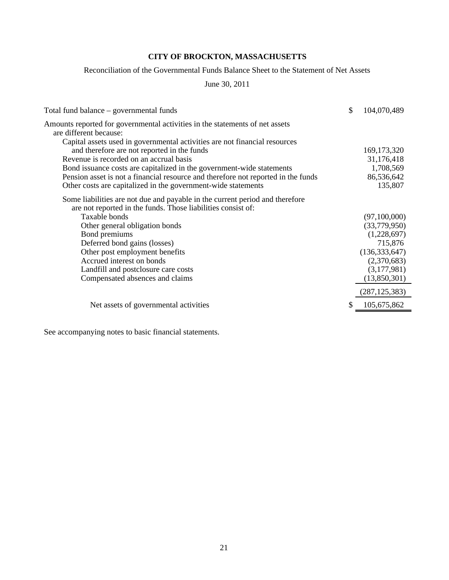### Reconciliation of the Governmental Funds Balance Sheet to the Statement of Net Assets

### June 30, 2011

| Total fund balance – governmental funds                                                                                                      | \$ | 104,070,489     |
|----------------------------------------------------------------------------------------------------------------------------------------------|----|-----------------|
| Amounts reported for governmental activities in the statements of net assets<br>are different because:                                       |    |                 |
| Capital assets used in governmental activities are not financial resources                                                                   |    |                 |
| and therefore are not reported in the funds                                                                                                  |    | 169, 173, 320   |
| Revenue is recorded on an accrual basis                                                                                                      |    | 31,176,418      |
| Bond issuance costs are capitalized in the government-wide statements                                                                        |    | 1,708,569       |
| Pension asset is not a financial resource and therefore not reported in the funds                                                            |    | 86,536,642      |
| Other costs are capitalized in the government-wide statements                                                                                |    | 135,807         |
| Some liabilities are not due and payable in the current period and therefore<br>are not reported in the funds. Those liabilities consist of: |    |                 |
| Taxable bonds                                                                                                                                |    | (97,100,000)    |
| Other general obligation bonds                                                                                                               |    | (33,779,950)    |
| Bond premiums                                                                                                                                |    | (1,228,697)     |
| Deferred bond gains (losses)                                                                                                                 |    | 715,876         |
| Other post employment benefits                                                                                                               |    | (136, 333, 647) |
| Accrued interest on bonds                                                                                                                    |    | (2,370,683)     |
| Landfill and postclosure care costs                                                                                                          |    | (3,177,981)     |
| Compensated absences and claims                                                                                                              |    | (13,850,301)    |
|                                                                                                                                              |    | (287, 125, 383) |
| Net assets of governmental activities                                                                                                        | S  | 105,675,862     |
|                                                                                                                                              |    |                 |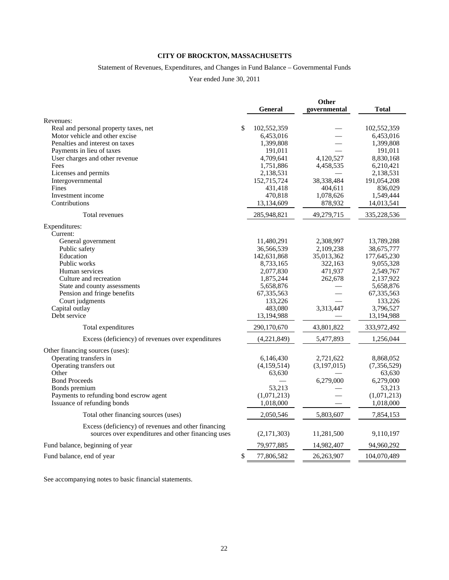### Statement of Revenues, Expenditures, and Changes in Fund Balance – Governmental Funds

Year ended June 30, 2011

|                                                     | General                | Other<br>governmental | <b>Total</b>           |
|-----------------------------------------------------|------------------------|-----------------------|------------------------|
| Revenues:                                           |                        |                       |                        |
| Real and personal property taxes, net               | \$<br>102,552,359      |                       | 102,552,359            |
| Motor vehicle and other excise                      | 6,453,016              |                       | 6,453,016              |
| Penalties and interest on taxes                     | 1,399,808              |                       | 1,399,808              |
| Payments in lieu of taxes                           | 191,011                |                       | 191,011                |
| User charges and other revenue                      | 4,709,641              | 4,120,527             | 8,830,168              |
| Fees                                                | 1,751,886              | 4,458,535             | 6,210,421              |
| Licenses and permits                                | 2,138,531              |                       | 2,138,531              |
| Intergovernmental<br>Fines                          | 152,715,724<br>431,418 | 38,338,484<br>404,611 | 191,054,208<br>836,029 |
| Investment income                                   | 470,818                | 1,078,626             | 1,549,444              |
| Contributions                                       | 13,134,609             | 878,932               | 14,013,541             |
| <b>Total revenues</b>                               | 285,948,821            | 49,279,715            | 335,228,536            |
| Expenditures:                                       |                        |                       |                        |
| Current:                                            |                        |                       |                        |
| General government                                  | 11,480,291             | 2,308,997             | 13,789,288             |
| Public safety                                       | 36,566,539             | 2,109,238             | 38,675,777             |
| Education                                           | 142,631,868            | 35,013,362            | 177,645,230            |
| Public works                                        | 8,733,165              | 322,163               | 9,055,328              |
| Human services                                      | 2,077,830              | 471,937               | 2,549,767              |
| Culture and recreation                              | 1,875,244              | 262,678               | 2,137,922              |
| State and county assessments                        | 5,658,876              |                       | 5,658,876              |
| Pension and fringe benefits                         | 67,335,563             |                       | 67, 335, 563           |
| Court judgments<br>Capital outlay                   | 133,226<br>483,080     | 3,313,447             | 133,226<br>3,796,527   |
| Debt service                                        | 13,194,988             |                       | 13,194,988             |
|                                                     |                        |                       |                        |
| Total expenditures                                  | 290,170,670            | 43,801,822            | 333,972,492            |
| Excess (deficiency) of revenues over expenditures   | (4,221,849)            | 5,477,893             | 1,256,044              |
| Other financing sources (uses):                     |                        |                       |                        |
| Operating transfers in                              | 6,146,430              | 2,721,622             | 8,868,052              |
| Operating transfers out                             | (4,159,514)            | (3,197,015)           | (7,356,529)            |
| Other<br><b>Bond Proceeds</b>                       | 63,630                 | 6,279,000             | 63,630<br>6,279,000    |
| Bonds premium                                       | 53,213                 |                       | 53,213                 |
| Payments to refunding bond escrow agent             | (1,071,213)            |                       | (1,071,213)            |
| Issuance of refunding bonds                         | 1,018,000              |                       | 1,018,000              |
| Total other financing sources (uses)                | 2,050,546              | 5,803,607             | 7,854,153              |
| Excess (deficiency) of revenues and other financing |                        |                       |                        |
| sources over expenditures and other financing uses  | (2,171,303)            | 11,281,500            | 9,110,197              |
| Fund balance, beginning of year                     | 79,977,885             | 14,982,407            | 94,960,292             |
| Fund balance, end of year                           | \$<br>77,806,582       | 26,263,907            | 104,070,489            |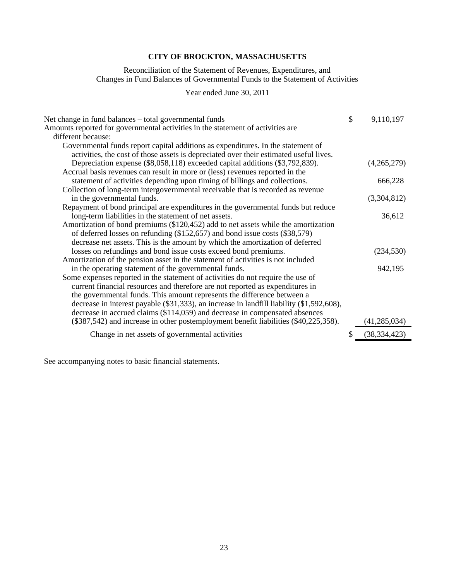### Reconciliation of the Statement of Revenues, Expenditures, and Changes in Fund Balances of Governmental Funds to the Statement of Activities

Year ended June 30, 2011

| Net change in fund balances – total governmental funds<br>Amounts reported for governmental activities in the statement of activities are                                  | $\mathcal{S}$ | 9,110,197      |
|----------------------------------------------------------------------------------------------------------------------------------------------------------------------------|---------------|----------------|
| different because:                                                                                                                                                         |               |                |
| Governmental funds report capital additions as expenditures. In the statement of<br>activities, the cost of those assets is depreciated over their estimated useful lives. |               |                |
| Depreciation expense (\$8,058,118) exceeded capital additions (\$3,792,839).                                                                                               |               | (4,265,279)    |
| Accrual basis revenues can result in more or (less) revenues reported in the<br>statement of activities depending upon timing of billings and collections.                 |               | 666,228        |
| Collection of long-term intergovernmental receivable that is recorded as revenue                                                                                           |               |                |
| in the governmental funds.<br>Repayment of bond principal are expenditures in the governmental funds but reduce                                                            |               | (3,304,812)    |
| long-term liabilities in the statement of net assets.                                                                                                                      |               | 36,612         |
| Amortization of bond premiums (\$120,452) add to net assets while the amortization<br>of deferred losses on refunding (\$152,657) and bond issue costs (\$38,579)          |               |                |
| decrease net assets. This is the amount by which the amortization of deferred                                                                                              |               |                |
| losses on refundings and bond issue costs exceed bond premiums.                                                                                                            |               | (234, 530)     |
| Amortization of the pension asset in the statement of activities is not included<br>in the operating statement of the governmental funds.                                  |               | 942,195        |
| Some expenses reported in the statement of activities do not require the use of                                                                                            |               |                |
| current financial resources and therefore are not reported as expenditures in<br>the governmental funds. This amount represents the difference between a                   |               |                |
| decrease in interest payable (\$31,333), an increase in landfill liability (\$1,592,608),                                                                                  |               |                |
| decrease in accrued claims (\$114,059) and decrease in compensated absences                                                                                                |               |                |
| (\$387,542) and increase in other postemployment benefit liabilities (\$40,225,358).                                                                                       |               | (41, 285, 034) |
| Change in net assets of governmental activities                                                                                                                            | \$            | (38, 334, 423) |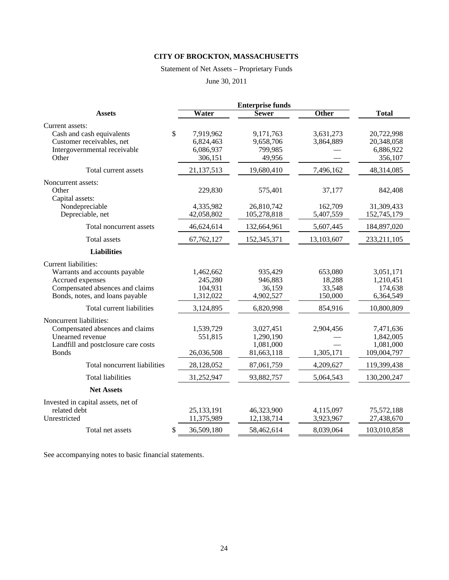### Statement of Net Assets – Proprietary Funds

June 30, 2011

|                                              |                  | <b>Enterprise funds</b> |              |               |
|----------------------------------------------|------------------|-------------------------|--------------|---------------|
| <b>Assets</b>                                | Water            | <b>Sewer</b>            | <b>Other</b> | <b>Total</b>  |
| Current assets:<br>Cash and cash equivalents | \$<br>7,919,962  | 9,171,763               | 3,631,273    | 20,722,998    |
| Customer receivables, net                    | 6,824,463        | 9,658,706               | 3,864,889    | 20,348,058    |
| Intergovernmental receivable                 | 6,086,937        | 799,985                 |              | 6,886,922     |
| Other                                        | 306,151          | 49,956                  |              | 356,107       |
| Total current assets                         | 21,137,513       | 19,680,410              | 7,496,162    | 48,314,085    |
| Noncurrent assets:                           |                  |                         |              |               |
| Other                                        | 229,830          | 575,401                 | 37,177       | 842,408       |
| Capital assets:                              |                  |                         |              |               |
| Nondepreciable                               | 4,335,982        | 26,810,742              | 162,709      | 31,309,433    |
| Depreciable, net                             | 42,058,802       | 105,278,818             | 5,407,559    | 152,745,179   |
| Total noncurrent assets                      | 46,624,614       | 132,664,961             | 5,607,445    | 184,897,020   |
| Total assets                                 | 67,762,127       | 152,345,371             | 13,103,607   | 233, 211, 105 |
| <b>Liabilities</b>                           |                  |                         |              |               |
| Current liabilities:                         |                  |                         |              |               |
| Warrants and accounts payable                | 1,462,662        | 935,429                 | 653,080      | 3,051,171     |
| Accrued expenses                             | 245,280          | 946,883                 | 18,288       | 1,210,451     |
| Compensated absences and claims              | 104,931          | 36,159                  | 33,548       | 174,638       |
| Bonds, notes, and loans payable              | 1,312,022        | 4,902,527               | 150,000      | 6,364,549     |
| Total current liabilities                    | 3,124,895        | 6,820,998               | 854,916      | 10,800,809    |
| Noncurrent liabilities:                      |                  |                         |              |               |
| Compensated absences and claims              | 1,539,729        | 3,027,451               | 2,904,456    | 7,471,636     |
| Unearned revenue                             | 551,815          | 1,290,190               |              | 1,842,005     |
| Landfill and postclosure care costs          |                  | 1,081,000               |              | 1,081,000     |
| <b>Bonds</b>                                 | 26,036,508       | 81,663,118              | 1,305,171    | 109,004,797   |
| Total noncurrent liabilities                 | 28,128,052       | 87,061,759              | 4,209,627    | 119,399,438   |
| <b>Total liabilities</b>                     | 31,252,947       | 93,882,757              | 5,064,543    | 130,200,247   |
| <b>Net Assets</b>                            |                  |                         |              |               |
| Invested in capital assets, net of           |                  |                         |              |               |
| related debt                                 | 25,133,191       | 46,323,900              | 4,115,097    | 75,572,188    |
| Unrestricted                                 | 11,375,989       | 12,138,714              | 3,923,967    | 27,438,670    |
| Total net assets                             | \$<br>36,509,180 | 58,462,614              | 8,039,064    | 103,010,858   |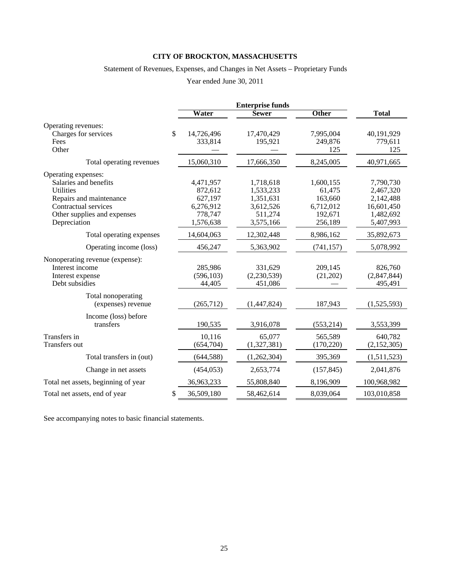### Statement of Revenues, Expenses, and Changes in Net Assets – Proprietary Funds

Year ended June 30, 2011

|                                     |                  | <b>Enterprise funds</b> |            |               |
|-------------------------------------|------------------|-------------------------|------------|---------------|
|                                     | Water            | <b>Sewer</b>            | Other      | <b>Total</b>  |
| Operating revenues:                 |                  |                         |            |               |
| Charges for services                | \$<br>14,726,496 | 17,470,429              | 7,995,004  | 40,191,929    |
| Fees                                | 333,814          | 195,921                 | 249,876    | 779,611       |
| Other                               |                  |                         | 125        | 125           |
| Total operating revenues            | 15,060,310       | 17,666,350              | 8,245,005  | 40,971,665    |
| Operating expenses:                 |                  |                         |            |               |
| Salaries and benefits               | 4,471,957        | 1,718,618               | 1,600,155  | 7,790,730     |
| <b>Utilities</b>                    | 872,612          | 1,533,233               | 61,475     | 2,467,320     |
| Repairs and maintenance             | 627,197          | 1,351,631               | 163,660    | 2,142,488     |
| Contractual services                | 6,276,912        | 3,612,526               | 6,712,012  | 16,601,450    |
| Other supplies and expenses         | 778,747          | 511,274                 | 192,671    | 1,482,692     |
| Depreciation                        | 1,576,638        | 3,575,166               | 256,189    | 5,407,993     |
| Total operating expenses            | 14,604,063       | 12,302,448              | 8,986,162  | 35,892,673    |
| Operating income (loss)             | 456,247          | 5,363,902               | (741, 157) | 5,078,992     |
| Nonoperating revenue (expense):     |                  |                         |            |               |
| Interest income                     | 285,986          | 331,629                 | 209,145    | 826,760       |
| Interest expense                    | (596, 103)       | (2,230,539)             | (21,202)   | (2,847,844)   |
| Debt subsidies                      | 44,405           | 451,086                 |            | 495,491       |
| Total nonoperating                  |                  |                         |            |               |
| (expenses) revenue                  | (265, 712)       | (1,447,824)             | 187,943    | (1,525,593)   |
| Income (loss) before                |                  |                         |            |               |
| transfers                           | 190,535          | 3,916,078               | (553, 214) | 3,553,399     |
| Transfers in                        | 10,116           | 65,077                  | 565,589    | 640,782       |
| Transfers out                       | (654, 704)       | (1,327,381)             | (170, 220) | (2, 152, 305) |
| Total transfers in (out)            | (644, 588)       | (1,262,304)             | 395,369    | (1,511,523)   |
| Change in net assets                | (454, 053)       | 2,653,774               | (157, 845) | 2,041,876     |
| Total net assets, beginning of year | 36,963,233       | 55,808,840              | 8,196,909  | 100,968,982   |
| Total net assets, end of year       | \$<br>36,509,180 | 58,462,614              | 8,039,064  | 103,010,858   |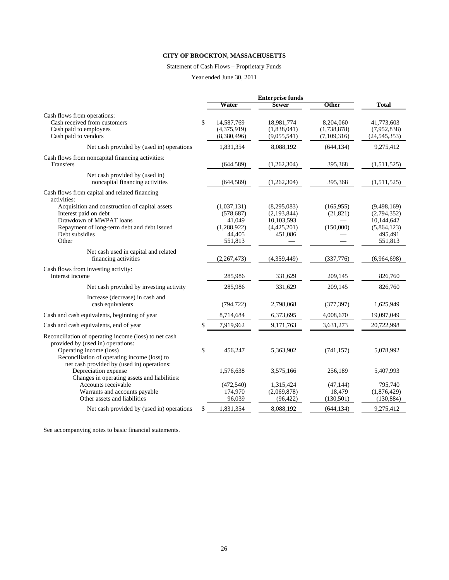### Statement of Cash Flows – Proprietary Funds

Year ended June 30, 2011

|                                                                                                                                                                                                                                              | <b>Enterprise funds</b> |                                                                           |                                                                    |                                         |                                                                               |
|----------------------------------------------------------------------------------------------------------------------------------------------------------------------------------------------------------------------------------------------|-------------------------|---------------------------------------------------------------------------|--------------------------------------------------------------------|-----------------------------------------|-------------------------------------------------------------------------------|
|                                                                                                                                                                                                                                              |                         | Water                                                                     | <b>Sewer</b>                                                       | Other                                   | <b>Total</b>                                                                  |
| Cash flows from operations:<br>Cash received from customers<br>Cash paid to employees<br>Cash paid to vendors                                                                                                                                | \$                      | 14,587,769<br>(4,375,919)<br>(8,380,496)                                  | 18,981,774<br>(1,838,041)<br>(9,055,541)                           | 8,204,060<br>(1,738,878)<br>(7,109,316) | 41,773,603<br>(7,952,838)<br>(24, 545, 353)                                   |
| Net cash provided by (used in) operations                                                                                                                                                                                                    |                         | 1,831,354                                                                 | 8,088,192                                                          | (644, 134)                              | 9,275,412                                                                     |
| Cash flows from noncapital financing activities:<br><b>Transfers</b>                                                                                                                                                                         |                         | (644, 589)                                                                | (1,262,304)                                                        | 395,368                                 | (1,511,525)                                                                   |
| Net cash provided by (used in)<br>noncapital financing activities                                                                                                                                                                            |                         | (644, 589)                                                                | (1,262,304)                                                        | 395,368                                 | (1,511,525)                                                                   |
| Cash flows from capital and related financing<br>activities:<br>Acquisition and construction of capital assets<br>Interest paid on debt<br>Drawdown of MWPAT loans<br>Repayment of long-term debt and debt issued<br>Debt subsidies<br>Other |                         | (1,037,131)<br>(578, 687)<br>41,049<br>(1, 288, 922)<br>44,405<br>551,813 | (8,295,083)<br>(2,193,844)<br>10,103,593<br>(4,425,201)<br>451,086 | (165, 955)<br>(21, 821)<br>(150,000)    | (9,498,169)<br>(2,794,352)<br>10,144,642<br>(5,864,123)<br>495,491<br>551,813 |
| Net cash used in capital and related<br>financing activities                                                                                                                                                                                 |                         | (2,267,473)                                                               | (4,359,449)                                                        | (337,776)                               | (6,964,698)                                                                   |
| Cash flows from investing activity:<br>Interest income                                                                                                                                                                                       |                         | 285,986                                                                   | 331,629                                                            | 209,145                                 | 826,760                                                                       |
| Net cash provided by investing activity                                                                                                                                                                                                      |                         | 285,986                                                                   | 331,629                                                            | 209,145                                 | 826,760                                                                       |
| Increase (decrease) in cash and<br>cash equivalents                                                                                                                                                                                          |                         | (794, 722)                                                                | 2,798,068                                                          | (377, 397)                              | 1,625,949                                                                     |
| Cash and cash equivalents, beginning of year                                                                                                                                                                                                 |                         | 8,714,684                                                                 | 6,373,695                                                          | 4,008,670                               | 19,097,049                                                                    |
| Cash and cash equivalents, end of year                                                                                                                                                                                                       | \$                      | 7,919,962                                                                 | 9,171,763                                                          | 3,631,273                               | 20,722,998                                                                    |
| Reconciliation of operating income (loss) to net cash<br>provided by (used in) operations:<br>Operating income (loss)<br>Reconciliation of operating income (loss) to<br>net cash provided by (used in) operations:                          | \$                      | 456,247                                                                   | 5,363,902                                                          | (741, 157)                              | 5,078,992                                                                     |
| Depreciation expense                                                                                                                                                                                                                         |                         | 1,576,638                                                                 | 3,575,166                                                          | 256,189                                 | 5,407,993                                                                     |
| Changes in operating assets and liabilities:<br>Accounts receivable<br>Warrants and accounts payable<br>Other assets and liabilities                                                                                                         |                         | (472, 540)<br>174,970<br>96,039                                           | 1,315,424<br>(2,069,878)<br>(96, 422)                              | (47, 144)<br>18,479<br>(130, 501)       | 795,740<br>(1,876,429)<br>(130, 884)                                          |
| Net cash provided by (used in) operations                                                                                                                                                                                                    | \$                      | 1,831,354                                                                 | 8,088,192                                                          | (644, 134)                              | 9,275,412                                                                     |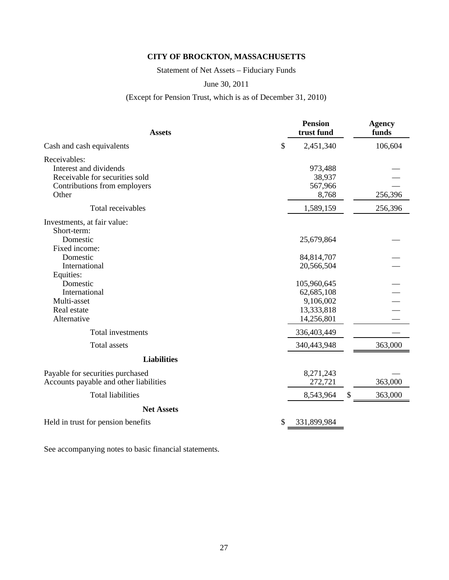Statement of Net Assets – Fiduciary Funds

### June 30, 2011

### (Except for Pension Trust, which is as of December 31, 2010)

| <b>Assets</b>                                                                                                                                                                                                    | <b>Pension</b><br>trust fund                                                                                                |               | <b>Agency</b><br>funds |
|------------------------------------------------------------------------------------------------------------------------------------------------------------------------------------------------------------------|-----------------------------------------------------------------------------------------------------------------------------|---------------|------------------------|
| Cash and cash equivalents                                                                                                                                                                                        | \$<br>2,451,340                                                                                                             |               | 106,604                |
| Receivables:<br>Interest and dividends<br>Receivable for securities sold<br>Contributions from employers<br>Other                                                                                                | 973,488<br>38,937<br>567,966<br>8,768                                                                                       |               | 256,396                |
| Total receivables                                                                                                                                                                                                | 1,589,159                                                                                                                   |               | 256,396                |
| Investments, at fair value:<br>Short-term:<br>Domestic<br>Fixed income:<br>Domestic<br>International<br>Equities:<br>Domestic<br>International<br>Multi-asset<br>Real estate<br>Alternative<br>Total investments | 25,679,864<br>84,814,707<br>20,566,504<br>105,960,645<br>62,685,108<br>9,106,002<br>13,333,818<br>14,256,801<br>336,403,449 |               |                        |
| Total assets                                                                                                                                                                                                     | 340,443,948                                                                                                                 |               | 363,000                |
| <b>Liabilities</b>                                                                                                                                                                                               |                                                                                                                             |               |                        |
| Payable for securities purchased<br>Accounts payable and other liabilities                                                                                                                                       | 8,271,243<br>272,721                                                                                                        |               | 363,000                |
| <b>Total liabilities</b>                                                                                                                                                                                         | 8,543,964                                                                                                                   | $\mathcal{S}$ | 363,000                |
| <b>Net Assets</b>                                                                                                                                                                                                |                                                                                                                             |               |                        |
| Held in trust for pension benefits                                                                                                                                                                               | \$<br>331,899,984                                                                                                           |               |                        |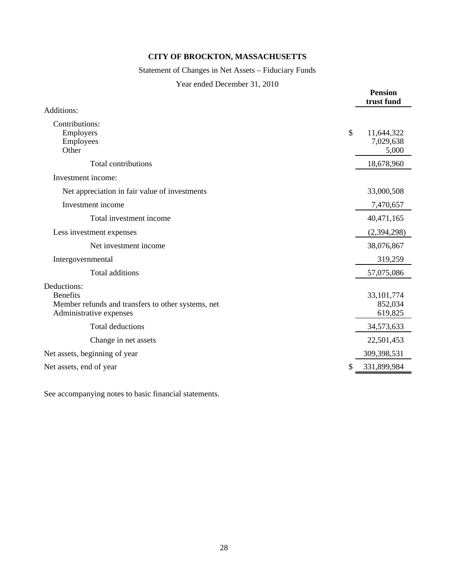# Statement of Changes in Net Assets – Fiduciary Funds

### Year ended December 31, 2010

|                                                                                                                 | trust fund                             |
|-----------------------------------------------------------------------------------------------------------------|----------------------------------------|
| Additions:                                                                                                      |                                        |
| Contributions:<br>Employers<br>Employees<br>Other                                                               | \$<br>11,644,322<br>7,029,638<br>5,000 |
| <b>Total contributions</b>                                                                                      | 18,678,960                             |
| Investment income:                                                                                              |                                        |
| Net appreciation in fair value of investments                                                                   | 33,000,508                             |
| Investment income                                                                                               | 7,470,657                              |
| Total investment income                                                                                         | 40,471,165                             |
| Less investment expenses                                                                                        | (2,394,298)                            |
| Net investment income                                                                                           | 38,076,867                             |
| Intergovernmental                                                                                               | 319,259                                |
| Total additions                                                                                                 | 57,075,086                             |
| Deductions:<br><b>Benefits</b><br>Member refunds and transfers to other systems, net<br>Administrative expenses | 33, 101, 774<br>852,034<br>619,825     |
| <b>Total deductions</b>                                                                                         | 34,573,633                             |
| Change in net assets                                                                                            | 22,501,453                             |
| Net assets, beginning of year                                                                                   | 309,398,531                            |
| Net assets, end of year                                                                                         | \$<br>331,899,984                      |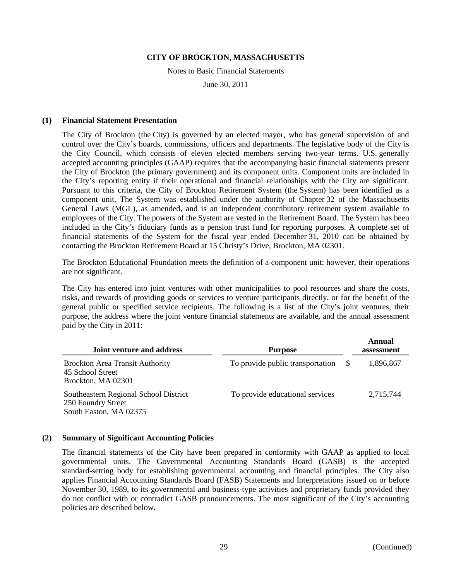Notes to Basic Financial Statements

June 30, 2011

### **(1) Financial Statement Presentation**

The City of Brockton (the City) is governed by an elected mayor, who has general supervision of and control over the City's boards, commissions, officers and departments. The legislative body of the City is the City Council, which consists of eleven elected members serving two-year terms. U.S. generally accepted accounting principles (GAAP) requires that the accompanying basic financial statements present the City of Brockton (the primary government) and its component units. Component units are included in the City's reporting entity if their operational and financial relationships with the City are significant. Pursuant to this criteria, the City of Brockton Retirement System (the System) has been identified as a component unit. The System was established under the authority of Chapter 32 of the Massachusetts General Laws (MGL), as amended, and is an independent contributory retirement system available to employees of the City. The powers of the System are vested in the Retirement Board. The System has been included in the City's fiduciary funds as a pension trust fund for reporting purposes. A complete set of financial statements of the System for the fiscal year ended December 31, 2010 can be obtained by contacting the Brockton Retirement Board at 15 Christy's Drive, Brockton, MA 02301.

The Brockton Educational Foundation meets the definition of a component unit; however, their operations are not significant.

The City has entered into joint ventures with other municipalities to pool resources and share the costs, risks, and rewards of providing goods or services to venture participants directly, or for the benefit of the general public or specified service recipients. The following is a list of the City's joint ventures, their purpose, the address where the joint venture financial statements are available, and the annual assessment paid by the City in 2011:

| Joint venture and address                                                             | <b>Purpose</b>                   |              | Annual<br>assessment |
|---------------------------------------------------------------------------------------|----------------------------------|--------------|----------------------|
| <b>Brockton Area Transit Authority</b><br>45 School Street<br>Brockton, MA 02301      | To provide public transportation | <sup>S</sup> | 1,896,867            |
| Southeastern Regional School District<br>250 Foundry Street<br>South Easton, MA 02375 | To provide educational services  |              | 2,715,744            |

### **(2) Summary of Significant Accounting Policies**

The financial statements of the City have been prepared in conformity with GAAP as applied to local governmental units. The Governmental Accounting Standards Board (GASB) is the accepted standard-setting body for establishing governmental accounting and financial principles. The City also applies Financial Accounting Standards Board (FASB) Statements and Interpretations issued on or before November 30, 1989, to its governmental and business-type activities and proprietary funds provided they do not conflict with or contradict GASB pronouncements. The most significant of the City's accounting policies are described below.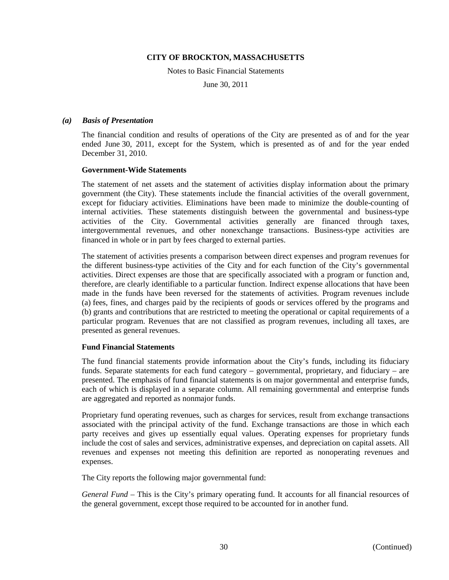Notes to Basic Financial Statements

June 30, 2011

### *(a) Basis of Presentation*

The financial condition and results of operations of the City are presented as of and for the year ended June 30, 2011, except for the System, which is presented as of and for the year ended December 31, 2010.

### **Government-Wide Statements**

The statement of net assets and the statement of activities display information about the primary government (the City). These statements include the financial activities of the overall government, except for fiduciary activities. Eliminations have been made to minimize the double-counting of internal activities. These statements distinguish between the governmental and business-type activities of the City. Governmental activities generally are financed through taxes, intergovernmental revenues, and other nonexchange transactions. Business-type activities are financed in whole or in part by fees charged to external parties.

The statement of activities presents a comparison between direct expenses and program revenues for the different business-type activities of the City and for each function of the City's governmental activities. Direct expenses are those that are specifically associated with a program or function and, therefore, are clearly identifiable to a particular function. Indirect expense allocations that have been made in the funds have been reversed for the statements of activities. Program revenues include (a) fees, fines, and charges paid by the recipients of goods or services offered by the programs and (b) grants and contributions that are restricted to meeting the operational or capital requirements of a particular program. Revenues that are not classified as program revenues, including all taxes, are presented as general revenues.

### **Fund Financial Statements**

The fund financial statements provide information about the City's funds, including its fiduciary funds. Separate statements for each fund category – governmental, proprietary, and fiduciary – are presented. The emphasis of fund financial statements is on major governmental and enterprise funds, each of which is displayed in a separate column. All remaining governmental and enterprise funds are aggregated and reported as nonmajor funds.

Proprietary fund operating revenues, such as charges for services, result from exchange transactions associated with the principal activity of the fund. Exchange transactions are those in which each party receives and gives up essentially equal values. Operating expenses for proprietary funds include the cost of sales and services, administrative expenses, and depreciation on capital assets. All revenues and expenses not meeting this definition are reported as nonoperating revenues and expenses.

The City reports the following major governmental fund:

*General Fund* – This is the City's primary operating fund. It accounts for all financial resources of the general government, except those required to be accounted for in another fund.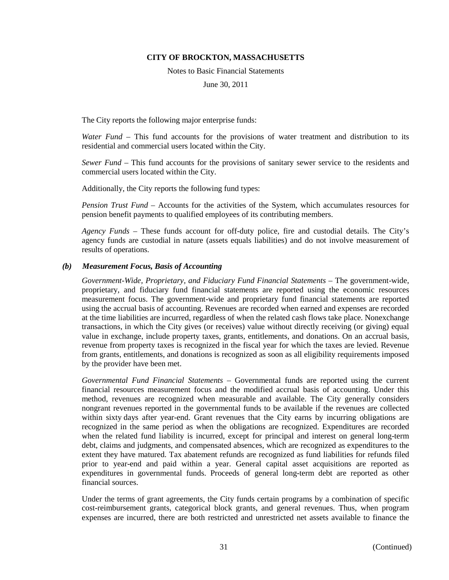Notes to Basic Financial Statements

June 30, 2011

The City reports the following major enterprise funds:

*Water Fund* – This fund accounts for the provisions of water treatment and distribution to its residential and commercial users located within the City.

*Sewer Fund* – This fund accounts for the provisions of sanitary sewer service to the residents and commercial users located within the City.

Additionally, the City reports the following fund types:

*Pension Trust Fund* – Accounts for the activities of the System, which accumulates resources for pension benefit payments to qualified employees of its contributing members.

*Agency Funds* – These funds account for off-duty police, fire and custodial details. The City's agency funds are custodial in nature (assets equals liabilities) and do not involve measurement of results of operations.

### *(b) Measurement Focus, Basis of Accounting*

*Government-Wide, Proprietary, and Fiduciary Fund Financial Statements* – The government-wide, proprietary, and fiduciary fund financial statements are reported using the economic resources measurement focus. The government-wide and proprietary fund financial statements are reported using the accrual basis of accounting. Revenues are recorded when earned and expenses are recorded at the time liabilities are incurred, regardless of when the related cash flows take place. Nonexchange transactions, in which the City gives (or receives) value without directly receiving (or giving) equal value in exchange, include property taxes, grants, entitlements, and donations. On an accrual basis, revenue from property taxes is recognized in the fiscal year for which the taxes are levied. Revenue from grants, entitlements, and donations is recognized as soon as all eligibility requirements imposed by the provider have been met.

*Governmental Fund Financial Statements* – Governmental funds are reported using the current financial resources measurement focus and the modified accrual basis of accounting. Under this method, revenues are recognized when measurable and available. The City generally considers nongrant revenues reported in the governmental funds to be available if the revenues are collected within sixty days after year-end. Grant revenues that the City earns by incurring obligations are recognized in the same period as when the obligations are recognized. Expenditures are recorded when the related fund liability is incurred, except for principal and interest on general long-term debt, claims and judgments, and compensated absences, which are recognized as expenditures to the extent they have matured. Tax abatement refunds are recognized as fund liabilities for refunds filed prior to year-end and paid within a year. General capital asset acquisitions are reported as expenditures in governmental funds. Proceeds of general long-term debt are reported as other financial sources.

Under the terms of grant agreements, the City funds certain programs by a combination of specific cost-reimbursement grants, categorical block grants, and general revenues. Thus, when program expenses are incurred, there are both restricted and unrestricted net assets available to finance the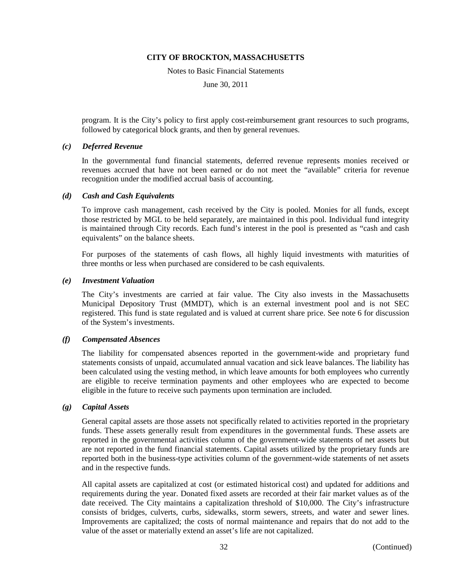Notes to Basic Financial Statements

June 30, 2011

program. It is the City's policy to first apply cost-reimbursement grant resources to such programs, followed by categorical block grants, and then by general revenues.

### *(c) Deferred Revenue*

In the governmental fund financial statements, deferred revenue represents monies received or revenues accrued that have not been earned or do not meet the "available" criteria for revenue recognition under the modified accrual basis of accounting.

### *(d) Cash and Cash Equivalents*

To improve cash management, cash received by the City is pooled. Monies for all funds, except those restricted by MGL to be held separately, are maintained in this pool. Individual fund integrity is maintained through City records. Each fund's interest in the pool is presented as "cash and cash equivalents" on the balance sheets.

For purposes of the statements of cash flows, all highly liquid investments with maturities of three months or less when purchased are considered to be cash equivalents.

### *(e) Investment Valuation*

The City's investments are carried at fair value. The City also invests in the Massachusetts Municipal Depository Trust (MMDT), which is an external investment pool and is not SEC registered. This fund is state regulated and is valued at current share price. See note 6 for discussion of the System's investments.

### *(f) Compensated Absences*

The liability for compensated absences reported in the government-wide and proprietary fund statements consists of unpaid, accumulated annual vacation and sick leave balances. The liability has been calculated using the vesting method, in which leave amounts for both employees who currently are eligible to receive termination payments and other employees who are expected to become eligible in the future to receive such payments upon termination are included.

### *(g) Capital Assets*

General capital assets are those assets not specifically related to activities reported in the proprietary funds. These assets generally result from expenditures in the governmental funds. These assets are reported in the governmental activities column of the government-wide statements of net assets but are not reported in the fund financial statements. Capital assets utilized by the proprietary funds are reported both in the business-type activities column of the government-wide statements of net assets and in the respective funds.

All capital assets are capitalized at cost (or estimated historical cost) and updated for additions and requirements during the year. Donated fixed assets are recorded at their fair market values as of the date received. The City maintains a capitalization threshold of \$10,000. The City's infrastructure consists of bridges, culverts, curbs, sidewalks, storm sewers, streets, and water and sewer lines. Improvements are capitalized; the costs of normal maintenance and repairs that do not add to the value of the asset or materially extend an asset's life are not capitalized.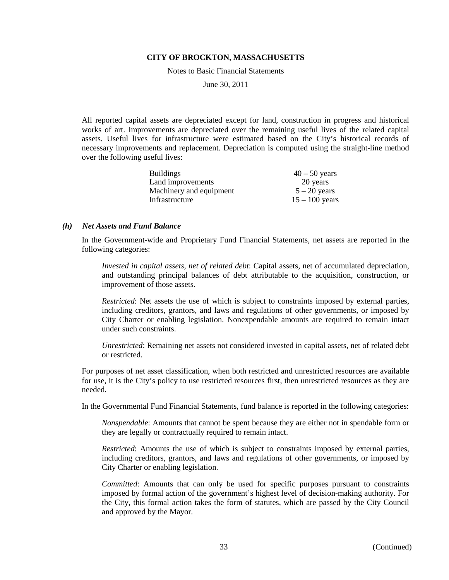Notes to Basic Financial Statements

June 30, 2011

All reported capital assets are depreciated except for land, construction in progress and historical works of art. Improvements are depreciated over the remaining useful lives of the related capital assets. Useful lives for infrastructure were estimated based on the City's historical records of necessary improvements and replacement. Depreciation is computed using the straight-line method over the following useful lives:

| <b>Buildings</b>        | $40 - 50$ years  |
|-------------------------|------------------|
| Land improvements       | 20 years         |
| Machinery and equipment | $5 - 20$ years   |
| Infrastructure          | $15 - 100$ years |

### *(h) Net Assets and Fund Balance*

In the Government-wide and Proprietary Fund Financial Statements, net assets are reported in the following categories:

*Invested in capital assets, net of related debt*: Capital assets, net of accumulated depreciation, and outstanding principal balances of debt attributable to the acquisition, construction, or improvement of those assets.

*Restricted*: Net assets the use of which is subject to constraints imposed by external parties, including creditors, grantors, and laws and regulations of other governments, or imposed by City Charter or enabling legislation. Nonexpendable amounts are required to remain intact under such constraints.

*Unrestricted*: Remaining net assets not considered invested in capital assets, net of related debt or restricted.

For purposes of net asset classification, when both restricted and unrestricted resources are available for use, it is the City's policy to use restricted resources first, then unrestricted resources as they are needed.

In the Governmental Fund Financial Statements, fund balance is reported in the following categories:

*Nonspendable*: Amounts that cannot be spent because they are either not in spendable form or they are legally or contractually required to remain intact.

*Restricted*: Amounts the use of which is subject to constraints imposed by external parties, including creditors, grantors, and laws and regulations of other governments, or imposed by City Charter or enabling legislation.

*Committed*: Amounts that can only be used for specific purposes pursuant to constraints imposed by formal action of the government's highest level of decision-making authority. For the City, this formal action takes the form of statutes, which are passed by the City Council and approved by the Mayor.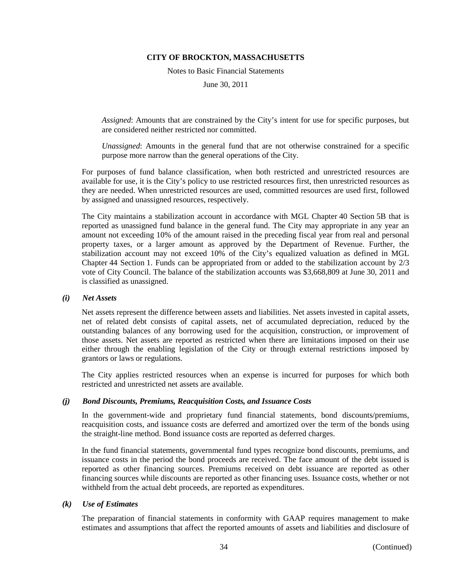Notes to Basic Financial Statements

June 30, 2011

*Assigned*: Amounts that are constrained by the City's intent for use for specific purposes, but are considered neither restricted nor committed.

*Unassigned*: Amounts in the general fund that are not otherwise constrained for a specific purpose more narrow than the general operations of the City.

For purposes of fund balance classification, when both restricted and unrestricted resources are available for use, it is the City's policy to use restricted resources first, then unrestricted resources as they are needed. When unrestricted resources are used, committed resources are used first, followed by assigned and unassigned resources, respectively.

The City maintains a stabilization account in accordance with MGL Chapter 40 Section 5B that is reported as unassigned fund balance in the general fund. The City may appropriate in any year an amount not exceeding 10% of the amount raised in the preceding fiscal year from real and personal property taxes, or a larger amount as approved by the Department of Revenue. Further, the stabilization account may not exceed 10% of the City's equalized valuation as defined in MGL Chapter 44 Section 1. Funds can be appropriated from or added to the stabilization account by 2/3 vote of City Council. The balance of the stabilization accounts was \$3,668,809 at June 30, 2011 and is classified as unassigned.

### *(i) Net Assets*

Net assets represent the difference between assets and liabilities. Net assets invested in capital assets, net of related debt consists of capital assets, net of accumulated depreciation, reduced by the outstanding balances of any borrowing used for the acquisition, construction, or improvement of those assets. Net assets are reported as restricted when there are limitations imposed on their use either through the enabling legislation of the City or through external restrictions imposed by grantors or laws or regulations.

The City applies restricted resources when an expense is incurred for purposes for which both restricted and unrestricted net assets are available.

### *(j) Bond Discounts, Premiums, Reacquisition Costs, and Issuance Costs*

In the government-wide and proprietary fund financial statements, bond discounts/premiums, reacquisition costs, and issuance costs are deferred and amortized over the term of the bonds using the straight-line method. Bond issuance costs are reported as deferred charges.

In the fund financial statements, governmental fund types recognize bond discounts, premiums, and issuance costs in the period the bond proceeds are received. The face amount of the debt issued is reported as other financing sources. Premiums received on debt issuance are reported as other financing sources while discounts are reported as other financing uses. Issuance costs, whether or not withheld from the actual debt proceeds, are reported as expenditures.

### *(k) Use of Estimates*

The preparation of financial statements in conformity with GAAP requires management to make estimates and assumptions that affect the reported amounts of assets and liabilities and disclosure of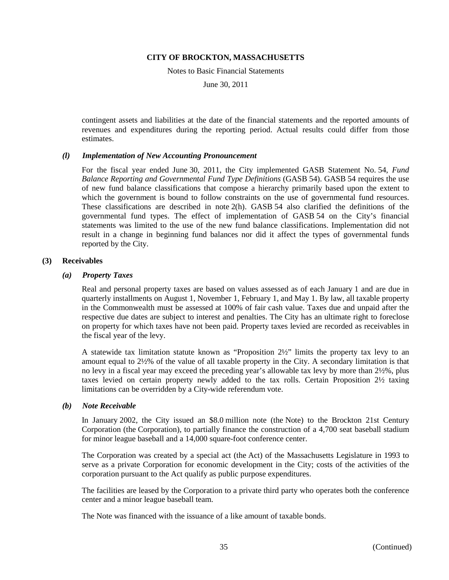Notes to Basic Financial Statements

June 30, 2011

contingent assets and liabilities at the date of the financial statements and the reported amounts of revenues and expenditures during the reporting period. Actual results could differ from those estimates.

### *(l) Implementation of New Accounting Pronouncement*

For the fiscal year ended June 30, 2011, the City implemented GASB Statement No. 54, *Fund Balance Reporting and Governmental Fund Type Definitions* (GASB 54). GASB 54 requires the use of new fund balance classifications that compose a hierarchy primarily based upon the extent to which the government is bound to follow constraints on the use of governmental fund resources. These classifications are described in note 2(h). GASB 54 also clarified the definitions of the governmental fund types. The effect of implementation of GASB 54 on the City's financial statements was limited to the use of the new fund balance classifications. Implementation did not result in a change in beginning fund balances nor did it affect the types of governmental funds reported by the City.

### **(3) Receivables**

### *(a) Property Taxes*

Real and personal property taxes are based on values assessed as of each January 1 and are due in quarterly installments on August 1, November 1, February 1, and May 1. By law, all taxable property in the Commonwealth must be assessed at 100% of fair cash value. Taxes due and unpaid after the respective due dates are subject to interest and penalties. The City has an ultimate right to foreclose on property for which taxes have not been paid. Property taxes levied are recorded as receivables in the fiscal year of the levy.

A statewide tax limitation statute known as "Proposition 2½" limits the property tax levy to an amount equal to 2½% of the value of all taxable property in the City. A secondary limitation is that no levy in a fiscal year may exceed the preceding year's allowable tax levy by more than 2½%, plus taxes levied on certain property newly added to the tax rolls. Certain Proposition 2½ taxing limitations can be overridden by a City-wide referendum vote.

### *(b) Note Receivable*

In January 2002, the City issued an \$8.0 million note (the Note) to the Brockton 21st Century Corporation (the Corporation), to partially finance the construction of a 4,700 seat baseball stadium for minor league baseball and a 14,000 square-foot conference center.

The Corporation was created by a special act (the Act) of the Massachusetts Legislature in 1993 to serve as a private Corporation for economic development in the City; costs of the activities of the corporation pursuant to the Act qualify as public purpose expenditures.

The facilities are leased by the Corporation to a private third party who operates both the conference center and a minor league baseball team.

The Note was financed with the issuance of a like amount of taxable bonds.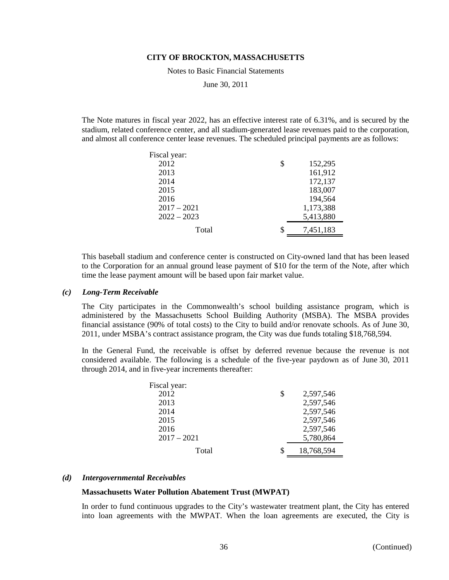Notes to Basic Financial Statements

June 30, 2011

The Note matures in fiscal year 2022, has an effective interest rate of 6.31%, and is secured by the stadium, related conference center, and all stadium-generated lease revenues paid to the corporation, and almost all conference center lease revenues. The scheduled principal payments are as follows:

| Fiscal year:  |   |           |
|---------------|---|-----------|
| 2012          | S | 152,295   |
| 2013          |   | 161,912   |
| 2014          |   | 172,137   |
| 2015          |   | 183,007   |
| 2016          |   | 194,564   |
| $2017 - 2021$ |   | 1,173,388 |
| $2022 - 2023$ |   | 5,413,880 |
| Total         | S | 7,451,183 |

This baseball stadium and conference center is constructed on City-owned land that has been leased to the Corporation for an annual ground lease payment of \$10 for the term of the Note, after which time the lease payment amount will be based upon fair market value.

#### *(c) Long-Term Receivable*

The City participates in the Commonwealth's school building assistance program, which is administered by the Massachusetts School Building Authority (MSBA). The MSBA provides financial assistance (90% of total costs) to the City to build and/or renovate schools. As of June 30, 2011, under MSBA's contract assistance program, the City was due funds totaling \$18,768,594.

In the General Fund, the receivable is offset by deferred revenue because the revenue is not considered available. The following is a schedule of the five-year paydown as of June 30, 2011 through 2014, and in five-year increments thereafter:

| Fiscal year:  |                 |
|---------------|-----------------|
| 2012          | \$<br>2,597,546 |
| 2013          | 2,597,546       |
| 2014          | 2,597,546       |
| 2015          | 2,597,546       |
| 2016          | 2,597,546       |
| $2017 - 2021$ | 5,780,864       |
| Total         | 18,768,594      |

#### *(d) Intergovernmental Receivables*

#### **Massachusetts Water Pollution Abatement Trust (MWPAT)**

In order to fund continuous upgrades to the City's wastewater treatment plant, the City has entered into loan agreements with the MWPAT. When the loan agreements are executed, the City is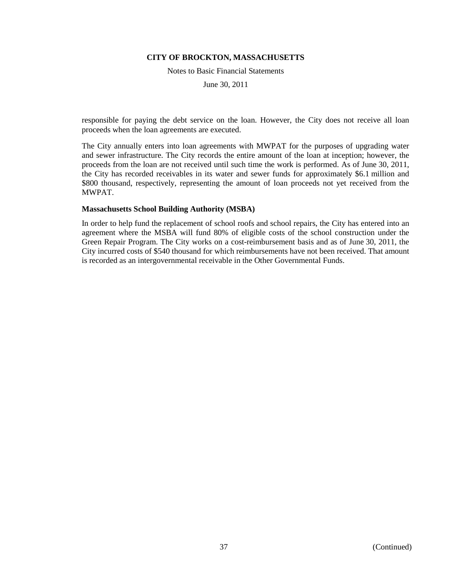Notes to Basic Financial Statements

June 30, 2011

responsible for paying the debt service on the loan. However, the City does not receive all loan proceeds when the loan agreements are executed.

The City annually enters into loan agreements with MWPAT for the purposes of upgrading water and sewer infrastructure. The City records the entire amount of the loan at inception; however, the proceeds from the loan are not received until such time the work is performed. As of June 30, 2011, the City has recorded receivables in its water and sewer funds for approximately \$6.1 million and \$800 thousand, respectively, representing the amount of loan proceeds not yet received from the MWPAT.

### **Massachusetts School Building Authority (MSBA)**

In order to help fund the replacement of school roofs and school repairs, the City has entered into an agreement where the MSBA will fund 80% of eligible costs of the school construction under the Green Repair Program. The City works on a cost-reimbursement basis and as of June 30, 2011, the City incurred costs of \$540 thousand for which reimbursements have not been received. That amount is recorded as an intergovernmental receivable in the Other Governmental Funds.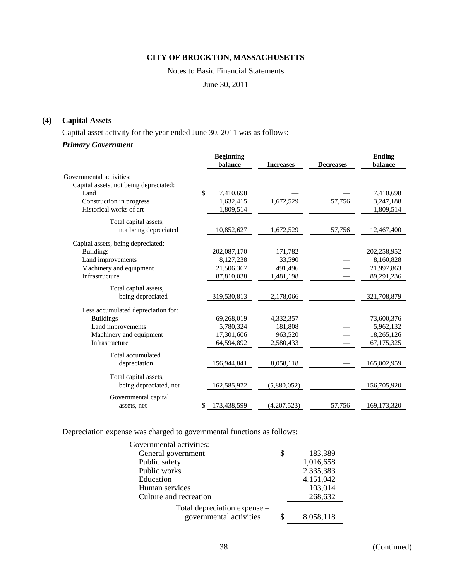Notes to Basic Financial Statements

June 30, 2011

### **(4) Capital Assets**

Capital asset activity for the year ended June 30, 2011 was as follows:

### *Primary Government*

|                                        | <b>Beginning</b>  |                  |                  | Ending        |
|----------------------------------------|-------------------|------------------|------------------|---------------|
|                                        | balance           | <b>Increases</b> | <b>Decreases</b> | balance       |
| Governmental activities:               |                   |                  |                  |               |
| Capital assets, not being depreciated: |                   |                  |                  |               |
| Land                                   | \$<br>7,410,698   |                  |                  | 7,410,698     |
| Construction in progress               | 1,632,415         | 1,672,529        | 57,756           | 3,247,188     |
| Historical works of art                | 1,809,514         |                  |                  | 1,809,514     |
| Total capital assets,                  |                   |                  |                  |               |
| not being depreciated                  | 10,852,627        | 1,672,529        | 57,756           | 12,467,400    |
| Capital assets, being depreciated:     |                   |                  |                  |               |
| <b>Buildings</b>                       | 202,087,170       | 171,782          |                  | 202,258,952   |
| Land improvements                      | 8,127,238         | 33,590           |                  | 8,160,828     |
| Machinery and equipment                | 21,506,367        | 491,496          |                  | 21,997,863    |
| Infrastructure                         | 87,810,038        | 1,481,198        |                  | 89,291,236    |
| Total capital assets,                  |                   |                  |                  |               |
| being depreciated                      | 319,530,813       | 2,178,066        |                  | 321,708,879   |
| Less accumulated depreciation for:     |                   |                  |                  |               |
| <b>Buildings</b>                       | 69,268,019        | 4,332,357        |                  | 73,600,376    |
| Land improvements                      | 5,780,324         | 181,808          |                  | 5,962,132     |
| Machinery and equipment                | 17,301,606        | 963,520          |                  | 18,265,126    |
| Infrastructure                         | 64,594,892        | 2,580,433        |                  | 67, 175, 325  |
| Total accumulated                      |                   |                  |                  |               |
| depreciation                           | 156,944,841       | 8,058,118        |                  | 165,002,959   |
| Total capital assets,                  |                   |                  |                  |               |
| being depreciated, net                 | 162,585,972       | (5,880,052)      |                  | 156,705,920   |
| Governmental capital                   |                   |                  |                  |               |
| assets, net                            | \$<br>173,438,599 | (4,207,523)      | 57,756           | 169, 173, 320 |

Depreciation expense was charged to governmental functions as follows:

| Governmental activities:     |   |           |
|------------------------------|---|-----------|
| General government           | S | 183,389   |
| Public safety                |   | 1,016,658 |
| Public works                 |   | 2,335,383 |
| Education                    |   | 4,151,042 |
| Human services               |   | 103,014   |
| Culture and recreation       |   | 268,632   |
| Total depreciation expense - |   |           |
| governmental activities      |   | 8,058,118 |
|                              |   |           |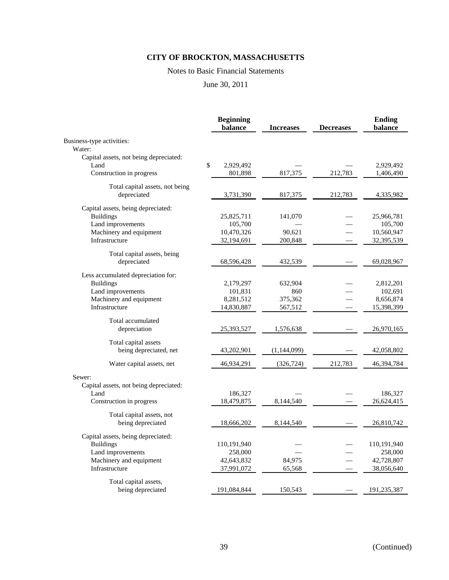### Notes to Basic Financial Statements

### June 30, 2011

|                                        | <b>Beginning</b><br>balance            | <b>Increases</b> | <b>Decreases</b> | <b>Ending</b><br>balance |
|----------------------------------------|----------------------------------------|------------------|------------------|--------------------------|
| Business-type activities:              |                                        |                  |                  |                          |
| Water:                                 |                                        |                  |                  |                          |
| Capital assets, not being depreciated: |                                        |                  |                  |                          |
| Land                                   | $\boldsymbol{\mathsf{S}}$<br>2,929,492 |                  |                  | 2,929,492                |
| Construction in progress               | 801,898                                | 817,375          | 212,783          | 1,406,490                |
| Total capital assets, not being        |                                        |                  |                  |                          |
| depreciated                            | 3,731,390                              | 817,375          | 212,783          | 4,335,982                |
| Capital assets, being depreciated:     |                                        |                  |                  |                          |
| <b>Buildings</b>                       | 25,825,711                             | 141,070          |                  | 25,966,781               |
| Land improvements                      | 105,700                                |                  |                  | 105,700                  |
| Machinery and equipment                | 10,470,326                             | 90,621           |                  | 10,560,947               |
| Infrastructure                         | 32,194,691                             | 200,848          |                  | 32,395,539               |
| Total capital assets, being            |                                        |                  |                  |                          |
| depreciated                            | 68,596,428                             | 432,539          |                  | 69,028,967               |
| Less accumulated depreciation for:     |                                        |                  |                  |                          |
| <b>Buildings</b>                       | 2,179,297                              | 632,904          |                  | 2,812,201                |
| Land improvements                      | 101,831                                | 860              |                  | 102,691                  |
| Machinery and equipment                | 8,281,512                              | 375,362          |                  | 8,656,874                |
| Infrastructure                         | 14,830,887                             | 567,512          |                  | 15,398,399               |
| Total accumulated                      |                                        |                  |                  |                          |
| depreciation                           | 25,393,527                             | 1,576,638        |                  | 26,970,165               |
| Total capital assets                   |                                        |                  |                  |                          |
| being depreciated, net                 | 43,202,901                             | (1,144,099)      |                  | 42,058,802               |
| Water capital assets, net              | 46,934,291                             | (326, 724)       | 212,783          | 46,394,784               |
| Sewer:                                 |                                        |                  |                  |                          |
| Capital assets, not being depreciated: |                                        |                  |                  |                          |
| Land                                   | 186,327                                |                  |                  | 186,327                  |
| Construction in progress               | 18,479,875                             | 8,144,540        |                  | 26,624,415               |
| Total capital assets, not              |                                        |                  |                  |                          |
| being depreciated                      | 18,666,202                             | 8,144,540        |                  | 26,810,742               |
| Capital assets, being depreciated:     |                                        |                  |                  |                          |
| <b>Buildings</b>                       | 110,191,940                            |                  |                  | 110,191,940              |
| Land improvements                      | 258,000                                |                  |                  | 258,000                  |
| Machinery and equipment                | 42,643,832                             | 84,975           |                  | 42,728,807               |
| Infrastructure                         | 37,991,072                             | 65,568           | $\qquad \qquad$  | 38,056,640               |
| Total capital assets,                  |                                        |                  |                  |                          |
| being depreciated                      | 191,084,844                            | 150,543          |                  | 191,235,387              |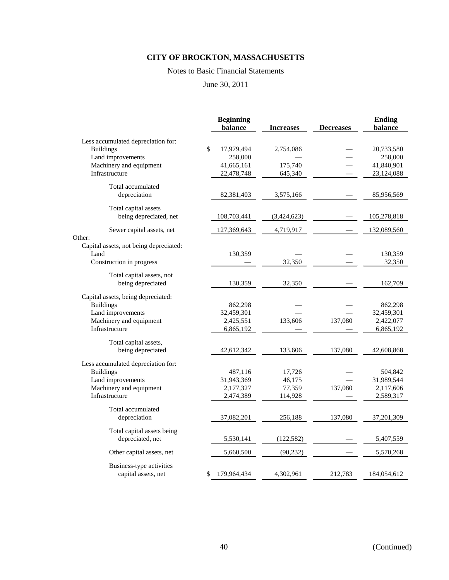### Notes to Basic Financial Statements

### June 30, 2011

|                                        | <b>Beginning</b><br>balance | <b>Increases</b> | <b>Decreases</b> | <b>Ending</b><br>balance |
|----------------------------------------|-----------------------------|------------------|------------------|--------------------------|
| Less accumulated depreciation for:     |                             |                  |                  |                          |
| <b>Buildings</b>                       | \$<br>17,979,494            | 2,754,086        |                  | 20,733,580               |
| Land improvements                      | 258,000                     |                  |                  | 258,000                  |
| Machinery and equipment                | 41,665,161                  | 175,740          |                  | 41,840,901               |
| Infrastructure                         | 22,478,748                  | 645,340          |                  | 23,124,088               |
| Total accumulated                      |                             |                  |                  |                          |
| depreciation                           | 82,381,403                  | 3,575,166        |                  | 85,956,569               |
| Total capital assets                   |                             |                  |                  |                          |
| being depreciated, net                 | 108,703,441                 | (3,424,623)      |                  | 105,278,818              |
| Sewer capital assets, net<br>Other:    | 127,369,643                 | 4,719,917        |                  | 132,089,560              |
| Capital assets, not being depreciated: |                             |                  |                  |                          |
| Land                                   | 130,359                     |                  |                  | 130,359                  |
| Construction in progress               |                             | 32,350           |                  | 32,350                   |
| Total capital assets, not              |                             |                  |                  |                          |
| being depreciated                      | 130,359                     | 32,350           |                  | 162,709                  |
| Capital assets, being depreciated:     |                             |                  |                  |                          |
| <b>Buildings</b>                       | 862,298                     |                  |                  | 862,298                  |
| Land improvements                      | 32,459,301                  |                  |                  | 32,459,301               |
| Machinery and equipment                | 2,425,551                   | 133,606          | 137,080          | 2,422,077                |
| Infrastructure                         | 6,865,192                   |                  |                  | 6,865,192                |
| Total capital assets,                  |                             |                  |                  |                          |
| being depreciated                      | 42,612,342                  | 133,606          | 137,080          | 42,608,868               |
| Less accumulated depreciation for:     |                             |                  |                  |                          |
| <b>Buildings</b>                       | 487,116                     | 17,726           |                  | 504,842                  |
| Land improvements                      | 31,943,369                  | 46,175           |                  | 31,989,544               |
| Machinery and equipment                | 2,177,327                   | 77,359           | 137,080          | 2,117,606                |
| Infrastructure                         | 2,474,389                   | 114,928          |                  | 2,589,317                |
| Total accumulated                      |                             |                  |                  |                          |
| depreciation                           | 37,082,201                  | 256,188          | 137,080          | 37,201,309               |
| Total capital assets being             |                             |                  |                  |                          |
| depreciated, net                       | 5,530,141                   | (122, 582)       |                  | 5,407,559                |
| Other capital assets, net              | 5,660,500                   | (90, 232)        |                  | 5,570,268                |
| Business-type activities               |                             |                  |                  |                          |
| capital assets, net                    | \$<br>179,964,434           | 4,302,961        | 212,783          | 184,054,612              |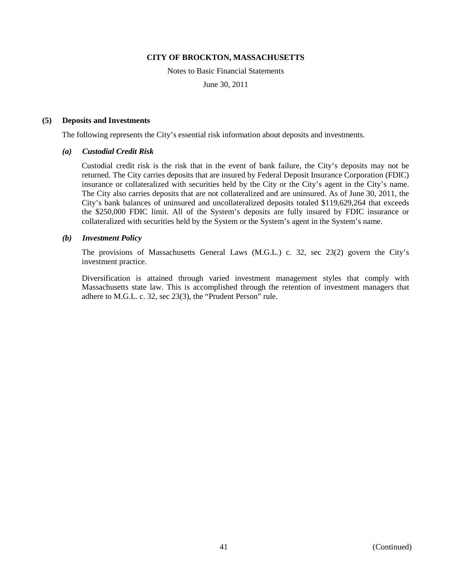Notes to Basic Financial Statements

June 30, 2011

### **(5) Deposits and Investments**

The following represents the City's essential risk information about deposits and investments.

### *(a) Custodial Credit Risk*

Custodial credit risk is the risk that in the event of bank failure, the City's deposits may not be returned. The City carries deposits that are insured by Federal Deposit Insurance Corporation (FDIC) insurance or collateralized with securities held by the City or the City's agent in the City's name. The City also carries deposits that are not collateralized and are uninsured. As of June 30, 2011, the City's bank balances of uninsured and uncollateralized deposits totaled \$119,629,264 that exceeds the \$250,000 FDIC limit. All of the System's deposits are fully insured by FDIC insurance or collateralized with securities held by the System or the System's agent in the System's name.

### *(b) Investment Policy*

The provisions of Massachusetts General Laws (M.G.L.) c. 32, sec 23(2) govern the City's investment practice.

Diversification is attained through varied investment management styles that comply with Massachusetts state law. This is accomplished through the retention of investment managers that adhere to M.G.L. c. 32, sec 23(3), the "Prudent Person" rule.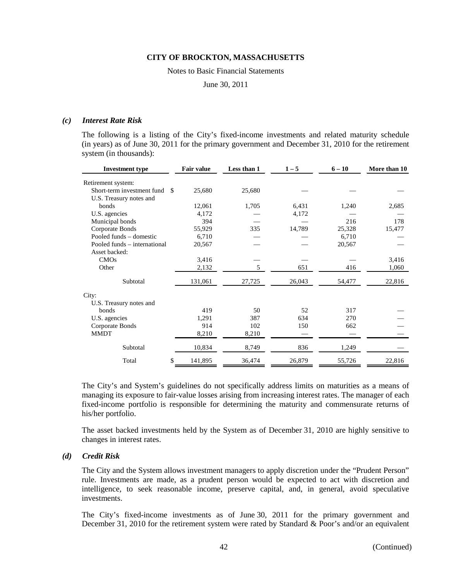#### Notes to Basic Financial Statements

June 30, 2011

#### *(c) Interest Rate Risk*

The following is a listing of the City's fixed-income investments and related maturity schedule (in years) as of June 30, 2011 for the primary government and December 31, 2010 for the retirement system (in thousands):

| <b>Investment type</b>             | <b>Fair value</b> | Less than 1 | $1 - 5$ | $6 - 10$ | More than 10 |
|------------------------------------|-------------------|-------------|---------|----------|--------------|
| Retirement system:                 |                   |             |         |          |              |
| Short-term investment fund<br>- \$ | 25,680            | 25,680      |         |          |              |
| U.S. Treasury notes and            |                   |             |         |          |              |
| bonds                              | 12,061            | 1,705       | 6,431   | 1,240    | 2,685        |
| U.S. agencies                      | 4,172             |             | 4,172   |          |              |
| Municipal bonds                    | 394               |             |         | 216      | 178          |
| Corporate Bonds                    | 55,929            | 335         | 14,789  | 25,328   | 15,477       |
| Pooled funds – domestic            | 6,710             |             |         | 6,710    |              |
| Pooled funds – international       | 20,567            |             |         | 20,567   |              |
| Asset backed:                      |                   |             |         |          |              |
| <b>CMOs</b>                        | 3,416             |             |         |          | 3,416        |
| Other                              | 2,132             | 5           | 651     | 416      | 1,060        |
| Subtotal                           | 131,061           | 27,725      | 26,043  | 54,477   | 22,816       |
| City:                              |                   |             |         |          |              |
| U.S. Treasury notes and            |                   |             |         |          |              |
| bonds                              | 419               | 50          | 52      | 317      |              |
| U.S. agencies                      | 1,291             | 387         | 634     | 270      |              |
| Corporate Bonds                    | 914               | 102         | 150     | 662      |              |
| <b>MMDT</b>                        | 8,210             | 8,210       |         |          |              |
| Subtotal                           | 10,834            | 8,749       | 836     | 1,249    |              |
| \$<br>Total                        | 141,895           | 36,474      | 26,879  | 55,726   | 22,816       |

The City's and System's guidelines do not specifically address limits on maturities as a means of managing its exposure to fair-value losses arising from increasing interest rates. The manager of each fixed-income portfolio is responsible for determining the maturity and commensurate returns of his/her portfolio.

The asset backed investments held by the System as of December 31, 2010 are highly sensitive to changes in interest rates.

### *(d) Credit Risk*

The City and the System allows investment managers to apply discretion under the "Prudent Person" rule. Investments are made, as a prudent person would be expected to act with discretion and intelligence, to seek reasonable income, preserve capital, and, in general, avoid speculative investments.

The City's fixed-income investments as of June 30, 2011 for the primary government and December 31, 2010 for the retirement system were rated by Standard & Poor's and/or an equivalent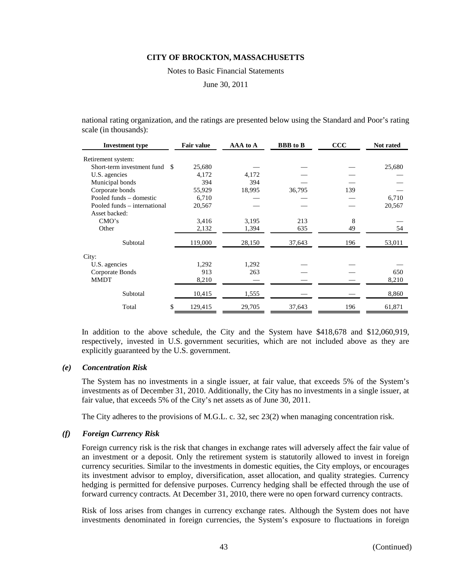Notes to Basic Financial Statements

June 30, 2011

national rating organization, and the ratings are presented below using the Standard and Poor's rating scale (in thousands):

| <b>Investment type</b>        | <b>Fair value</b> | AAA to A | <b>BBB</b> to B | $\bf{CCC}$ | Not rated |
|-------------------------------|-------------------|----------|-----------------|------------|-----------|
| Retirement system:            |                   |          |                 |            |           |
| Short-term investment fund \$ | 25,680            |          |                 |            | 25,680    |
| U.S. agencies                 | 4,172             | 4,172    |                 |            |           |
| Municipal bonds               | 394               | 394      |                 |            |           |
| Corporate bonds               | 55,929            | 18,995   | 36,795          | 139        |           |
| Pooled funds – domestic       | 6,710             |          |                 |            | 6,710     |
| Pooled funds – international  | 20,567            |          |                 |            | 20,567    |
| Asset backed:                 |                   |          |                 |            |           |
| CMO's                         | 3,416             | 3,195    | 213             | 8          |           |
| Other                         | 2,132             | 1,394    | 635             | 49         | 54        |
| Subtotal                      | 119,000           | 28,150   | 37,643          | 196        | 53,011    |
| City:                         |                   |          |                 |            |           |
| U.S. agencies                 | 1,292             | 1,292    |                 |            |           |
| Corporate Bonds               | 913               | 263      |                 |            | 650       |
| <b>MMDT</b>                   | 8,210             |          |                 |            | 8,210     |
| Subtotal                      | 10,415            | 1,555    |                 |            | 8,860     |
| \$<br>Total                   | 129,415           | 29,705   | 37,643          | 196        | 61,871    |

In addition to the above schedule, the City and the System have \$418,678 and \$12,060,919, respectively, invested in U.S. government securities, which are not included above as they are explicitly guaranteed by the U.S. government.

### *(e) Concentration Risk*

The System has no investments in a single issuer, at fair value, that exceeds 5% of the System's investments as of December 31, 2010. Additionally, the City has no investments in a single issuer, at fair value, that exceeds 5% of the City's net assets as of June 30, 2011.

The City adheres to the provisions of M.G.L. c. 32, sec 23(2) when managing concentration risk.

### *(f) Foreign Currency Risk*

Foreign currency risk is the risk that changes in exchange rates will adversely affect the fair value of an investment or a deposit. Only the retirement system is statutorily allowed to invest in foreign currency securities. Similar to the investments in domestic equities, the City employs, or encourages its investment advisor to employ, diversification, asset allocation, and quality strategies. Currency hedging is permitted for defensive purposes. Currency hedging shall be effected through the use of forward currency contracts. At December 31, 2010, there were no open forward currency contracts.

Risk of loss arises from changes in currency exchange rates. Although the System does not have investments denominated in foreign currencies, the System's exposure to fluctuations in foreign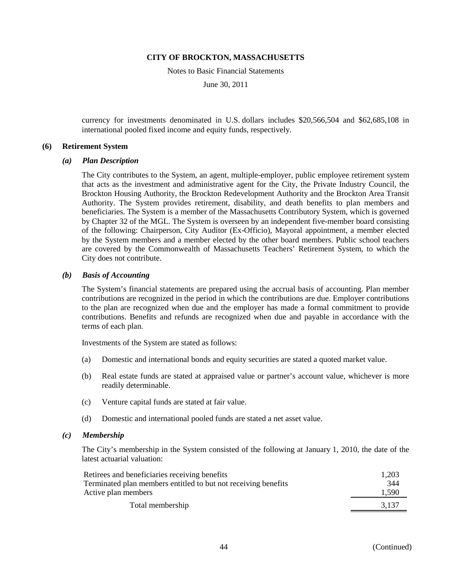Notes to Basic Financial Statements

June 30, 2011

currency for investments denominated in U.S. dollars includes \$20,566,504 and \$62,685,108 in international pooled fixed income and equity funds, respectively.

#### **(6) Retirement System**

#### *(a) Plan Description*

The City contributes to the System, an agent, multiple-employer, public employee retirement system that acts as the investment and administrative agent for the City, the Private Industry Council, the Brockton Housing Authority, the Brockton Redevelopment Authority and the Brockton Area Transit Authority. The System provides retirement, disability, and death benefits to plan members and beneficiaries. The System is a member of the Massachusetts Contributory System, which is governed by Chapter 32 of the MGL. The System is overseen by an independent five-member board consisting of the following: Chairperson, City Auditor (Ex-Officio), Mayoral appointment, a member elected by the System members and a member elected by the other board members. Public school teachers are covered by the Commonwealth of Massachusetts Teachers' Retirement System, to which the City does not contribute.

### *(b) Basis of Accounting*

The System's financial statements are prepared using the accrual basis of accounting. Plan member contributions are recognized in the period in which the contributions are due. Employer contributions to the plan are recognized when due and the employer has made a formal commitment to provide contributions. Benefits and refunds are recognized when due and payable in accordance with the terms of each plan.

Investments of the System are stated as follows:

- (a) Domestic and international bonds and equity securities are stated a quoted market value.
- (b) Real estate funds are stated at appraised value or partner's account value, whichever is more readily determinable.
- (c) Venture capital funds are stated at fair value.
- (d) Domestic and international pooled funds are stated a net asset value.

### *(c) Membership*

The City's membership in the System consisted of the following at January 1, 2010, the date of the latest actuarial valuation:

| Retirees and beneficiaries receiving benefits                  | 1.203 |
|----------------------------------------------------------------|-------|
| Terminated plan members entitled to but not receiving benefits | 344   |
| Active plan members                                            | 1.590 |
| Total membership                                               | 3.137 |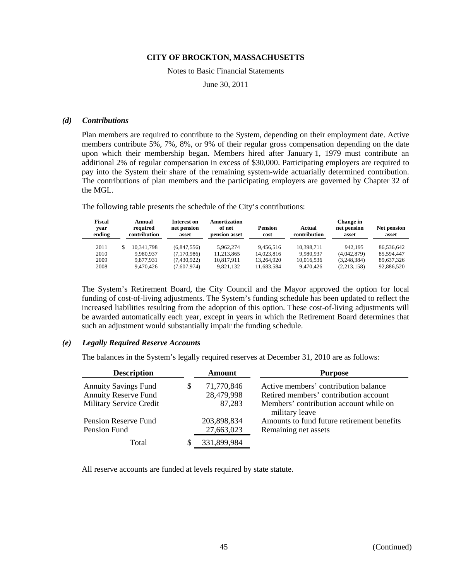#### Notes to Basic Financial Statements

June 30, 2011

#### *(d) Contributions*

Plan members are required to contribute to the System, depending on their employment date. Active members contribute 5%, 7%, 8%, or 9% of their regular gross compensation depending on the date upon which their membership began. Members hired after January 1, 1979 must contribute an additional 2% of regular compensation in excess of \$30,000. Participating employers are required to pay into the System their share of the remaining system-wide actuarially determined contribution. The contributions of plan members and the participating employers are governed by Chapter 32 of the MGL.

The following table presents the schedule of the City's contributions:

| Fiscal<br>vear<br>ending | Annual<br>required<br>contribution | Interest on<br>net pension<br>asset | Amortization<br>of net<br>pension asset | <b>Pension</b><br>cost | Actual<br>contribution | <b>Change in</b><br>net pension<br>asset | Net pension<br>asset |
|--------------------------|------------------------------------|-------------------------------------|-----------------------------------------|------------------------|------------------------|------------------------------------------|----------------------|
| 2011                     | 10.341.798                         | (6.847.556)                         | 5.962.274                               | 9.456.516              | 10.398.711             | 942.195                                  | 86.536.642           |
| 2010                     | 9.980.937                          | (7.170.986)                         | 11.213.865                              | 14,023,816             | 9.980.937              | (4,042,879)                              | 85.594.447           |
| 2009                     | 9.877.931                          | (7,430,922)                         | 10.817.911                              | 13.264.920             | 10,016,536             | (3,248,384)                              | 89,637,326           |
| 2008                     | 9.470.426                          | (7,607,974)                         | 9.821.132                               | 11,683,584             | 9.470.426              | (2,213,158)                              | 92,886,520           |

The System's Retirement Board, the City Council and the Mayor approved the option for local funding of cost-of-living adjustments. The System's funding schedule has been updated to reflect the increased liabilities resulting from the adoption of this option. These cost-of-living adjustments will be awarded automatically each year, except in years in which the Retirement Board determines that such an adjustment would substantially impair the funding schedule.

### *(e) Legally Required Reserve Accounts*

The balances in the System's legally required reserves at December 31, 2010 are as follows:

| <b>Description</b>          |    | Amount      | <b>Purpose</b>                                           |
|-----------------------------|----|-------------|----------------------------------------------------------|
| <b>Annuity Savings Fund</b> | \$ | 71,770,846  | Active members' contribution balance                     |
| <b>Annuity Reserve Fund</b> |    | 28,479,998  | Retired members' contribution account                    |
| Military Service Credit     |    | 87,283      | Members' contribution account while on<br>military leave |
| Pension Reserve Fund        |    | 203,898,834 | Amounts to fund future retirement benefits               |
| Pension Fund                |    | 27,663,023  | Remaining net assets                                     |
| Total                       | S  | 331,899,984 |                                                          |

All reserve accounts are funded at levels required by state statute.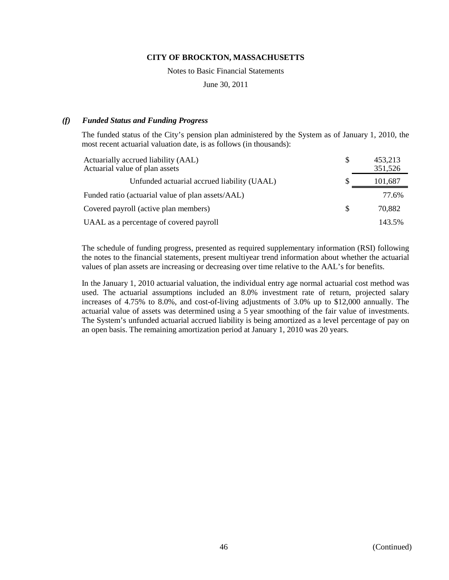Notes to Basic Financial Statements

June 30, 2011

### *(f) Funded Status and Funding Progress*

The funded status of the City's pension plan administered by the System as of January 1, 2010, the most recent actuarial valuation date, is as follows (in thousands):

| Actuarially accrued liability (AAL)<br>Actuarial value of plan assets |   | 453,213<br>351,526 |
|-----------------------------------------------------------------------|---|--------------------|
| Unfunded actuarial accrued liability (UAAL)                           | S | 101,687            |
| Funded ratio (actuarial value of plan assets/AAL)                     |   | 77.6%              |
| Covered payroll (active plan members)                                 | S | 70,882             |
| UAAL as a percentage of covered payroll                               |   | 143.5%             |

The schedule of funding progress, presented as required supplementary information (RSI) following the notes to the financial statements, present multiyear trend information about whether the actuarial values of plan assets are increasing or decreasing over time relative to the AAL's for benefits.

In the January 1, 2010 actuarial valuation, the individual entry age normal actuarial cost method was used. The actuarial assumptions included an 8.0% investment rate of return, projected salary increases of 4.75% to 8.0%, and cost-of-living adjustments of 3.0% up to \$12,000 annually. The actuarial value of assets was determined using a 5 year smoothing of the fair value of investments. The System's unfunded actuarial accrued liability is being amortized as a level percentage of pay on an open basis. The remaining amortization period at January 1, 2010 was 20 years.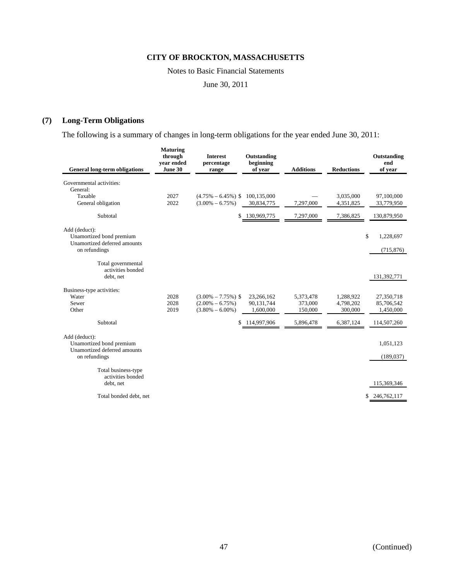### Notes to Basic Financial Statements

June 30, 2011

### **(7) Long-Term Obligations**

The following is a summary of changes in long-term obligations for the year ended June 30, 2011:

| <b>General long-term obligations</b>                     | <b>Maturing</b><br>through<br>vear ended<br>June 30 | <b>Interest</b><br>percentage<br>range | Outstanding<br>beginning<br>of year | <b>Additions</b> | <b>Reductions</b> | Outstanding<br>end<br>of year |
|----------------------------------------------------------|-----------------------------------------------------|----------------------------------------|-------------------------------------|------------------|-------------------|-------------------------------|
| Governmental activities:                                 |                                                     |                                        |                                     |                  |                   |                               |
| General:<br>Taxable                                      | 2027                                                | $(4.75\% - 6.45\%)$ \$                 | 100,135,000                         |                  | 3,035,000         | 97,100,000                    |
| General obligation                                       | 2022                                                | $(3.00\% - 6.75\%)$                    | 30,834,775                          | 7,297,000        | 4,351,825         | 33,779,950                    |
|                                                          |                                                     |                                        |                                     |                  |                   |                               |
| Subtotal                                                 |                                                     | S                                      | 130,969,775                         | 7,297,000        | 7,386,825         | 130,879,950                   |
| Add (deduct):                                            |                                                     |                                        |                                     |                  |                   |                               |
| Unamortized bond premium<br>Unamortized deferred amounts |                                                     |                                        |                                     |                  |                   | \$<br>1,228,697               |
| on refundings                                            |                                                     |                                        |                                     |                  |                   | (715, 876)                    |
| Total governmental<br>activities bonded                  |                                                     |                                        |                                     |                  |                   |                               |
| debt, net                                                |                                                     |                                        |                                     |                  |                   | 131,392,771                   |
| Business-type activities:                                |                                                     |                                        |                                     |                  |                   |                               |
| Water                                                    | 2028                                                | $(3.00\% - 7.75\%)$ \$                 | 23,266,162                          | 5,373,478        | 1,288,922         | 27,350,718                    |
| Sewer                                                    | 2028                                                | $(2.00\% - 6.75\%)$                    | 90,131,744                          | 373,000          | 4,798,202         | 85,706,542                    |
| Other                                                    | 2019                                                | $(3.80\% - 6.00\%)$                    | 1,600,000                           | 150,000          | 300,000           | 1,450,000                     |
| Subtotal                                                 |                                                     | \$                                     | 114,997,906                         | 5,896,478        | 6,387,124         | 114,507,260                   |
| Add (deduct):                                            |                                                     |                                        |                                     |                  |                   |                               |
| Unamortized bond premium                                 |                                                     |                                        |                                     |                  |                   | 1,051,123                     |
| Unamortized deferred amounts<br>on refundings            |                                                     |                                        |                                     |                  |                   | (189, 037)                    |
|                                                          |                                                     |                                        |                                     |                  |                   |                               |
| Total business-type                                      |                                                     |                                        |                                     |                  |                   |                               |
| activities bonded                                        |                                                     |                                        |                                     |                  |                   | 115,369,346                   |
| debt, net                                                |                                                     |                                        |                                     |                  |                   |                               |
| Total bonded debt, net                                   |                                                     |                                        |                                     |                  |                   | 246,762,117                   |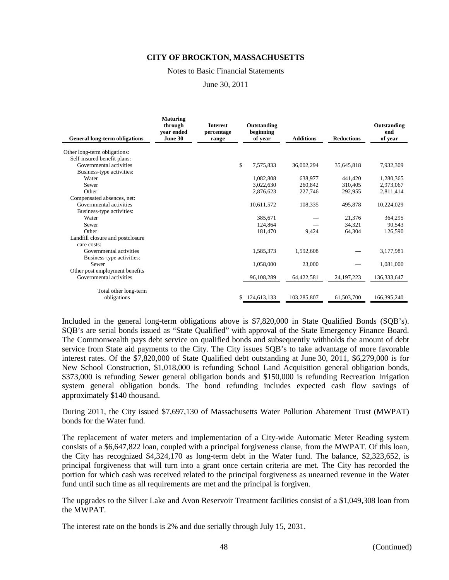#### Notes to Basic Financial Statements

June 30, 2011

| <b>General long-term obligations</b> | <b>Maturing</b><br>through<br>vear ended<br>June 30 | <b>Interest</b><br>percentage<br>range |    | Outstanding<br>beginning<br>of year | <b>Additions</b> | <b>Reductions</b> | Outstanding<br>end<br>of year |
|--------------------------------------|-----------------------------------------------------|----------------------------------------|----|-------------------------------------|------------------|-------------------|-------------------------------|
|                                      |                                                     |                                        |    |                                     |                  |                   |                               |
| Other long-term obligations:         |                                                     |                                        |    |                                     |                  |                   |                               |
| Self-insured benefit plans:          |                                                     |                                        |    |                                     |                  |                   |                               |
| Governmental activities              |                                                     |                                        | \$ | 7,575,833                           | 36,002,294       | 35,645,818        | 7,932,309                     |
| Business-type activities:            |                                                     |                                        |    |                                     |                  |                   |                               |
| Water                                |                                                     |                                        |    | 1,082,808                           | 638,977          | 441,420           | 1,280,365                     |
| Sewer                                |                                                     |                                        |    | 3,022,630                           | 260,842          | 310,405           | 2,973,067                     |
| Other                                |                                                     |                                        |    | 2.876.623                           | 227,746          | 292,955           | 2,811,414                     |
| Compensated absences, net:           |                                                     |                                        |    |                                     |                  |                   |                               |
| Governmental activities              |                                                     |                                        |    | 10,611,572                          | 108,335          | 495,878           | 10,224,029                    |
| Business-type activities:            |                                                     |                                        |    |                                     |                  |                   |                               |
| Water                                |                                                     |                                        |    | 385,671                             |                  | 21,376            | 364,295                       |
| Sewer                                |                                                     |                                        |    | 124,864                             |                  | 34,321            | 90,543                        |
| Other                                |                                                     |                                        |    | 181.470                             | 9,424            | 64,304            | 126,590                       |
| Landfill closure and postclosure     |                                                     |                                        |    |                                     |                  |                   |                               |
| care costs:                          |                                                     |                                        |    |                                     |                  |                   |                               |
| Governmental activities              |                                                     |                                        |    | 1,585,373                           | 1,592,608        |                   | 3,177,981                     |
| Business-type activities:            |                                                     |                                        |    |                                     |                  |                   |                               |
| Sewer                                |                                                     |                                        |    | 1,058,000                           | 23,000           |                   | 1,081,000                     |
| Other post employment benefits       |                                                     |                                        |    |                                     |                  |                   |                               |
| Governmental activities              |                                                     |                                        |    | 96,108,289                          | 64,422,581       | 24, 197, 223      | 136, 333, 647                 |
| Total other long-term                |                                                     |                                        |    |                                     |                  |                   |                               |
| obligations                          |                                                     |                                        | S. | 124,613,133                         | 103,285,807      | 61,503,700        | 166, 395, 240                 |

Included in the general long-term obligations above is \$7,820,000 in State Qualified Bonds (SQB's). SQB's are serial bonds issued as "State Qualified" with approval of the State Emergency Finance Board. The Commonwealth pays debt service on qualified bonds and subsequently withholds the amount of debt service from State aid payments to the City. The City issues SQB's to take advantage of more favorable interest rates. Of the \$7,820,000 of State Qualified debt outstanding at June 30, 2011, \$6,279,000 is for New School Construction, \$1,018,000 is refunding School Land Acquisition general obligation bonds, \$373,000 is refunding Sewer general obligation bonds and \$150,000 is refunding Recreation Irrigation system general obligation bonds. The bond refunding includes expected cash flow savings of approximately \$140 thousand.

During 2011, the City issued \$7,697,130 of Massachusetts Water Pollution Abatement Trust (MWPAT) bonds for the Water fund.

The replacement of water meters and implementation of a City-wide Automatic Meter Reading system consists of a \$6,647,822 loan, coupled with a principal forgiveness clause, from the MWPAT. Of this loan, the City has recognized \$4,324,170 as long-term debt in the Water fund. The balance, \$2,323,652, is principal forgiveness that will turn into a grant once certain criteria are met. The City has recorded the portion for which cash was received related to the principal forgiveness as unearned revenue in the Water fund until such time as all requirements are met and the principal is forgiven.

The upgrades to the Silver Lake and Avon Reservoir Treatment facilities consist of a \$1,049,308 loan from the MWPAT.

The interest rate on the bonds is 2% and due serially through July 15, 2031.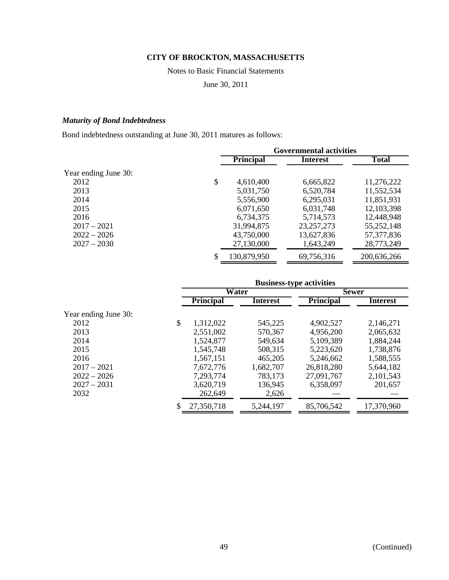Notes to Basic Financial Statements

June 30, 2011

### *Maturity of Bond Indebtedness*

Bond indebtedness outstanding at June 30, 2011 matures as follows:

|                      |                   | <b>Governmental activities</b> |              |
|----------------------|-------------------|--------------------------------|--------------|
|                      | <b>Principal</b>  | <b>Interest</b>                | <b>Total</b> |
| Year ending June 30: |                   |                                |              |
| 2012                 | \$<br>4,610,400   | 6,665,822                      | 11,276,222   |
| 2013                 | 5,031,750         | 6,520,784                      | 11,552,534   |
| 2014                 | 5,556,900         | 6,295,031                      | 11,851,931   |
| 2015                 | 6,071,650         | 6,031,748                      | 12, 103, 398 |
| 2016                 | 6,734,375         | 5,714,573                      | 12,448,948   |
| $2017 - 2021$        | 31,994,875        | 23, 257, 273                   | 55,252,148   |
| $2022 - 2026$        | 43,750,000        | 13,627,836                     | 57, 377, 836 |
| $2027 - 2030$        | 27,130,000        | 1,643,249                      | 28,773,249   |
|                      | \$<br>130,879,950 | 69,756,316                     | 200,636,266  |

| <b>Business-type activities</b> |                 |                  |              |  |  |
|---------------------------------|-----------------|------------------|--------------|--|--|
|                                 |                 |                  | <b>Sewer</b> |  |  |
| <b>Principal</b>                | <b>Interest</b> | <b>Principal</b> | Interest     |  |  |
|                                 |                 |                  |              |  |  |
| \$<br>1,312,022                 | 545,225         | 4,902,527        | 2,146,271    |  |  |
| 2,551,002                       | 570,367         | 4,956,200        | 2,065,632    |  |  |
| 1,524,877                       | 549,634         | 5,109,389        | 1,884,244    |  |  |
| 1,545,748                       | 508,315         | 5,223,620        | 1,738,876    |  |  |
| 1,567,151                       | 465,205         | 5,246,662        | 1,588,555    |  |  |
| 7,672,776                       | 1,682,707       | 26,818,280       | 5,644,182    |  |  |
| 7,293,774                       | 783,173         | 27,091,767       | 2,101,543    |  |  |
| 3,620,719                       | 136,945         | 6,358,097        | 201,657      |  |  |
| 262,649                         | 2,626           |                  |              |  |  |
| 27,350,718                      | 5,244,197       | 85,706,542       | 17,370,960   |  |  |
|                                 |                 | Water            |              |  |  |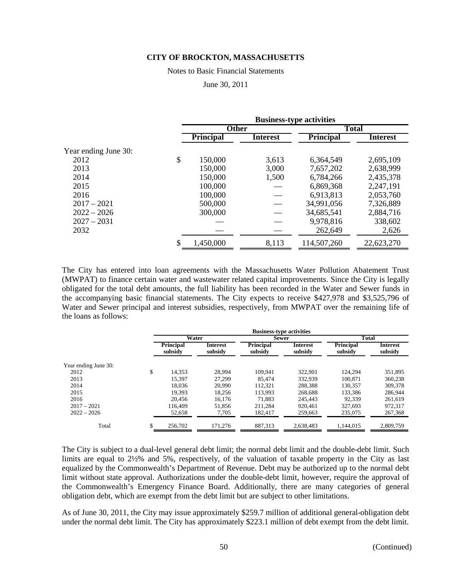### Notes to Basic Financial Statements

### June 30, 2011

|                      | <b>Business-type activities</b> |          |                  |                 |  |  |
|----------------------|---------------------------------|----------|------------------|-----------------|--|--|
|                      | <b>Other</b>                    |          | <b>Total</b>     |                 |  |  |
|                      | <b>Principal</b>                | Interest | <b>Principal</b> | <b>Interest</b> |  |  |
| Year ending June 30: |                                 |          |                  |                 |  |  |
| 2012                 | \$<br>150,000                   | 3,613    | 6,364,549        | 2,695,109       |  |  |
| 2013                 | 150,000                         | 3,000    | 7,657,202        | 2,638,999       |  |  |
| 2014                 | 150,000                         | 1,500    | 6,784,266        | 2,435,378       |  |  |
| 2015                 | 100,000                         |          | 6,869,368        | 2,247,191       |  |  |
| 2016                 | 100,000                         |          | 6,913,813        | 2,053,760       |  |  |
| $2017 - 2021$        | 500,000                         |          | 34,991,056       | 7,326,889       |  |  |
| $2022 - 2026$        | 300,000                         |          | 34,685,541       | 2,884,716       |  |  |
| $2027 - 2031$        |                                 |          | 9,978,816        | 338,602         |  |  |
| 2032                 |                                 |          | 262,649          | 2,626           |  |  |
|                      | \$<br>1,450,000                 | 8,113    | 114,507,260      | 22,623,270      |  |  |

The City has entered into loan agreements with the Massachusetts Water Pollution Abatement Trust (MWPAT) to finance certain water and wastewater related capital improvements. Since the City is legally obligated for the total debt amounts, the full liability has been recorded in the Water and Sewer funds in the accompanying basic financial statements. The City expects to receive \$427,978 and \$3,525,796 of Water and Sewer principal and interest subsidies, respectively, from MWPAT over the remaining life of the loans as follows:

|                      | <b>Business-type activities</b> |                     |                      |                            |                             |                            |  |  |  |
|----------------------|---------------------------------|---------------------|----------------------|----------------------------|-----------------------------|----------------------------|--|--|--|
|                      | Water                           |                     | <b>Sewer</b>         |                            | Total                       |                            |  |  |  |
|                      | <b>Principal</b><br>subsidy     | Interest<br>subsidy | Principal<br>subsidy | <b>Interest</b><br>subsidy | <b>Principal</b><br>subsidy | <b>Interest</b><br>subsidy |  |  |  |
| Year ending June 30: |                                 |                     |                      |                            |                             |                            |  |  |  |
| 2012                 | \$<br>14,353                    | 28.994              | 109.941              | 322.901                    | 124.294                     | 351,895                    |  |  |  |
| 2013                 | 15.397                          | 27.299              | 85.474               | 332.939                    | 100.871                     | 360,238                    |  |  |  |
| 2014                 | 18,036                          | 20,990              | 112,321              | 288,388                    | 130,357                     | 309,378                    |  |  |  |
| 2015                 | 19.393                          | 18.256              | 113.993              | 268,688                    | 133.386                     | 286,944                    |  |  |  |
| 2016                 | 20.456                          | 16.176              | 71,883               | 245,443                    | 92.339                      | 261,619                    |  |  |  |
| $2017 - 2021$        | 116.409                         | 51.856              | 211.284              | 920.461                    | 327.693                     | 972.317                    |  |  |  |
| $2022 - 2026$        | 52,658                          | 7,705               | 182.417              | 259,663                    | 235,075                     | 267,368                    |  |  |  |
| Total                | 256,702                         | 171,276             | 887.313              | 2.638.483                  | 1.144.015                   | 2.809.759                  |  |  |  |

The City is subject to a dual-level general debt limit; the normal debt limit and the double-debt limit. Such limits are equal to 2½% and 5%, respectively, of the valuation of taxable property in the City as last equalized by the Commonwealth's Department of Revenue. Debt may be authorized up to the normal debt limit without state approval. Authorizations under the double-debt limit, however, require the approval of the Commonwealth's Emergency Finance Board. Additionally, there are many categories of general obligation debt, which are exempt from the debt limit but are subject to other limitations.

As of June 30, 2011, the City may issue approximately \$259.7 million of additional general-obligation debt under the normal debt limit. The City has approximately \$223.1 million of debt exempt from the debt limit.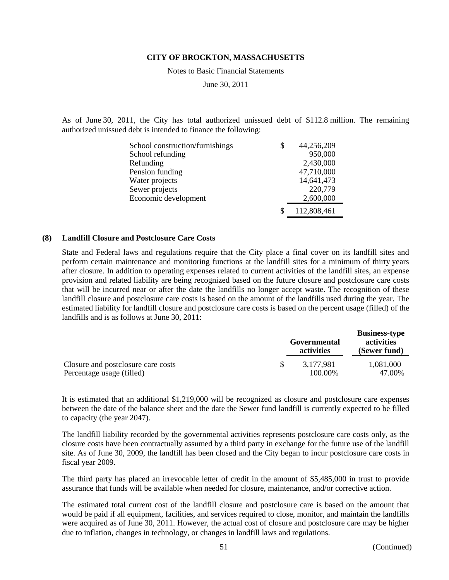Notes to Basic Financial Statements

June 30, 2011

As of June 30, 2011, the City has total authorized unissued debt of \$112.8 million. The remaining authorized unissued debt is intended to finance the following:

| School construction/furnishings | \$ | 44,256,209  |
|---------------------------------|----|-------------|
| School refunding                |    | 950,000     |
| Refunding                       |    | 2,430,000   |
| Pension funding                 |    | 47,710,000  |
| Water projects                  |    | 14,641,473  |
| Sewer projects                  |    | 220,779     |
| Economic development            |    | 2,600,000   |
|                                 | S  | 112,808,461 |

### **(8) Landfill Closure and Postclosure Care Costs**

State and Federal laws and regulations require that the City place a final cover on its landfill sites and perform certain maintenance and monitoring functions at the landfill sites for a minimum of thirty years after closure. In addition to operating expenses related to current activities of the landfill sites, an expense provision and related liability are being recognized based on the future closure and postclosure care costs that will be incurred near or after the date the landfills no longer accept waste. The recognition of these landfill closure and postclosure care costs is based on the amount of the landfills used during the year. The estimated liability for landfill closure and postclosure care costs is based on the percent usage (filled) of the landfills and is as follows at June 30, 2011:

|                                    | Governmental<br>activities | <b>Business-type</b><br>activities<br>(Sewer fund) |
|------------------------------------|----------------------------|----------------------------------------------------|
| Closure and postclosure care costs | 3.177.981                  | 1,081,000                                          |
| Percentage usage (filled)          | 100.00%                    | 47.00%                                             |

It is estimated that an additional \$1,219,000 will be recognized as closure and postclosure care expenses between the date of the balance sheet and the date the Sewer fund landfill is currently expected to be filled to capacity (the year 2047).

The landfill liability recorded by the governmental activities represents postclosure care costs only, as the closure costs have been contractually assumed by a third party in exchange for the future use of the landfill site. As of June 30, 2009, the landfill has been closed and the City began to incur postclosure care costs in fiscal year 2009.

The third party has placed an irrevocable letter of credit in the amount of \$5,485,000 in trust to provide assurance that funds will be available when needed for closure, maintenance, and/or corrective action.

The estimated total current cost of the landfill closure and postclosure care is based on the amount that would be paid if all equipment, facilities, and services required to close, monitor, and maintain the landfills were acquired as of June 30, 2011. However, the actual cost of closure and postclosure care may be higher due to inflation, changes in technology, or changes in landfill laws and regulations.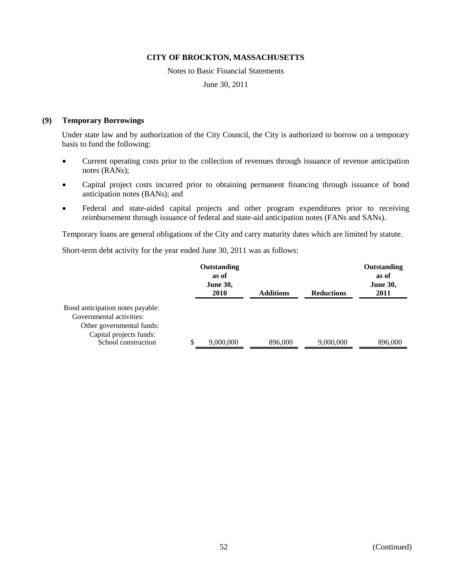#### Notes to Basic Financial Statements

### June 30, 2011

### **(9) Temporary Borrowings**

Under state law and by authorization of the City Council, the City is authorized to borrow on a temporary basis to fund the following:

- Current operating costs prior to the collection of revenues through issuance of revenue anticipation notes (RANs);
- Capital project costs incurred prior to obtaining permanent financing through issuance of bond anticipation notes (BANs); and
- Federal and state-aided capital projects and other program expenditures prior to receiving reimbursement through issuance of federal and state-aid anticipation notes (FANs and SANs).

Temporary loans are general obligations of the City and carry maturity dates which are limited by statute.

Short-term debt activity for the year ended June 30, 2011 was as follows:

|                                                                                                                      | Outstanding<br>as of<br><b>June 30,</b><br>2010 | <b>Additions</b> | <b>Reductions</b> | Outstanding<br>as of<br><b>June 30,</b><br>2011 |
|----------------------------------------------------------------------------------------------------------------------|-------------------------------------------------|------------------|-------------------|-------------------------------------------------|
| Bond anticipation notes payable:<br>Governmental activities:<br>Other governmental funds:<br>Capital projects funds: |                                                 |                  |                   |                                                 |
| School construction                                                                                                  | \$<br>9,000,000                                 | 896,000          | 9,000,000         | 896,000                                         |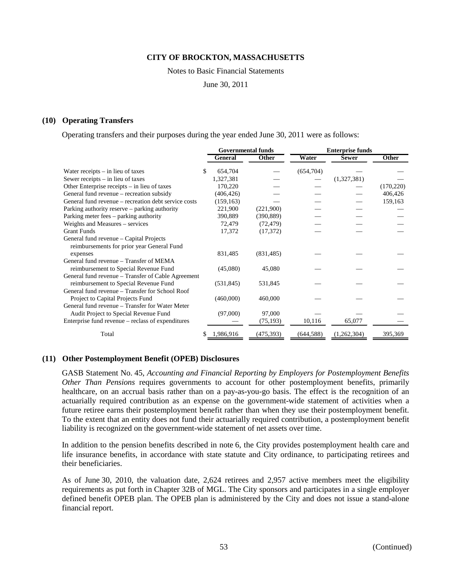#### Notes to Basic Financial Statements

June 30, 2011

### **(10) Operating Transfers**

Operating transfers and their purposes during the year ended June 30, 2011 were as follows:

|                                                                                       |     | <b>Governmental funds</b> |              |            | <b>Enterprise funds</b> |              |  |
|---------------------------------------------------------------------------------------|-----|---------------------------|--------------|------------|-------------------------|--------------|--|
|                                                                                       |     | <b>General</b>            | <b>Other</b> | Water      | <b>Sewer</b>            | <b>Other</b> |  |
| Water receipts $-$ in lieu of taxes                                                   | \$. | 654,704                   |              | (654, 704) |                         |              |  |
| Sewer receipts – in lieu of taxes                                                     |     | 1,327,381                 |              |            | (1,327,381)             |              |  |
| Other Enterprise receipts – in lieu of taxes                                          |     | 170,220                   |              |            |                         | (170, 220)   |  |
| General fund revenue – recreation subsidy                                             |     | (406, 426)                |              |            |                         | 406,426      |  |
| General fund revenue – recreation debt service costs                                  |     | (159, 163)                |              |            |                         | 159,163      |  |
| Parking authority reserve – parking authority                                         |     | 221,900                   | (221,900)    |            |                         |              |  |
| Parking meter fees – parking authority                                                |     | 390,889                   | (390, 889)   |            |                         |              |  |
| Weights and Measures – services                                                       |     | 72,479                    | (72, 479)    |            |                         |              |  |
| <b>Grant Funds</b>                                                                    |     | 17,372                    | (17, 372)    |            |                         |              |  |
| General fund revenue – Capital Projects<br>reimbursements for prior year General Fund |     |                           |              |            |                         |              |  |
| expenses                                                                              |     | 831,485                   | (831, 485)   |            |                         |              |  |
| General fund revenue – Transfer of MEMA                                               |     |                           |              |            |                         |              |  |
| reimbursement to Special Revenue Fund                                                 |     | (45,080)                  | 45,080       |            |                         |              |  |
| General fund revenue – Transfer of Cable Agreement                                    |     |                           |              |            |                         |              |  |
| reimbursement to Special Revenue Fund                                                 |     | (531, 845)                | 531,845      |            |                         |              |  |
| General fund revenue – Transfer for School Roof                                       |     |                           |              |            |                         |              |  |
| Project to Capital Projects Fund                                                      |     | (460,000)                 | 460,000      |            |                         |              |  |
| General fund revenue – Transfer for Water Meter                                       |     |                           |              |            |                         |              |  |
| Audit Project to Special Revenue Fund                                                 |     | (97,000)                  | 97,000       |            |                         |              |  |
| Enterprise fund revenue – reclass of expenditures                                     |     |                           | (75, 193)    | 10,116     | 65,077                  |              |  |
| Total                                                                                 |     | 1,986,916                 | (475, 393)   | (644, 588) | (1,262,304)             | 395,369      |  |

### **(11) Other Postemployment Benefit (OPEB) Disclosures**

GASB Statement No. 45, *Accounting and Financial Reporting by Employers for Postemployment Benefits Other Than Pensions* requires governments to account for other postemployment benefits, primarily healthcare, on an accrual basis rather than on a pay-as-you-go basis. The effect is the recognition of an actuarially required contribution as an expense on the government-wide statement of activities when a future retiree earns their postemployment benefit rather than when they use their postemployment benefit. To the extent that an entity does not fund their actuarially required contribution, a postemployment benefit liability is recognized on the government-wide statement of net assets over time.

In addition to the pension benefits described in note 6, the City provides postemployment health care and life insurance benefits, in accordance with state statute and City ordinance, to participating retirees and their beneficiaries.

As of June 30, 2010, the valuation date, 2,624 retirees and 2,957 active members meet the eligibility requirements as put forth in Chapter 32B of MGL. The City sponsors and participates in a single employer defined benefit OPEB plan. The OPEB plan is administered by the City and does not issue a stand-alone financial report.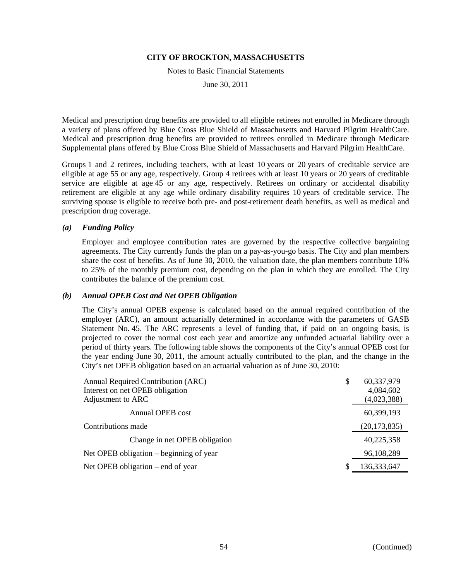Notes to Basic Financial Statements

June 30, 2011

Medical and prescription drug benefits are provided to all eligible retirees not enrolled in Medicare through a variety of plans offered by Blue Cross Blue Shield of Massachusetts and Harvard Pilgrim HealthCare. Medical and prescription drug benefits are provided to retirees enrolled in Medicare through Medicare Supplemental plans offered by Blue Cross Blue Shield of Massachusetts and Harvard Pilgrim HealthCare.

Groups 1 and 2 retirees, including teachers, with at least 10 years or 20 years of creditable service are eligible at age 55 or any age, respectively. Group 4 retirees with at least 10 years or 20 years of creditable service are eligible at age 45 or any age, respectively. Retirees on ordinary or accidental disability retirement are eligible at any age while ordinary disability requires 10 years of creditable service. The surviving spouse is eligible to receive both pre- and post-retirement death benefits, as well as medical and prescription drug coverage.

### *(a) Funding Policy*

Employer and employee contribution rates are governed by the respective collective bargaining agreements. The City currently funds the plan on a pay-as-you-go basis. The City and plan members share the cost of benefits. As of June 30, 2010, the valuation date, the plan members contribute 10% to 25% of the monthly premium cost, depending on the plan in which they are enrolled. The City contributes the balance of the premium cost.

### *(b) Annual OPEB Cost and Net OPEB Obligation*

The City's annual OPEB expense is calculated based on the annual required contribution of the employer (ARC), an amount actuarially determined in accordance with the parameters of GASB Statement No. 45. The ARC represents a level of funding that, if paid on an ongoing basis, is projected to cover the normal cost each year and amortize any unfunded actuarial liability over a period of thirty years. The following table shows the components of the City's annual OPEB cost for the year ending June 30, 2011, the amount actually contributed to the plan, and the change in the City's net OPEB obligation based on an actuarial valuation as of June 30, 2010:

| Annual Required Contribution (ARC)      | S | 60,337,979     |
|-----------------------------------------|---|----------------|
| Interest on net OPEB obligation         |   | 4,084,602      |
| Adjustment to ARC                       |   | (4,023,388)    |
| Annual OPEB cost                        |   | 60,399,193     |
| Contributions made                      |   | (20, 173, 835) |
| Change in net OPEB obligation           |   | 40,225,358     |
| Net OPEB obligation – beginning of year |   | 96,108,289     |
| Net OPEB obligation – end of year       |   | 136, 333, 647  |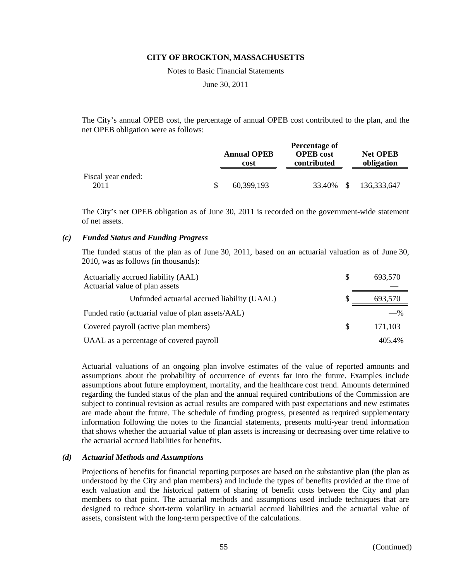Notes to Basic Financial Statements

June 30, 2011

The City's annual OPEB cost, the percentage of annual OPEB cost contributed to the plan, and the net OPEB obligation were as follows:

|                            | Percentage of              |                                 |  |                               |  |
|----------------------------|----------------------------|---------------------------------|--|-------------------------------|--|
|                            | <b>Annual OPEB</b><br>cost | <b>OPEB</b> cost<br>contributed |  | <b>Net OPEB</b><br>obligation |  |
| Fiscal year ended:<br>2011 | 60.399.193                 | 33.40% \$                       |  | 136,333,647                   |  |

The City's net OPEB obligation as of June 30, 2011 is recorded on the government-wide statement of net assets.

### *(c) Funded Status and Funding Progress*

The funded status of the plan as of June 30, 2011, based on an actuarial valuation as of June 30, 2010, was as follows (in thousands):

| Actuarially accrued liability (AAL)<br>Actuarial value of plan assets |              | 693.570 |
|-----------------------------------------------------------------------|--------------|---------|
| Unfunded actuarial accrued liability (UAAL)                           | <sup>8</sup> | 693,570 |
| Funded ratio (actuarial value of plan assets/AAL)                     |              | $-$ %   |
| Covered payroll (active plan members)                                 | <b>S</b>     | 171,103 |
| UAAL as a percentage of covered payroll                               |              | 405.4%  |

Actuarial valuations of an ongoing plan involve estimates of the value of reported amounts and assumptions about the probability of occurrence of events far into the future. Examples include assumptions about future employment, mortality, and the healthcare cost trend. Amounts determined regarding the funded status of the plan and the annual required contributions of the Commission are subject to continual revision as actual results are compared with past expectations and new estimates are made about the future. The schedule of funding progress, presented as required supplementary information following the notes to the financial statements, presents multi-year trend information that shows whether the actuarial value of plan assets is increasing or decreasing over time relative to the actuarial accrued liabilities for benefits.

### *(d) Actuarial Methods and Assumptions*

Projections of benefits for financial reporting purposes are based on the substantive plan (the plan as understood by the City and plan members) and include the types of benefits provided at the time of each valuation and the historical pattern of sharing of benefit costs between the City and plan members to that point. The actuarial methods and assumptions used include techniques that are designed to reduce short-term volatility in actuarial accrued liabilities and the actuarial value of assets, consistent with the long-term perspective of the calculations.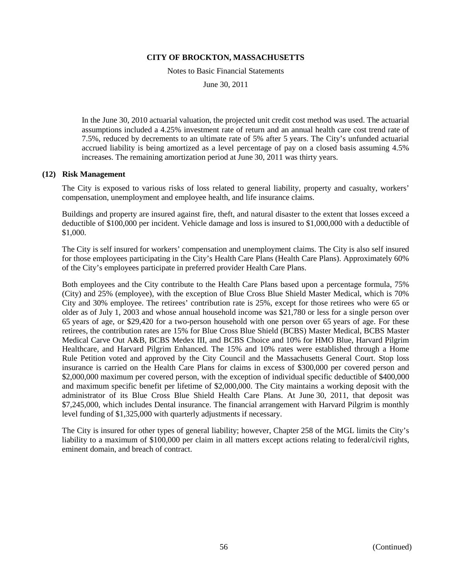Notes to Basic Financial Statements

June 30, 2011

In the June 30, 2010 actuarial valuation, the projected unit credit cost method was used. The actuarial assumptions included a 4.25% investment rate of return and an annual health care cost trend rate of 7.5%, reduced by decrements to an ultimate rate of 5% after 5 years. The City's unfunded actuarial accrued liability is being amortized as a level percentage of pay on a closed basis assuming 4.5% increases. The remaining amortization period at June 30, 2011 was thirty years.

#### **(12) Risk Management**

The City is exposed to various risks of loss related to general liability, property and casualty, workers' compensation, unemployment and employee health, and life insurance claims.

Buildings and property are insured against fire, theft, and natural disaster to the extent that losses exceed a deductible of \$100,000 per incident. Vehicle damage and loss is insured to \$1,000,000 with a deductible of \$1,000.

The City is self insured for workers' compensation and unemployment claims. The City is also self insured for those employees participating in the City's Health Care Plans (Health Care Plans). Approximately 60% of the City's employees participate in preferred provider Health Care Plans.

Both employees and the City contribute to the Health Care Plans based upon a percentage formula, 75% (City) and 25% (employee), with the exception of Blue Cross Blue Shield Master Medical, which is 70% City and 30% employee. The retirees' contribution rate is 25%, except for those retirees who were 65 or older as of July 1, 2003 and whose annual household income was \$21,780 or less for a single person over 65 years of age, or \$29,420 for a two-person household with one person over 65 years of age. For these retirees, the contribution rates are 15% for Blue Cross Blue Shield (BCBS) Master Medical, BCBS Master Medical Carve Out A&B, BCBS Medex III, and BCBS Choice and 10% for HMO Blue, Harvard Pilgrim Healthcare, and Harvard Pilgrim Enhanced. The 15% and 10% rates were established through a Home Rule Petition voted and approved by the City Council and the Massachusetts General Court. Stop loss insurance is carried on the Health Care Plans for claims in excess of \$300,000 per covered person and \$2,000,000 maximum per covered person, with the exception of individual specific deductible of \$400,000 and maximum specific benefit per lifetime of \$2,000,000. The City maintains a working deposit with the administrator of its Blue Cross Blue Shield Health Care Plans. At June 30, 2011, that deposit was \$7,245,000, which includes Dental insurance. The financial arrangement with Harvard Pilgrim is monthly level funding of \$1,325,000 with quarterly adjustments if necessary.

The City is insured for other types of general liability; however, Chapter 258 of the MGL limits the City's liability to a maximum of \$100,000 per claim in all matters except actions relating to federal/civil rights, eminent domain, and breach of contract.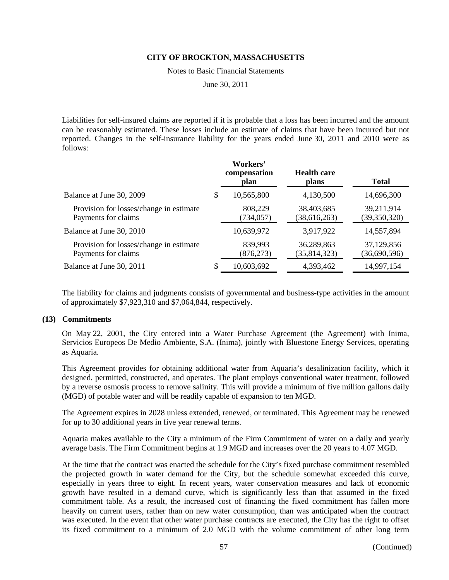Notes to Basic Financial Statements

June 30, 2011

Liabilities for self-insured claims are reported if it is probable that a loss has been incurred and the amount can be reasonably estimated. These losses include an estimate of claims that have been incurred but not reported. Changes in the self-insurance liability for the years ended June 30, 2011 and 2010 were as follows:

|                                                                |   | Workers'<br>compensation<br>plan | <b>Health care</b><br>plans  | <b>Total</b>               |
|----------------------------------------------------------------|---|----------------------------------|------------------------------|----------------------------|
| Balance at June 30, 2009                                       | S | 10,565,800                       | 4,130,500                    | 14,696,300                 |
| Provision for losses/change in estimate<br>Payments for claims |   | 808,229<br>(734, 057)            | 38,403,685<br>(38, 616, 263) | 39,211,914<br>(39,350,320) |
| Balance at June 30, 2010                                       |   | 10,639,972                       | 3,917,922                    | 14,557,894                 |
| Provision for losses/change in estimate<br>Payments for claims |   | 839,993<br>(876, 273)            | 36,289,863<br>(35, 814, 323) | 37,129,856<br>(36,690,596) |
| Balance at June 30, 2011                                       |   | 10,603,692                       | 4,393,462                    | 14,997,154                 |

The liability for claims and judgments consists of governmental and business-type activities in the amount of approximately \$7,923,310 and \$7,064,844, respectively.

### **(13) Commitments**

On May 22, 2001, the City entered into a Water Purchase Agreement (the Agreement) with Inima, Servicios Europeos De Medio Ambiente, S.A. (Inima), jointly with Bluestone Energy Services, operating as Aquaria.

This Agreement provides for obtaining additional water from Aquaria's desalinization facility, which it designed, permitted, constructed, and operates. The plant employs conventional water treatment, followed by a reverse osmosis process to remove salinity. This will provide a minimum of five million gallons daily (MGD) of potable water and will be readily capable of expansion to ten MGD.

The Agreement expires in 2028 unless extended, renewed, or terminated. This Agreement may be renewed for up to 30 additional years in five year renewal terms.

Aquaria makes available to the City a minimum of the Firm Commitment of water on a daily and yearly average basis. The Firm Commitment begins at 1.9 MGD and increases over the 20 years to 4.07 MGD.

At the time that the contract was enacted the schedule for the City's fixed purchase commitment resembled the projected growth in water demand for the City, but the schedule somewhat exceeded this curve, especially in years three to eight. In recent years, water conservation measures and lack of economic growth have resulted in a demand curve, which is significantly less than that assumed in the fixed commitment table. As a result, the increased cost of financing the fixed commitment has fallen more heavily on current users, rather than on new water consumption, than was anticipated when the contract was executed. In the event that other water purchase contracts are executed, the City has the right to offset its fixed commitment to a minimum of 2.0 MGD with the volume commitment of other long term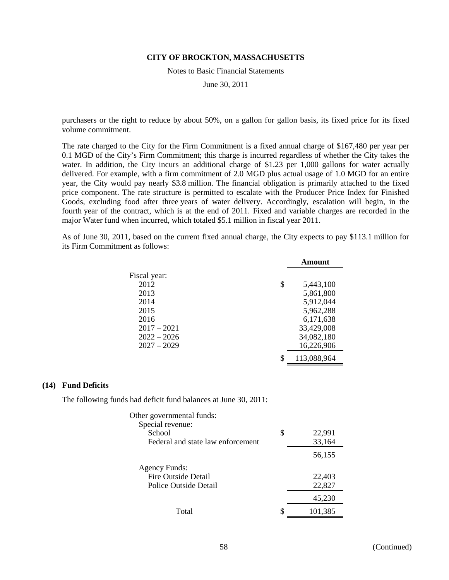Notes to Basic Financial Statements

June 30, 2011

purchasers or the right to reduce by about 50%, on a gallon for gallon basis, its fixed price for its fixed volume commitment.

The rate charged to the City for the Firm Commitment is a fixed annual charge of \$167,480 per year per 0.1 MGD of the City's Firm Commitment; this charge is incurred regardless of whether the City takes the water. In addition, the City incurs an additional charge of \$1.23 per 1,000 gallons for water actually delivered. For example, with a firm commitment of 2.0 MGD plus actual usage of 1.0 MGD for an entire year, the City would pay nearly \$3.8 million. The financial obligation is primarily attached to the fixed price component. The rate structure is permitted to escalate with the Producer Price Index for Finished Goods, excluding food after three years of water delivery. Accordingly, escalation will begin, in the fourth year of the contract, which is at the end of 2011. Fixed and variable charges are recorded in the major Water fund when incurred, which totaled \$5.1 million in fiscal year 2011.

As of June 30, 2011, based on the current fixed annual charge, the City expects to pay \$113.1 million for its Firm Commitment as follows:

|               | Amount            |
|---------------|-------------------|
| Fiscal year:  |                   |
| 2012          | \$<br>5,443,100   |
| 2013          | 5,861,800         |
| 2014          | 5,912,044         |
| 2015          | 5,962,288         |
| 2016          | 6,171,638         |
| $2017 - 2021$ | 33,429,008        |
| $2022 - 2026$ | 34,082,180        |
| $2027 - 2029$ | 16,226,906        |
|               | \$<br>113,088,964 |

#### **(14) Fund Deficits**

The following funds had deficit fund balances at June 30, 2011:

| Other governmental funds:         |              |
|-----------------------------------|--------------|
| Special revenue:                  |              |
| School                            | \$<br>22,991 |
| Federal and state law enforcement | 33,164       |
|                                   | 56,155       |
| <b>Agency Funds:</b>              |              |
| Fire Outside Detail               | 22,403       |
| Police Outside Detail             | 22,827       |
|                                   | 45,230       |
| Total                             | 101,385      |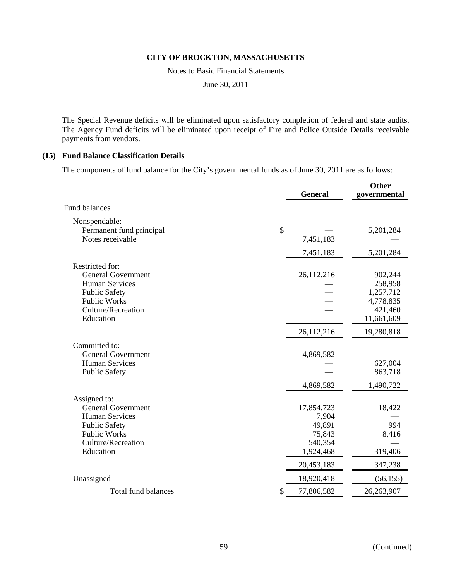Notes to Basic Financial Statements

June 30, 2011

The Special Revenue deficits will be eliminated upon satisfactory completion of federal and state audits. The Agency Fund deficits will be eliminated upon receipt of Fire and Police Outside Details receivable payments from vendors.

### **(15) Fund Balance Classification Details**

The components of fund balance for the City's governmental funds as of June 30, 2011 are as follows:

|                           | <b>General</b>   | Other<br>governmental |
|---------------------------|------------------|-----------------------|
|                           |                  |                       |
| <b>Fund balances</b>      |                  |                       |
| Nonspendable:             |                  |                       |
| Permanent fund principal  | \$               | 5,201,284             |
| Notes receivable          | 7,451,183        |                       |
|                           | 7,451,183        | 5,201,284             |
| Restricted for:           |                  |                       |
| <b>General Government</b> | 26,112,216       | 902,244               |
| <b>Human Services</b>     |                  | 258,958               |
| <b>Public Safety</b>      |                  | 1,257,712             |
| <b>Public Works</b>       |                  | 4,778,835             |
| <b>Culture/Recreation</b> |                  | 421,460               |
| Education                 |                  | 11,661,609            |
|                           | 26,112,216       | 19,280,818            |
| Committed to:             |                  |                       |
| <b>General Government</b> | 4,869,582        |                       |
| <b>Human Services</b>     |                  | 627,004               |
| <b>Public Safety</b>      |                  | 863,718               |
|                           | 4,869,582        | 1,490,722             |
| Assigned to:              |                  |                       |
| General Government        | 17,854,723       | 18,422                |
| <b>Human Services</b>     | 7,904            |                       |
| <b>Public Safety</b>      | 49,891           | 994                   |
| <b>Public Works</b>       | 75,843           | 8,416                 |
| Culture/Recreation        | 540,354          |                       |
| Education                 | 1,924,468        | 319,406               |
|                           | 20,453,183       | 347,238               |
| Unassigned                | 18,920,418       | (56, 155)             |
| Total fund balances       | \$<br>77,806,582 | 26,263,907            |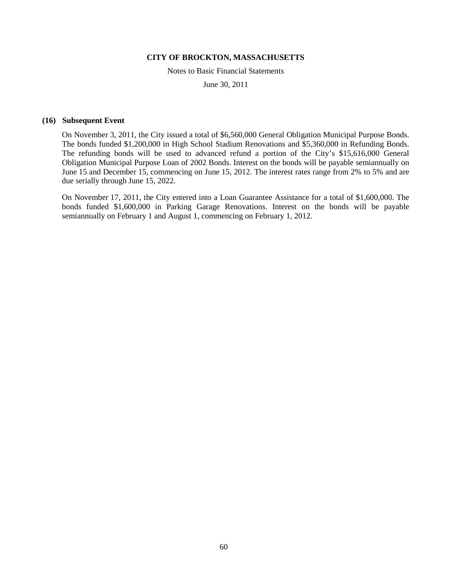Notes to Basic Financial Statements

June 30, 2011

### **(16) Subsequent Event**

On November 3, 2011, the City issued a total of \$6,560,000 General Obligation Municipal Purpose Bonds. The bonds funded \$1,200,000 in High School Stadium Renovations and \$5,360,000 in Refunding Bonds. The refunding bonds will be used to advanced refund a portion of the City's \$15,616,000 General Obligation Municipal Purpose Loan of 2002 Bonds. Interest on the bonds will be payable semiannually on June 15 and December 15, commencing on June 15, 2012. The interest rates range from 2% to 5% and are due serially through June 15, 2022.

On November 17, 2011, the City entered into a Loan Guarantee Assistance for a total of \$1,600,000. The bonds funded \$1,600,000 in Parking Garage Renovations. Interest on the bonds will be payable semiannually on February 1 and August 1, commencing on February 1, 2012.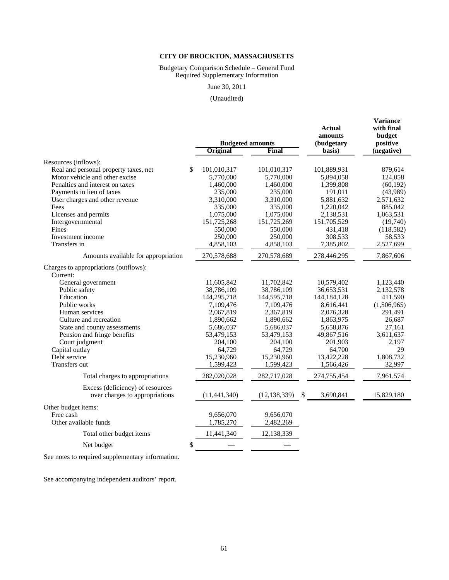#### Budgetary Comparison Schedule – General Fund Required Supplementary Information

### June 30, 2011

### (Unaudited)

**Variance**

|                                       |                         |                |   | <b>Actual</b><br>amounts | with final<br>budget |
|---------------------------------------|-------------------------|----------------|---|--------------------------|----------------------|
|                                       | <b>Budgeted amounts</b> |                |   | (budgetary               | positive             |
|                                       | <b>Original</b>         | Final          |   | basis)                   | (negative)           |
| Resources (inflows):                  |                         |                |   |                          |                      |
| Real and personal property taxes, net | \$<br>101,010,317       | 101,010,317    |   | 101,889,931              | 879,614              |
| Motor vehicle and other excise        | 5,770,000               | 5,770,000      |   | 5,894,058                | 124,058              |
| Penalties and interest on taxes       | 1,460,000               | 1,460,000      |   | 1,399,808                | (60, 192)            |
| Payments in lieu of taxes             | 235,000                 | 235,000        |   | 191,011                  | (43,989)             |
| User charges and other revenue        | 3,310,000               | 3,310,000      |   | 5,881,632                | 2,571,632            |
| Fees                                  | 335,000                 | 335,000        |   | 1,220,042                | 885,042              |
| Licenses and permits                  | 1,075,000               | 1,075,000      |   | 2,138,531                | 1,063,531            |
| Intergovernmental                     | 151,725,268             | 151,725,269    |   | 151,705,529              | (19,740)             |
| Fines                                 | 550,000                 | 550,000        |   | 431,418                  | (118,582)            |
| Investment income                     | 250,000                 | 250,000        |   | 308,533                  | 58,533               |
| Transfers in                          | 4,858,103               | 4,858,103      |   | 7,385,802                | 2,527,699            |
| Amounts available for appropriation   | 270,578,688             | 270,578,689    |   | 278,446,295              | 7,867,606            |
| Charges to appropriations (outflows): |                         |                |   |                          |                      |
| Current:                              |                         |                |   |                          |                      |
| General government                    | 11,605,842              | 11,702,842     |   | 10,579,402               | 1,123,440            |
| Public safety                         | 38,786,109              | 38,786,109     |   | 36,653,531               | 2,132,578            |
| Education                             | 144,295,718             | 144,595,718    |   | 144, 184, 128            | 411,590              |
| Public works                          | 7,109,476               | 7,109,476      |   | 8,616,441                | (1,506,965)          |
| Human services                        | 2,067,819               | 2,367,819      |   | 2,076,328                | 291,491              |
| Culture and recreation                | 1,890,662               | 1,890,662      |   | 1,863,975                | 26,687               |
| State and county assessments          | 5,686,037               | 5,686,037      |   | 5,658,876                | 27,161               |
| Pension and fringe benefits           | 53,479,153              | 53,479,153     |   | 49,867,516               | 3,611,637            |
| Court judgment                        | 204,100                 | 204,100        |   | 201,903                  | 2,197                |
| Capital outlay                        | 64,729                  | 64,729         |   | 64,700                   | 29                   |
| Debt service                          | 15,230,960              | 15,230,960     |   | 13,422,228               | 1,808,732            |
| <b>Transfers out</b>                  | 1,599,423               | 1,599,423      |   | 1,566,426                | 32,997               |
| Total charges to appropriations       | 282,020,028             | 282,717,028    |   | 274,755,454              | 7,961,574            |
| Excess (deficiency) of resources      |                         |                |   |                          |                      |
| over charges to appropriations        | (11, 441, 340)          | (12, 138, 339) | S | 3,690,841                | 15,829,180           |
| Other budget items:                   |                         |                |   |                          |                      |
| Free cash                             | 9,656,070               | 9,656,070      |   |                          |                      |
| Other available funds                 | 1,785,270               | 2,482,269      |   |                          |                      |
| Total other budget items              | 11,441,340              | 12,138,339     |   |                          |                      |
| Net budget                            | \$                      |                |   |                          |                      |
|                                       |                         |                |   |                          |                      |

See notes to required supplementary information.

See accompanying independent auditors' report.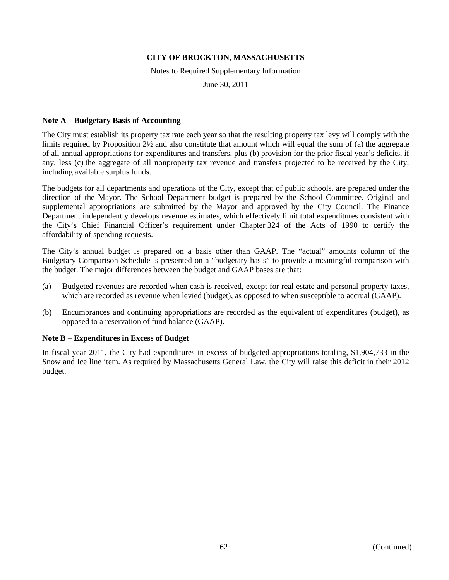Notes to Required Supplementary Information

June 30, 2011

### **Note A – Budgetary Basis of Accounting**

The City must establish its property tax rate each year so that the resulting property tax levy will comply with the limits required by Proposition 2½ and also constitute that amount which will equal the sum of (a) the aggregate of all annual appropriations for expenditures and transfers, plus (b) provision for the prior fiscal year's deficits, if any, less (c) the aggregate of all nonproperty tax revenue and transfers projected to be received by the City, including available surplus funds.

The budgets for all departments and operations of the City, except that of public schools, are prepared under the direction of the Mayor. The School Department budget is prepared by the School Committee. Original and supplemental appropriations are submitted by the Mayor and approved by the City Council. The Finance Department independently develops revenue estimates, which effectively limit total expenditures consistent with the City's Chief Financial Officer's requirement under Chapter 324 of the Acts of 1990 to certify the affordability of spending requests.

The City's annual budget is prepared on a basis other than GAAP. The "actual" amounts column of the Budgetary Comparison Schedule is presented on a "budgetary basis" to provide a meaningful comparison with the budget. The major differences between the budget and GAAP bases are that:

- (a) Budgeted revenues are recorded when cash is received, except for real estate and personal property taxes, which are recorded as revenue when levied (budget), as opposed to when susceptible to accrual (GAAP).
- (b) Encumbrances and continuing appropriations are recorded as the equivalent of expenditures (budget), as opposed to a reservation of fund balance (GAAP).

### **Note B – Expenditures in Excess of Budget**

In fiscal year 2011, the City had expenditures in excess of budgeted appropriations totaling, \$1,904,733 in the Snow and Ice line item. As required by Massachusetts General Law, the City will raise this deficit in their 2012 budget.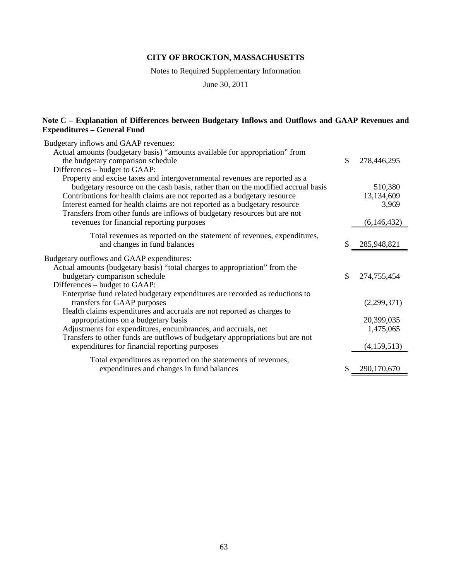Notes to Required Supplementary Information

June 30, 2011

### **Note C – Explanation of Differences between Budgetary Inflows and Outflows and GAAP Revenues and Expenditures – General Fund**

| Budgetary inflows and GAAP revenues:                                            |                   |
|---------------------------------------------------------------------------------|-------------------|
| Actual amounts (budgetary basis) "amounts available for appropriation" from     |                   |
| the budgetary comparison schedule                                               | \$<br>278,446,295 |
| Differences - budget to GAAP:                                                   |                   |
| Property and excise taxes and intergovernmental revenues are reported as a      |                   |
| budgetary resource on the cash basis, rather than on the modified accrual basis | 510,380           |
| Contributions for health claims are not reported as a budgetary resource        | 13,134,609        |
| Interest earned for health claims are not reported as a budgetary resource      | 3,969             |
| Transfers from other funds are inflows of budgetary resources but are not       |                   |
| revenues for financial reporting purposes                                       | (6,146,432)       |
| Total revenues as reported on the statement of revenues, expenditures,          |                   |
| and changes in fund balances                                                    | \$<br>285,948,821 |
|                                                                                 |                   |
| Budgetary outflows and GAAP expenditures:                                       |                   |
| Actual amounts (budgetary basis) "total charges to appropriation" from the      |                   |
| budgetary comparison schedule                                                   | \$<br>274,755,454 |
| Differences – budget to GAAP:                                                   |                   |
| Enterprise fund related budgetary expenditures are recorded as reductions to    |                   |
| transfers for GAAP purposes                                                     | (2,299,371)       |
| Health claims expenditures and accruals are not reported as charges to          |                   |
| appropriations on a budgetary basis                                             | 20,399,035        |
| Adjustments for expenditures, encumbrances, and accruals, net                   | 1,475,065         |
| Transfers to other funds are outflows of budgetary appropriations but are not   |                   |
| expenditures for financial reporting purposes                                   | (4,159,513)       |
| Total expenditures as reported on the statements of revenues,                   |                   |
| expenditures and changes in fund balances                                       | \$<br>290,170,670 |